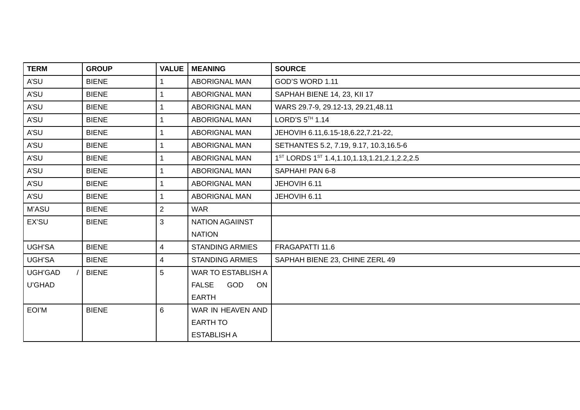| <b>TERM</b>    | <b>GROUP</b> | <b>VALUE</b>   | <b>MEANING</b>            | <b>SOURCE</b>                                                              |
|----------------|--------------|----------------|---------------------------|----------------------------------------------------------------------------|
| A'SU           | <b>BIENE</b> | $\mathbf{1}$   | <b>ABORIGNAL MAN</b>      | GOD'S WORD 1.11                                                            |
| A'SU           | <b>BIENE</b> | $\mathbf{1}$   | <b>ABORIGNAL MAN</b>      | SAPHAH BIENE 14, 23, KII 17                                                |
| A'SU           | <b>BIENE</b> | $\mathbf{1}$   | ABORIGNAL MAN             | WARS 29.7-9, 29.12-13, 29.21,48.11                                         |
| A'SU           | <b>BIENE</b> | $\mathbf{1}$   | <b>ABORIGNAL MAN</b>      | LORD'S 5TH 1.14                                                            |
| A'SU           | <b>BIENE</b> | $\mathbf{1}$   | <b>ABORIGNAL MAN</b>      | JEHOVIH 6.11, 6.15-18, 6.22, 7.21-22,                                      |
| A'SU           | <b>BIENE</b> | $\mathbf{1}$   | <b>ABORIGNAL MAN</b>      | SETHANTES 5.2, 7.19, 9.17, 10.3,16.5-6                                     |
| A'SU           | <b>BIENE</b> | $\mathbf{1}$   | <b>ABORIGNAL MAN</b>      | 1 <sup>ST</sup> LORDS 1 <sup>ST</sup> 1.4, 1.10, 1.13, 1.21, 2.1, 2.2, 2.5 |
| A'SU           | <b>BIENE</b> | $\mathbf{1}$   | ABORIGNAL MAN             | SAPHAH! PAN 6-8                                                            |
| A'SU           | <b>BIENE</b> | $\mathbf{1}$   | <b>ABORIGNAL MAN</b>      | JEHOVIH 6.11                                                               |
| A'SU           | <b>BIENE</b> | $\mathbf{1}$   | <b>ABORIGNAL MAN</b>      | JEHOVIH 6.11                                                               |
| M'ASU          | <b>BIENE</b> | $\overline{2}$ | <b>WAR</b>                |                                                                            |
| EX'SU          | <b>BIENE</b> | 3              | <b>NATION AGAIINST</b>    |                                                                            |
|                |              |                | <b>NATION</b>             |                                                                            |
| <b>UGH'SA</b>  | <b>BIENE</b> | 4              | <b>STANDING ARMIES</b>    | FRAGAPATTI 11.6                                                            |
| <b>UGH'SA</b>  | <b>BIENE</b> | 4              | <b>STANDING ARMIES</b>    | SAPHAH BIENE 23, CHINE ZERL 49                                             |
| <b>UGH'GAD</b> | <b>BIENE</b> | 5              | WAR TO ESTABLISH A        |                                                                            |
| <b>U'GHAD</b>  |              |                | <b>FALSE</b><br>GOD<br>ON |                                                                            |
|                |              |                | <b>EARTH</b>              |                                                                            |
| EOI'M          | <b>BIENE</b> | 6              | WAR IN HEAVEN AND         |                                                                            |
|                |              |                | <b>EARTH TO</b>           |                                                                            |
|                |              |                | <b>ESTABLISH A</b>        |                                                                            |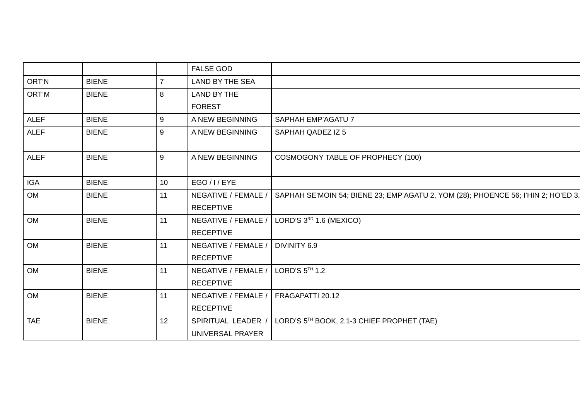|             |              |                  | <b>FALSE GOD</b>       |                                                                                   |
|-------------|--------------|------------------|------------------------|-----------------------------------------------------------------------------------|
| ORT'N       | <b>BIENE</b> | $\overline{7}$   | <b>LAND BY THE SEA</b> |                                                                                   |
| ORT'M       | <b>BIENE</b> | 8                | <b>LAND BY THE</b>     |                                                                                   |
|             |              |                  | <b>FOREST</b>          |                                                                                   |
| <b>ALEF</b> | <b>BIENE</b> | $\boldsymbol{9}$ | A NEW BEGINNING        | SAPHAH EMP'AGATU 7                                                                |
| <b>ALEF</b> | <b>BIENE</b> | $9\,$            | A NEW BEGINNING        | SAPHAH QADEZ IZ 5                                                                 |
| <b>ALEF</b> | <b>BIENE</b> | 9                | A NEW BEGINNING        | COSMOGONY TABLE OF PROPHECY (100)                                                 |
| <b>IGA</b>  | <b>BIENE</b> | 10               | EGO / I / EYE          |                                                                                   |
| OM          | <b>BIENE</b> | 11               | NEGATIVE / FEMALE /    | SAPHAH SE'MOIN 54; BIENE 23; EMP'AGATU 2, YOM (28); PHOENCE 56; I'HIN 2; HO'ED 3, |
|             |              |                  | <b>RECEPTIVE</b>       |                                                                                   |
| <b>OM</b>   | <b>BIENE</b> | 11               | NEGATIVE / FEMALE /    | LORD'S 3RD 1.6 (MEXICO)                                                           |
|             |              |                  | <b>RECEPTIVE</b>       |                                                                                   |
| <b>OM</b>   | <b>BIENE</b> | 11               | NEGATIVE / FEMALE /    | DIVINITY 6.9                                                                      |
|             |              |                  | <b>RECEPTIVE</b>       |                                                                                   |
| OM          | <b>BIENE</b> | 11               | NEGATIVE / FEMALE /    | LORD'S 5TH 1.2                                                                    |
|             |              |                  | <b>RECEPTIVE</b>       |                                                                                   |
| OM          | <b>BIENE</b> | 11               | NEGATIVE / FEMALE /    | FRAGAPATTI 20.12                                                                  |
|             |              |                  | <b>RECEPTIVE</b>       |                                                                                   |
| <b>TAE</b>  | <b>BIENE</b> | 12               | SPIRITUAL LEADER       | LORD'S 5TH BOOK, 2.1-3 CHIEF PROPHET (TAE)                                        |
|             |              |                  | UNIVERSAL PRAYER       |                                                                                   |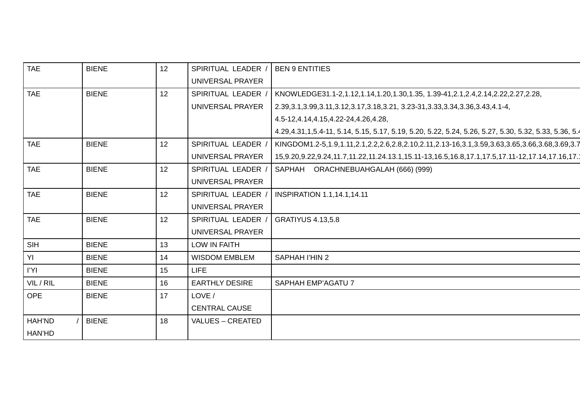| <b>BIENE</b> | 12 | SPIRITUAL LEADER /   BEN 9 ENTITIES  |                                                                                                       |
|--------------|----|--------------------------------------|-------------------------------------------------------------------------------------------------------|
|              |    | UNIVERSAL PRAYER                     |                                                                                                       |
| <b>BIENE</b> | 12 |                                      | SPIRITUAL LEADER /   KNOWLEDGE31.1-2,1.12,1.14,1.20,1.30,1.35, 1.39-41,2.1,2.4,2.14,2.22,2.27,2.28,   |
|              |    | UNIVERSAL PRAYER                     | 2.39, 3.1, 3.99, 3.11, 3.12, 3.17, 3.18, 3.21, 3.23-31, 3.33, 3.34, 3.36, 3.43, 4.1-4,                |
|              |    |                                      | 4.5-12,4.14,4.15,4.22-24,4.26,4.28,                                                                   |
|              |    |                                      | 4.29,4.31,1,5.4-11, 5.14, 5.15, 5.17, 5.19, 5.20, 5.22, 5.24, 5.26, 5.27, 5.30, 5.32, 5.33, 5.36, 5.4 |
| <b>BIENE</b> | 12 | SPIRITUAL LEADER /                   | KINGDOM1.2-5,1.9,1.11,2.1,2.2,2.6,2.8,2.10,2.11,2.13-16,3.1,3.59,3.63,3.65,3.66,3.68,3.69,3.7         |
|              |    | UNIVERSAL PRAYER                     | 15,9.20,9.22,9.24,11.7,11.22,11.24.13.1,15.11-13,16.5,16.8,17.1,17.5,17.11-12,17.14,17.16,17.1        |
| <b>BIENE</b> | 12 |                                      | SPIRITUAL LEADER / SAPHAH ORACHNEBUAHGALAH (666) (999)                                                |
|              |    | UNIVERSAL PRAYER                     |                                                                                                       |
| <b>BIENE</b> | 12 | SPIRITUAL LEADER /                   | INSPIRATION 1.1,14.1,14.11                                                                            |
|              |    | UNIVERSAL PRAYER                     |                                                                                                       |
| <b>BIENE</b> | 12 | SPIRITUAL LEADER / GRATIYUS 4.13,5.8 |                                                                                                       |
|              |    | UNIVERSAL PRAYER                     |                                                                                                       |
| <b>BIENE</b> | 13 | LOW IN FAITH                         |                                                                                                       |
| <b>BIENE</b> | 14 | <b>WISDOM EMBLEM</b>                 | SAPHAH I'HIN 2                                                                                        |
| <b>BIENE</b> | 15 | <b>LIFE</b>                          |                                                                                                       |
| <b>BIENE</b> | 16 | <b>EARTHLY DESIRE</b>                | SAPHAH EMP'AGATU 7                                                                                    |
| <b>BIENE</b> | 17 | LOVE /                               |                                                                                                       |
|              |    | CENTRAL CAUSE                        |                                                                                                       |
| / │ BIENE    | 18 | <b>VALUES – CREATED</b>              |                                                                                                       |
|              |    |                                      |                                                                                                       |
|              |    |                                      |                                                                                                       |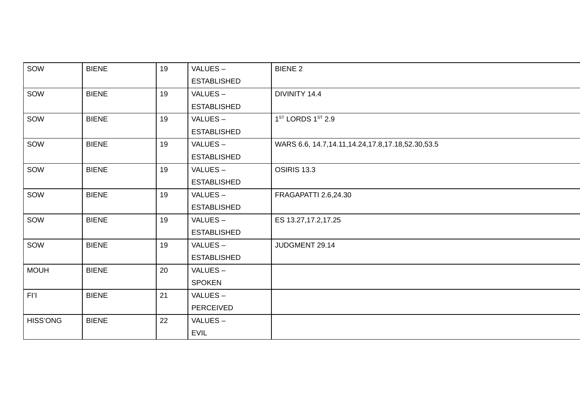| SOW             | <b>BIENE</b> | 19 | VALUES-            | <b>BIENE 2</b>                                         |
|-----------------|--------------|----|--------------------|--------------------------------------------------------|
|                 |              |    | <b>ESTABLISHED</b> |                                                        |
| SOW             | <b>BIENE</b> | 19 | VALUES-            | DIVINITY 14.4                                          |
|                 |              |    | <b>ESTABLISHED</b> |                                                        |
| SOW             | <b>BIENE</b> | 19 | VALUES-            | $1ST$ LORDS $1ST$ 2.9                                  |
|                 |              |    | <b>ESTABLISHED</b> |                                                        |
| SOW             | <b>BIENE</b> | 19 | VALUES-            | WARS 6.6, 14.7, 14.11, 14.24, 17.8, 17.18, 52.30, 53.5 |
|                 |              |    | <b>ESTABLISHED</b> |                                                        |
| SOW             | <b>BIENE</b> | 19 | VALUES-            | <b>OSIRIS 13.3</b>                                     |
|                 |              |    | <b>ESTABLISHED</b> |                                                        |
| SOW             | <b>BIENE</b> | 19 | VALUES-            | <b>FRAGAPATTI 2.6,24.30</b>                            |
|                 |              |    | <b>ESTABLISHED</b> |                                                        |
| SOW             | <b>BIENE</b> | 19 | VALUES-            | ES 13.27,17.2,17.25                                    |
|                 |              |    | <b>ESTABLISHED</b> |                                                        |
| SOW             | <b>BIENE</b> | 19 | VALUES-            | JUDGMENT 29.14                                         |
|                 |              |    | <b>ESTABLISHED</b> |                                                        |
| <b>MOUH</b>     | <b>BIENE</b> | 20 | VALUES-            |                                                        |
|                 |              |    | <b>SPOKEN</b>      |                                                        |
| FI'l            | <b>BIENE</b> | 21 | VALUES-            |                                                        |
|                 |              |    | <b>PERCEIVED</b>   |                                                        |
| <b>HISS'ONG</b> | <b>BIENE</b> | 22 | VALUES-            |                                                        |
|                 |              |    | <b>EVIL</b>        |                                                        |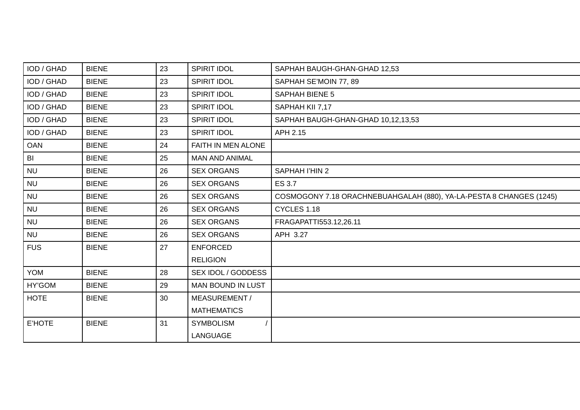| IOD / GHAD  | <b>BIENE</b> | 23 | SPIRIT IDOL           | SAPHAH BAUGH-GHAN-GHAD 12,53                                        |
|-------------|--------------|----|-----------------------|---------------------------------------------------------------------|
| IOD / GHAD  | <b>BIENE</b> | 23 | SPIRIT IDOL           | SAPHAH SE'MOIN 77, 89                                               |
| IOD / GHAD  | <b>BIENE</b> | 23 | <b>SPIRIT IDOL</b>    | <b>SAPHAH BIENE 5</b>                                               |
| IOD / GHAD  | <b>BIENE</b> | 23 | SPIRIT IDOL           | SAPHAH KII 7,17                                                     |
| IOD / GHAD  | <b>BIENE</b> | 23 | SPIRIT IDOL           | SAPHAH BAUGH-GHAN-GHAD 10,12,13,53                                  |
| IOD / GHAD  | <b>BIENE</b> | 23 | SPIRIT IDOL           | APH 2.15                                                            |
| <b>OAN</b>  | <b>BIENE</b> | 24 | FAITH IN MEN ALONE    |                                                                     |
| BI          | <b>BIENE</b> | 25 | <b>MAN AND ANIMAL</b> |                                                                     |
| <b>NU</b>   | <b>BIENE</b> | 26 | <b>SEX ORGANS</b>     | SAPHAH I'HIN 2                                                      |
| <b>NU</b>   | <b>BIENE</b> | 26 | <b>SEX ORGANS</b>     | <b>ES 3.7</b>                                                       |
| <b>NU</b>   | <b>BIENE</b> | 26 | <b>SEX ORGANS</b>     | COSMOGONY 7.18 ORACHNEBUAHGALAH (880), YA-LA-PESTA 8 CHANGES (1245) |
| <b>NU</b>   | <b>BIENE</b> | 26 | <b>SEX ORGANS</b>     | CYCLES 1.18                                                         |
| <b>NU</b>   | <b>BIENE</b> | 26 | <b>SEX ORGANS</b>     | FRAGAPATTI553.12,26.11                                              |
| <b>NU</b>   | <b>BIENE</b> | 26 | <b>SEX ORGANS</b>     | APH 3.27                                                            |
| <b>FUS</b>  | <b>BIENE</b> | 27 | <b>ENFORCED</b>       |                                                                     |
|             |              |    | <b>RELIGION</b>       |                                                                     |
| YOM         | <b>BIENE</b> | 28 | SEX IDOL / GODDESS    |                                                                     |
| HY'GOM      | <b>BIENE</b> | 29 | MAN BOUND IN LUST     |                                                                     |
| <b>HOTE</b> | <b>BIENE</b> | 30 | MEASUREMENT /         |                                                                     |
|             |              |    | <b>MATHEMATICS</b>    |                                                                     |
| E'HOTE      | <b>BIENE</b> | 31 | <b>SYMBOLISM</b>      |                                                                     |
|             |              |    | LANGUAGE              |                                                                     |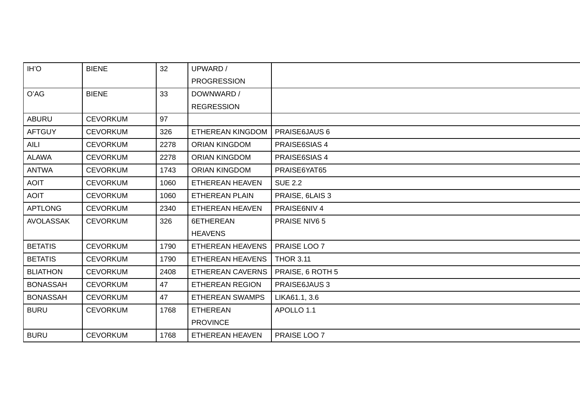| IH'O             | <b>BIENE</b>    | 32   | UPWARD /              |                  |
|------------------|-----------------|------|-----------------------|------------------|
|                  |                 |      | <b>PROGRESSION</b>    |                  |
| O'AG             | <b>BIENE</b>    | 33   | DOWNWARD /            |                  |
|                  |                 |      | <b>REGRESSION</b>     |                  |
| <b>ABURU</b>     | <b>CEVORKUM</b> | 97   |                       |                  |
| <b>AFTGUY</b>    | <b>CEVORKUM</b> | 326  | ETHEREAN KINGDOM      | PRAISE6JAUS 6    |
| AILI             | <b>CEVORKUM</b> | 2278 | <b>ORIAN KINGDOM</b>  | PRAISE6SIAS 4    |
| <b>ALAWA</b>     | <b>CEVORKUM</b> | 2278 | <b>ORIAN KINGDOM</b>  | PRAISE6SIAS 4    |
| <b>ANTWA</b>     | <b>CEVORKUM</b> | 1743 | <b>ORIAN KINGDOM</b>  | PRAISE6YAT65     |
| <b>AOIT</b>      | <b>CEVORKUM</b> | 1060 | ETHEREAN HEAVEN       | <b>SUE 2.2</b>   |
| <b>AOIT</b>      | <b>CEVORKUM</b> | 1060 | <b>ETHEREAN PLAIN</b> | PRAISE, 6LAIS 3  |
| <b>APTLONG</b>   | <b>CEVORKUM</b> | 2340 | ETHEREAN HEAVEN       | PRAISE6NIV 4     |
| <b>AVOLASSAK</b> | <b>CEVORKUM</b> | 326  | 6ETHEREAN             | PRAISE NIV6 5    |
|                  |                 |      | <b>HEAVENS</b>        |                  |
| <b>BETATIS</b>   | <b>CEVORKUM</b> | 1790 | ETHEREAN HEAVENS      | PRAISE LOO 7     |
| <b>BETATIS</b>   | <b>CEVORKUM</b> | 1790 | ETHEREAN HEAVENS      | <b>THOR 3.11</b> |
| <b>BLIATHON</b>  | <b>CEVORKUM</b> | 2408 | ETHEREAN CAVERNS      | PRAISE, 6 ROTH 5 |
| <b>BONASSAH</b>  | <b>CEVORKUM</b> | 47   | ETHEREAN REGION       | PRAISE6JAUS 3    |
| <b>BONASSAH</b>  | <b>CEVORKUM</b> | 47   | ETHEREAN SWAMPS       | LIKA61.1, 3.6    |
| <b>BURU</b>      | <b>CEVORKUM</b> | 1768 | <b>ETHEREAN</b>       | APOLLO 1.1       |
|                  |                 |      | <b>PROVINCE</b>       |                  |
| <b>BURU</b>      | <b>CEVORKUM</b> | 1768 | ETHEREAN HEAVEN       | PRAISE LOO 7     |
|                  |                 |      |                       |                  |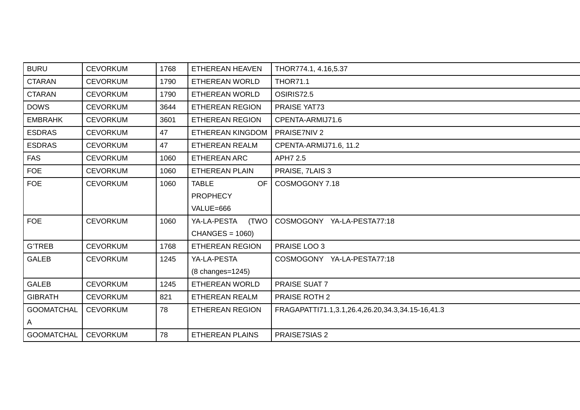| <b>BURU</b>       | <b>CEVORKUM</b> | 1768 | ETHEREAN HEAVEN              | THOR774.1, 4.16,5.37                             |
|-------------------|-----------------|------|------------------------------|--------------------------------------------------|
| <b>CTARAN</b>     | <b>CEVORKUM</b> | 1790 | ETHEREAN WORLD               | <b>THOR71.1</b>                                  |
| <b>CTARAN</b>     | <b>CEVORKUM</b> | 1790 | ETHEREAN WORLD               | OSIRIS72.5                                       |
| <b>DOWS</b>       | <b>CEVORKUM</b> | 3644 | <b>ETHEREAN REGION</b>       | PRAISE YAT73                                     |
| <b>EMBRAHK</b>    | <b>CEVORKUM</b> | 3601 | <b>ETHEREAN REGION</b>       | CPENTA-ARMIJ71.6                                 |
| <b>ESDRAS</b>     | <b>CEVORKUM</b> | 47   | ETHEREAN KINGDOM             | PRAISE7NIV 2                                     |
| <b>ESDRAS</b>     | <b>CEVORKUM</b> | 47   | ETHEREAN REALM               | CPENTA-ARMIJ71.6, 11.2                           |
| <b>FAS</b>        | <b>CEVORKUM</b> | 1060 | ETHEREAN ARC                 | APH7 2.5                                         |
| <b>FOE</b>        | <b>CEVORKUM</b> | 1060 | ETHEREAN PLAIN               | PRAISE, 7LAIS 3                                  |
| <b>FOE</b>        | <b>CEVORKUM</b> | 1060 | <b>TABLE</b><br><b>OF</b>    | COSMOGONY 7.18                                   |
|                   |                 |      | <b>PROPHECY</b>              |                                                  |
|                   |                 |      | VALUE=666                    |                                                  |
| <b>FOE</b>        | <b>CEVORKUM</b> | 1060 | YA-LA-PESTA<br>(TWO          | COSMOGONY YA-LA-PESTA77:18                       |
|                   |                 |      | $CHANGES = 1060$             |                                                  |
| <b>G'TREB</b>     | <b>CEVORKUM</b> | 1768 | <b>ETHEREAN REGION</b>       | PRAISE LOO 3                                     |
| <b>GALEB</b>      | <b>CEVORKUM</b> | 1245 | YA-LA-PESTA                  | COSMOGONY YA-LA-PESTA77:18                       |
|                   |                 |      | $(8 \text{ changes} = 1245)$ |                                                  |
| <b>GALEB</b>      | <b>CEVORKUM</b> | 1245 | ETHEREAN WORLD               | PRAISE SUAT 7                                    |
| <b>GIBRATH</b>    | <b>CEVORKUM</b> | 821  | ETHEREAN REALM               | PRAISE ROTH 2                                    |
| <b>GOOMATCHAL</b> | <b>CEVORKUM</b> | 78   | ETHEREAN REGION              | FRAGAPATTI71.1,3.1,26.4,26.20,34.3,34.15-16,41.3 |
| A                 |                 |      |                              |                                                  |
| <b>GOOMATCHAL</b> | <b>CEVORKUM</b> | 78   | <b>ETHEREAN PLAINS</b>       | PRAISE7SIAS 2                                    |
|                   |                 |      |                              |                                                  |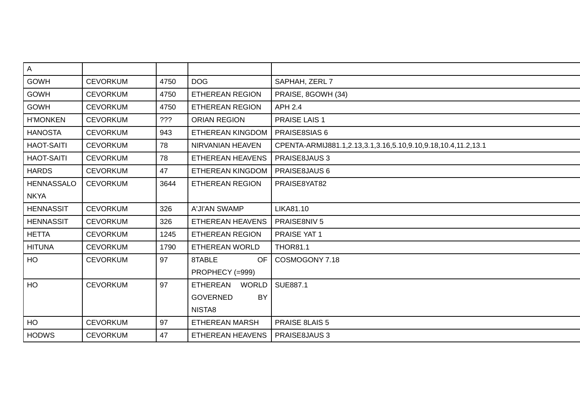| $\mathsf{A}$      |                 |      |                                 |                                                               |
|-------------------|-----------------|------|---------------------------------|---------------------------------------------------------------|
| <b>GOWH</b>       | <b>CEVORKUM</b> | 4750 | <b>DOG</b>                      | SAPHAH, ZERL 7                                                |
| <b>GOWH</b>       | <b>CEVORKUM</b> | 4750 | <b>ETHEREAN REGION</b>          | PRAISE, 8GOWH (34)                                            |
| <b>GOWH</b>       | <b>CEVORKUM</b> | 4750 | ETHEREAN REGION                 | <b>APH 2.4</b>                                                |
| <b>H'MONKEN</b>   | <b>CEVORKUM</b> | 222  | <b>ORIAN REGION</b>             | <b>PRAISE LAIS 1</b>                                          |
| <b>HANOSTA</b>    | <b>CEVORKUM</b> | 943  | ETHEREAN KINGDOM                | PRAISE8SIAS 6                                                 |
| <b>HAOT-SAITI</b> | <b>CEVORKUM</b> | 78   | NIRVANIAN HEAVEN                | CPENTA-ARMIJ881.1,2.13,3.1,3.16,5.10,9.10,9.18,10.4,11.2,13.1 |
| <b>HAOT-SAITI</b> | <b>CEVORKUM</b> | 78   | ETHEREAN HEAVENS                | PRAISE8JAUS 3                                                 |
| <b>HARDS</b>      | <b>CEVORKUM</b> | 47   | ETHEREAN KINGDOM                | PRAISE8JAUS 6                                                 |
| HENNASSALO        | <b>CEVORKUM</b> | 3644 | ETHEREAN REGION                 | PRAISE8YAT82                                                  |
| <b>NKYA</b>       |                 |      |                                 |                                                               |
| <b>HENNASSIT</b>  | <b>CEVORKUM</b> | 326  | A'JI'AN SWAMP                   | LIKA81.10                                                     |
| <b>HENNASSIT</b>  | <b>CEVORKUM</b> | 326  | ETHEREAN HEAVENS                | PRAISE8NIV 5                                                  |
| <b>HETTA</b>      | <b>CEVORKUM</b> | 1245 | <b>ETHEREAN REGION</b>          | PRAISE YAT 1                                                  |
| <b>HITUNA</b>     | <b>CEVORKUM</b> | 1790 | ETHEREAN WORLD                  | <b>THOR81.1</b>                                               |
| HO                | <b>CEVORKUM</b> | 97   | 8TABLE<br><b>OF</b>             | COSMOGONY 7.18                                                |
|                   |                 |      | PROPHECY (=999)                 |                                                               |
| HO                | <b>CEVORKUM</b> | 97   | <b>WORLD</b><br><b>ETHEREAN</b> | SUE887.1                                                      |
|                   |                 |      | <b>GOVERNED</b><br>BY           |                                                               |
|                   |                 |      | NISTA8                          |                                                               |
| HO                | <b>CEVORKUM</b> | 97   | ETHEREAN MARSH                  | PRAISE 8LAIS 5                                                |
| <b>HODWS</b>      | <b>CEVORKUM</b> | 47   | ETHEREAN HEAVENS                | PRAISE8JAUS 3                                                 |
|                   |                 |      |                                 |                                                               |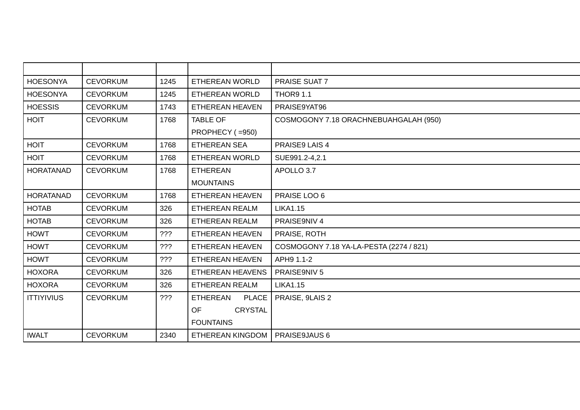| <b>HOESONYA</b>   | <b>CEVORKUM</b> | 1245 | ETHEREAN WORLD                  | PRAISE SUAT 7                           |
|-------------------|-----------------|------|---------------------------------|-----------------------------------------|
| <b>HOESONYA</b>   | <b>CEVORKUM</b> | 1245 | ETHEREAN WORLD                  | <b>THOR9 1.1</b>                        |
| <b>HOESSIS</b>    | <b>CEVORKUM</b> | 1743 | ETHEREAN HEAVEN                 | PRAISE9YAT96                            |
| <b>HOIT</b>       | <b>CEVORKUM</b> | 1768 | <b>TABLE OF</b>                 | COSMOGONY 7.18 ORACHNEBUAHGALAH (950)   |
|                   |                 |      | PROPHECY (=950)                 |                                         |
| <b>HOIT</b>       | <b>CEVORKUM</b> | 1768 | <b>ETHEREAN SEA</b>             | PRAISE9 LAIS 4                          |
| <b>HOIT</b>       | <b>CEVORKUM</b> | 1768 | ETHEREAN WORLD                  | SUE991.2-4,2.1                          |
| <b>HORATANAD</b>  | <b>CEVORKUM</b> | 1768 | <b>ETHEREAN</b>                 | APOLLO 3.7                              |
|                   |                 |      | <b>MOUNTAINS</b>                |                                         |
| <b>HORATANAD</b>  | <b>CEVORKUM</b> | 1768 | ETHEREAN HEAVEN                 | PRAISE LOO 6                            |
| <b>HOTAB</b>      | <b>CEVORKUM</b> | 326  | ETHEREAN REALM                  | <b>LIKA1.15</b>                         |
| <b>HOTAB</b>      | <b>CEVORKUM</b> | 326  | <b>ETHEREAN REALM</b>           | PRAISE9NIV 4                            |
| <b>HOWT</b>       | <b>CEVORKUM</b> | ???  | ETHEREAN HEAVEN                 | PRAISE, ROTH                            |
| <b>HOWT</b>       | <b>CEVORKUM</b> | ???  | ETHEREAN HEAVEN                 | COSMOGONY 7.18 YA-LA-PESTA (2274 / 821) |
| <b>HOWT</b>       | <b>CEVORKUM</b> | ???  | ETHEREAN HEAVEN                 | APH9 1.1-2                              |
| <b>HOXORA</b>     | <b>CEVORKUM</b> | 326  | ETHEREAN HEAVENS                | PRAISE9NIV 5                            |
| <b>HOXORA</b>     | <b>CEVORKUM</b> | 326  | <b>ETHEREAN REALM</b>           | <b>LIKA1.15</b>                         |
| <b>ITTIYIVIUS</b> | <b>CEVORKUM</b> | ???  | <b>ETHEREAN</b><br><b>PLACE</b> | PRAISE, 9LAIS 2                         |
|                   |                 |      | <b>CRYSTAL</b><br><b>OF</b>     |                                         |
|                   |                 |      | <b>FOUNTAINS</b>                |                                         |
| <b>IWALT</b>      | <b>CEVORKUM</b> | 2340 | ETHEREAN KINGDOM                | PRAISE9JAUS 6                           |
|                   |                 |      |                                 |                                         |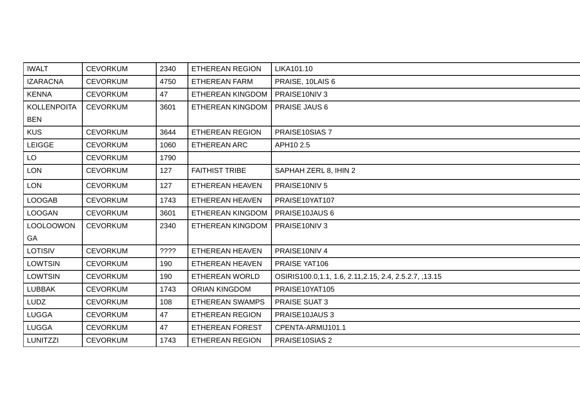| <b>IWALT</b>       | <b>CEVORKUM</b> | 2340 | ETHEREAN REGION        | LIKA101.10                                               |
|--------------------|-----------------|------|------------------------|----------------------------------------------------------|
| <b>IZARACNA</b>    | <b>CEVORKUM</b> | 4750 | ETHEREAN FARM          | PRAISE, 10LAIS 6                                         |
| <b>KENNA</b>       | <b>CEVORKUM</b> | 47   | ETHEREAN KINGDOM       | PRAISE10NIV 3                                            |
| <b>KOLLENPOITA</b> | <b>CEVORKUM</b> | 3601 | ETHEREAN KINGDOM       | PRAISE JAUS 6                                            |
| <b>BEN</b>         |                 |      |                        |                                                          |
| <b>KUS</b>         | <b>CEVORKUM</b> | 3644 | ETHEREAN REGION        | PRAISE10SIAS 7                                           |
| <b>LEIGGE</b>      | <b>CEVORKUM</b> | 1060 | <b>ETHEREAN ARC</b>    | APH10 2.5                                                |
| LO                 | <b>CEVORKUM</b> | 1790 |                        |                                                          |
| <b>LON</b>         | <b>CEVORKUM</b> | 127  | <b>FAITHIST TRIBE</b>  | SAPHAH ZERL 8, IHIN 2                                    |
| <b>LON</b>         | <b>CEVORKUM</b> | 127  | ETHEREAN HEAVEN        | PRAISE10NIV 5                                            |
| <b>LOOGAB</b>      | <b>CEVORKUM</b> | 1743 | ETHEREAN HEAVEN        | PRAISE10YAT107                                           |
| <b>LOOGAN</b>      | <b>CEVORKUM</b> | 3601 | ETHEREAN KINGDOM       | PRAISE10JAUS 6                                           |
| <b>LOOLOOWON</b>   | <b>CEVORKUM</b> | 2340 | ETHEREAN KINGDOM       | PRAISE10NIV 3                                            |
| GA                 |                 |      |                        |                                                          |
| LOTISIV            | <b>CEVORKUM</b> | ???? | ETHEREAN HEAVEN        | PRAISE10NIV 4                                            |
| <b>LOWTSIN</b>     | <b>CEVORKUM</b> | 190  | ETHEREAN HEAVEN        | PRAISE YAT106                                            |
| <b>LOWTSIN</b>     | <b>CEVORKUM</b> | 190  | ETHEREAN WORLD         | OSIRIS100.0,1.1, 1.6, 2.11, 2.15, 2.4, 2.5. 2.7, , 13.15 |
| <b>LUBBAK</b>      | <b>CEVORKUM</b> | 1743 | <b>ORIAN KINGDOM</b>   | PRAISE10YAT105                                           |
| <b>LUDZ</b>        | <b>CEVORKUM</b> | 108  | <b>ETHEREAN SWAMPS</b> | PRAISE SUAT 3                                            |
| <b>LUGGA</b>       | <b>CEVORKUM</b> | 47   | <b>ETHEREAN REGION</b> | PRAISE10JAUS 3                                           |
| <b>LUGGA</b>       | <b>CEVORKUM</b> | 47   | ETHEREAN FOREST        | CPENTA-ARMIJ101.1                                        |
| <b>LUNITZZI</b>    | <b>CEVORKUM</b> | 1743 | <b>ETHEREAN REGION</b> | PRAISE10SIAS 2                                           |
|                    |                 |      |                        |                                                          |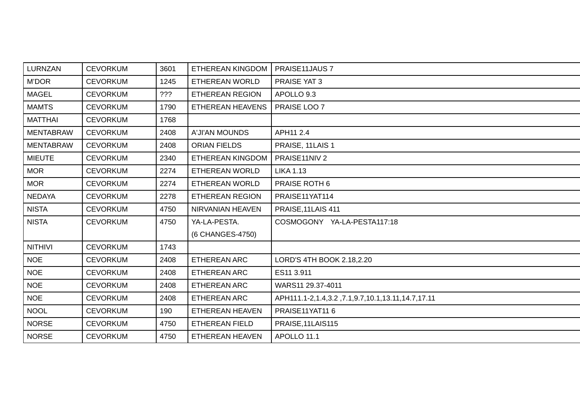| LURNZAN          | <b>CEVORKUM</b> | 3601 | ETHEREAN KINGDOM    | PRAISE11JAUS 7                                   |
|------------------|-----------------|------|---------------------|--------------------------------------------------|
| M'DOR            | <b>CEVORKUM</b> | 1245 | ETHEREAN WORLD      | PRAISE YAT 3                                     |
| <b>MAGEL</b>     | <b>CEVORKUM</b> | ???  | ETHEREAN REGION     | APOLLO 9.3                                       |
| <b>MAMTS</b>     | <b>CEVORKUM</b> | 1790 | ETHEREAN HEAVENS    | PRAISE LOO 7                                     |
| <b>MATTHAI</b>   | <b>CEVORKUM</b> | 1768 |                     |                                                  |
| <b>MENTABRAW</b> | <b>CEVORKUM</b> | 2408 | A'JI'AN MOUNDS      | APH11 2.4                                        |
| <b>MENTABRAW</b> | <b>CEVORKUM</b> | 2408 | <b>ORIAN FIELDS</b> | PRAISE, 11LAIS 1                                 |
| <b>MIEUTE</b>    | <b>CEVORKUM</b> | 2340 | ETHEREAN KINGDOM    | PRAISE11NIV 2                                    |
| <b>MOR</b>       | <b>CEVORKUM</b> | 2274 | ETHEREAN WORLD      | <b>LIKA 1.13</b>                                 |
| <b>MOR</b>       | <b>CEVORKUM</b> | 2274 | ETHEREAN WORLD      | PRAISE ROTH 6                                    |
| <b>NEDAYA</b>    | <b>CEVORKUM</b> | 2278 | ETHEREAN REGION     | PRAISE11YAT114                                   |
| <b>NISTA</b>     | <b>CEVORKUM</b> | 4750 | NIRVANIAN HEAVEN    | PRAISE, 11LAIS 411                               |
| <b>NISTA</b>     | <b>CEVORKUM</b> | 4750 | YA-LA-PESTA.        | COSMOGONY YA-LA-PESTA117:18                      |
|                  |                 |      | (6 CHANGES-4750)    |                                                  |
| <b>NITHIVI</b>   | <b>CEVORKUM</b> | 1743 |                     |                                                  |
| <b>NOE</b>       | <b>CEVORKUM</b> | 2408 | <b>ETHEREAN ARC</b> | LORD'S 4TH BOOK 2.18,2.20                        |
| <b>NOE</b>       | <b>CEVORKUM</b> | 2408 | ETHEREAN ARC        | ES11 3.911                                       |
| <b>NOE</b>       | <b>CEVORKUM</b> | 2408 | <b>ETHEREAN ARC</b> | WARS11 29.37-4011                                |
| <b>NOE</b>       | <b>CEVORKUM</b> | 2408 | <b>ETHEREAN ARC</b> | APH111.1-2,1.4,3.2,7.1,9.7,10.1,13.11,14.7,17.11 |
| <b>NOOL</b>      | <b>CEVORKUM</b> | 190  | ETHEREAN HEAVEN     | PRAISE11YAT11 6                                  |
| <b>NORSE</b>     | <b>CEVORKUM</b> | 4750 | ETHEREAN FIELD      | PRAISE, 11LAIS115                                |
| <b>NORSE</b>     | <b>CEVORKUM</b> | 4750 | ETHEREAN HEAVEN     | APOLLO 11.1                                      |
|                  |                 |      |                     |                                                  |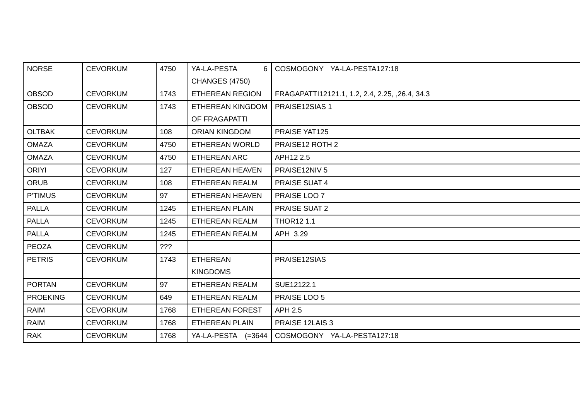| <b>NORSE</b>    | <b>CEVORKUM</b> | 4750 | YA-LA-PESTA<br>6 I     | COSMOGONY YA-LA-PESTA127:18                    |
|-----------------|-----------------|------|------------------------|------------------------------------------------|
|                 |                 |      | CHANGES (4750)         |                                                |
| <b>OBSOD</b>    | <b>CEVORKUM</b> | 1743 | <b>ETHEREAN REGION</b> | FRAGAPATTI12121.1, 1.2, 2.4, 2.25, ,26.4, 34.3 |
| <b>OBSOD</b>    | <b>CEVORKUM</b> | 1743 | ETHEREAN KINGDOM       | PRAISE12SIAS 1                                 |
|                 |                 |      | OF FRAGAPATTI          |                                                |
| <b>OLTBAK</b>   | <b>CEVORKUM</b> | 108  | <b>ORIAN KINGDOM</b>   | PRAISE YAT125                                  |
| <b>OMAZA</b>    | <b>CEVORKUM</b> | 4750 | ETHEREAN WORLD         | PRAISE12 ROTH 2                                |
| <b>OMAZA</b>    | <b>CEVORKUM</b> | 4750 | <b>ETHEREAN ARC</b>    | APH12 2.5                                      |
| <b>ORIYI</b>    | <b>CEVORKUM</b> | 127  | ETHEREAN HEAVEN        | PRAISE12NIV 5                                  |
| <b>ORUB</b>     | <b>CEVORKUM</b> | 108  | ETHEREAN REALM         | PRAISE SUAT 4                                  |
| <b>P'TIMUS</b>  | <b>CEVORKUM</b> | 97   | ETHEREAN HEAVEN        | PRAISE LOO 7                                   |
| <b>PALLA</b>    | <b>CEVORKUM</b> | 1245 | ETHEREAN PLAIN         | <b>PRAISE SUAT 2</b>                           |
| <b>PALLA</b>    | <b>CEVORKUM</b> | 1245 | ETHEREAN REALM         | <b>THOR12 1.1</b>                              |
| PALLA           | <b>CEVORKUM</b> | 1245 | ETHEREAN REALM         | APH 3.29                                       |
| PEOZA           | <b>CEVORKUM</b> | ???  |                        |                                                |
| <b>PETRIS</b>   | <b>CEVORKUM</b> | 1743 | <b>ETHEREAN</b>        | PRAISE12SIAS                                   |
|                 |                 |      | <b>KINGDOMS</b>        |                                                |
| <b>PORTAN</b>   | <b>CEVORKUM</b> | 97   | ETHEREAN REALM         | SUE12122.1                                     |
| <b>PROEKING</b> | <b>CEVORKUM</b> | 649  | ETHEREAN REALM         | PRAISE LOO 5                                   |
| <b>RAIM</b>     | <b>CEVORKUM</b> | 1768 | ETHEREAN FOREST        | <b>APH 2.5</b>                                 |
| <b>RAIM</b>     | <b>CEVORKUM</b> | 1768 | ETHEREAN PLAIN         | PRAISE 12LAIS 3                                |
| <b>RAK</b>      | <b>CEVORKUM</b> | 1768 | YA-LA-PESTA (=3644     | COSMOGONY YA-LA-PESTA127:18                    |
|                 |                 |      |                        |                                                |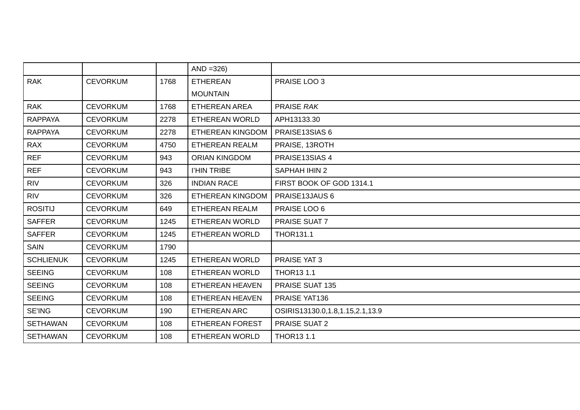|                  |                 |      | $AND = 326$            |                                 |
|------------------|-----------------|------|------------------------|---------------------------------|
| <b>RAK</b>       | <b>CEVORKUM</b> | 1768 | <b>ETHEREAN</b>        | PRAISE LOO 3                    |
|                  |                 |      | <b>MOUNTAIN</b>        |                                 |
| <b>RAK</b>       | <b>CEVORKUM</b> | 1768 | <b>ETHEREAN AREA</b>   | PRAISE RAK                      |
| <b>RAPPAYA</b>   | <b>CEVORKUM</b> | 2278 | ETHEREAN WORLD         | APH13133.30                     |
| <b>RAPPAYA</b>   | <b>CEVORKUM</b> | 2278 | ETHEREAN KINGDOM       | PRAISE13SIAS 6                  |
| <b>RAX</b>       | <b>CEVORKUM</b> | 4750 | ETHEREAN REALM         | PRAISE, 13ROTH                  |
| <b>REF</b>       | <b>CEVORKUM</b> | 943  | <b>ORIAN KINGDOM</b>   | PRAISE13SIAS 4                  |
| <b>REF</b>       | <b>CEVORKUM</b> | 943  | I'HIN TRIBE            | SAPHAH IHIN 2                   |
| <b>RIV</b>       | <b>CEVORKUM</b> | 326  | <b>INDIAN RACE</b>     | FIRST BOOK OF GOD 1314.1        |
| <b>RIV</b>       | <b>CEVORKUM</b> | 326  | ETHEREAN KINGDOM       | PRAISE13JAUS 6                  |
| <b>ROSITIJ</b>   | <b>CEVORKUM</b> | 649  | ETHEREAN REALM         | PRAISE LOO 6                    |
| <b>SAFFER</b>    | <b>CEVORKUM</b> | 1245 | ETHEREAN WORLD         | PRAISE SUAT 7                   |
| <b>SAFFER</b>    | <b>CEVORKUM</b> | 1245 | ETHEREAN WORLD         | <b>THOR131.1</b>                |
| <b>SAIN</b>      | <b>CEVORKUM</b> | 1790 |                        |                                 |
| <b>SCHLIENUK</b> | <b>CEVORKUM</b> | 1245 | <b>ETHEREAN WORLD</b>  | PRAISE YAT 3                    |
| <b>SEEING</b>    | <b>CEVORKUM</b> | 108  | ETHEREAN WORLD         | <b>THOR13 1.1</b>               |
| <b>SEEING</b>    | <b>CEVORKUM</b> | 108  | ETHEREAN HEAVEN        | <b>PRAISE SUAT 135</b>          |
| <b>SEEING</b>    | <b>CEVORKUM</b> | 108  | ETHEREAN HEAVEN        | PRAISE YAT136                   |
| <b>SE'ING</b>    | <b>CEVORKUM</b> | 190  | ETHEREAN ARC           | OSIRIS13130.0,1.8,1.15,2.1,13.9 |
| <b>SETHAWAN</b>  | <b>CEVORKUM</b> | 108  | <b>ETHEREAN FOREST</b> | <b>PRAISE SUAT 2</b>            |
| <b>SETHAWAN</b>  | <b>CEVORKUM</b> | 108  | ETHEREAN WORLD         | <b>THOR13 1.1</b>               |
|                  |                 |      |                        |                                 |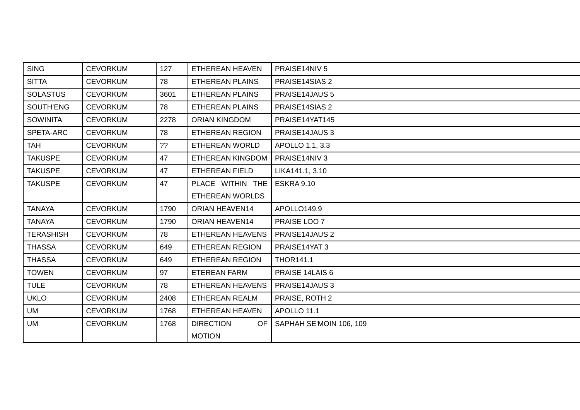| <b>SING</b>      | <b>CEVORKUM</b> | 127  | ETHEREAN HEAVEN         | PRAISE14NIV 5           |
|------------------|-----------------|------|-------------------------|-------------------------|
| <b>SITTA</b>     | <b>CEVORKUM</b> | 78   | <b>ETHEREAN PLAINS</b>  | PRAISE14SIAS 2          |
| <b>SOLASTUS</b>  | <b>CEVORKUM</b> | 3601 | <b>ETHEREAN PLAINS</b>  | PRAISE14JAUS 5          |
| SOUTH'ENG        | <b>CEVORKUM</b> | 78   | <b>ETHEREAN PLAINS</b>  | PRAISE14SIAS 2          |
| SOWINITA         | <b>CEVORKUM</b> | 2278 | <b>ORIAN KINGDOM</b>    | PRAISE14YAT145          |
| SPETA-ARC        | <b>CEVORKUM</b> | 78   | ETHEREAN REGION         | PRAISE14JAUS 3          |
| <b>TAH</b>       | <b>CEVORKUM</b> | ??   | ETHEREAN WORLD          | APOLLO 1.1, 3.3         |
| <b>TAKUSPE</b>   | <b>CEVORKUM</b> | 47   | ETHEREAN KINGDOM        | PRAISE14NIV 3           |
| <b>TAKUSPE</b>   | <b>CEVORKUM</b> | 47   | ETHEREAN FIELD          | LIKA141.1, 3.10         |
| <b>TAKUSPE</b>   | <b>CEVORKUM</b> | 47   | PLACE WITHIN THE        | <b>ESKRA 9.10</b>       |
|                  |                 |      | ETHEREAN WORLDS         |                         |
| <b>TANAYA</b>    | <b>CEVORKUM</b> | 1790 | <b>ORIAN HEAVEN14</b>   | APOLLO149.9             |
| <b>TANAYA</b>    | <b>CEVORKUM</b> | 1790 | <b>ORIAN HEAVEN14</b>   | PRAISE LOO 7            |
| <b>TERASHISH</b> | <b>CEVORKUM</b> | 78   | ETHEREAN HEAVENS        | PRAISE14JAUS 2          |
| <b>THASSA</b>    | <b>CEVORKUM</b> | 649  | ETHEREAN REGION         | PRAISE14YAT 3           |
| <b>THASSA</b>    | <b>CEVORKUM</b> | 649  | ETHEREAN REGION         | <b>THOR141.1</b>        |
| <b>TOWEN</b>     | <b>CEVORKUM</b> | 97   | ETEREAN FARM            | PRAISE 14LAIS 6         |
| <b>TULE</b>      | <b>CEVORKUM</b> | 78   | ETHEREAN HEAVENS        | PRAISE14JAUS 3          |
| <b>UKLO</b>      | <b>CEVORKUM</b> | 2408 | ETHEREAN REALM          | PRAISE, ROTH 2          |
| <b>UM</b>        | <b>CEVORKUM</b> | 1768 | ETHEREAN HEAVEN         | APOLLO 11.1             |
| <b>UM</b>        | <b>CEVORKUM</b> | 1768 | <b>DIRECTION</b><br>OF. | SAPHAH SE'MOIN 106, 109 |
|                  |                 |      | <b>MOTION</b>           |                         |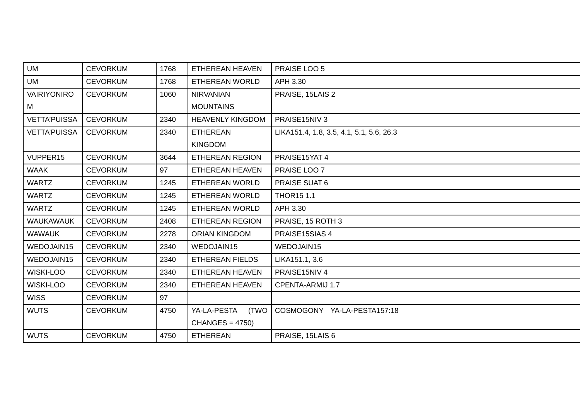| <b>UM</b>           | <b>CEVORKUM</b> | 1768 | ETHEREAN HEAVEN         | PRAISE LOO 5                             |
|---------------------|-----------------|------|-------------------------|------------------------------------------|
| <b>UM</b>           | <b>CEVORKUM</b> | 1768 | ETHEREAN WORLD          | APH 3.30                                 |
| <b>VAIRIYONIRO</b>  | <b>CEVORKUM</b> | 1060 | <b>NIRVANIAN</b>        | PRAISE, 15LAIS 2                         |
| M                   |                 |      | <b>MOUNTAINS</b>        |                                          |
| <b>VETTA'PUISSA</b> | <b>CEVORKUM</b> | 2340 | <b>HEAVENLY KINGDOM</b> | PRAISE15NIV 3                            |
| <b>VETTA'PUISSA</b> | <b>CEVORKUM</b> | 2340 | <b>ETHEREAN</b>         | LIKA151.4, 1.8, 3.5, 4.1, 5.1, 5.6, 26.3 |
|                     |                 |      | <b>KINGDOM</b>          |                                          |
| VUPPER15            | <b>CEVORKUM</b> | 3644 | ETHEREAN REGION         | PRAISE15YAT 4                            |
| <b>WAAK</b>         | <b>CEVORKUM</b> | 97   | ETHEREAN HEAVEN         | PRAISE LOO 7                             |
| <b>WARTZ</b>        | <b>CEVORKUM</b> | 1245 | ETHEREAN WORLD          | PRAISE SUAT 6                            |
| <b>WARTZ</b>        | <b>CEVORKUM</b> | 1245 | ETHEREAN WORLD          | <b>THOR15 1.1</b>                        |
| <b>WARTZ</b>        | <b>CEVORKUM</b> | 1245 | ETHEREAN WORLD          | APH 3.30                                 |
| <b>WAUKAWAUK</b>    | <b>CEVORKUM</b> | 2408 | <b>ETHEREAN REGION</b>  | PRAISE, 15 ROTH 3                        |
| <b>WAWAUK</b>       | <b>CEVORKUM</b> | 2278 | <b>ORIAN KINGDOM</b>    | PRAISE15SIAS 4                           |
| WEDOJAIN15          | <b>CEVORKUM</b> | 2340 | WEDOJAIN15              | WEDOJAIN15                               |
| WEDOJAIN15          | <b>CEVORKUM</b> | 2340 | ETHEREAN FIELDS         | LIKA151.1, 3.6                           |
| WISKI-LOO           | <b>CEVORKUM</b> | 2340 | ETHEREAN HEAVEN         | PRAISE15NIV 4                            |
| WISKI-LOO           | <b>CEVORKUM</b> | 2340 | ETHEREAN HEAVEN         | CPENTA-ARMIJ 1.7                         |
| <b>WISS</b>         | <b>CEVORKUM</b> | 97   |                         |                                          |
| <b>WUTS</b>         | <b>CEVORKUM</b> | 4750 | YA-LA-PESTA<br>(TWO     | COSMOGONY YA-LA-PESTA157:18              |
|                     |                 |      | $CHANGES = 4750$        |                                          |
| <b>WUTS</b>         | <b>CEVORKUM</b> | 4750 | <b>ETHEREAN</b>         | PRAISE, 15LAIS 6                         |
|                     |                 |      |                         |                                          |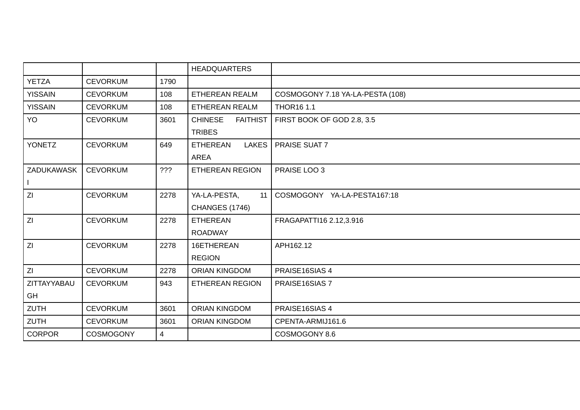|                   |                  |      | <b>HEADQUARTERS</b>               |                                  |
|-------------------|------------------|------|-----------------------------------|----------------------------------|
| <b>YETZA</b>      | <b>CEVORKUM</b>  | 1790 |                                   |                                  |
| <b>YISSAIN</b>    | <b>CEVORKUM</b>  | 108  | ETHEREAN REALM                    | COSMOGONY 7.18 YA-LA-PESTA (108) |
| <b>YISSAIN</b>    | <b>CEVORKUM</b>  | 108  | ETHEREAN REALM                    | <b>THOR16 1.1</b>                |
| YO                | <b>CEVORKUM</b>  | 3601 | <b>CHINESE</b><br><b>FAITHIST</b> | FIRST BOOK OF GOD 2.8, 3.5       |
|                   |                  |      | <b>TRIBES</b>                     |                                  |
| <b>YONETZ</b>     | <b>CEVORKUM</b>  | 649  | <b>LAKES</b><br><b>ETHEREAN</b>   | PRAISE SUAT 7                    |
|                   |                  |      | <b>AREA</b>                       |                                  |
| <b>ZADUKAWASK</b> | <b>CEVORKUM</b>  | ???  | ETHEREAN REGION                   | PRAISE LOO 3                     |
|                   |                  |      |                                   |                                  |
| ZI                | <b>CEVORKUM</b>  | 2278 | YA-LA-PESTA,<br>11                | COSMOGONY YA-LA-PESTA167:18      |
|                   |                  |      | <b>CHANGES (1746)</b>             |                                  |
| ZI                | <b>CEVORKUM</b>  | 2278 | <b>ETHEREAN</b>                   | FRAGAPATTI16 2.12,3.916          |
|                   |                  |      | <b>ROADWAY</b>                    |                                  |
| ZI                | <b>CEVORKUM</b>  | 2278 | 16ETHEREAN                        | APH162.12                        |
|                   |                  |      | <b>REGION</b>                     |                                  |
| ZI                | <b>CEVORKUM</b>  | 2278 | <b>ORIAN KINGDOM</b>              | PRAISE16SIAS 4                   |
| ZITTAYYABAU       | <b>CEVORKUM</b>  | 943  | ETHEREAN REGION                   | PRAISE16SIAS 7                   |
| GH                |                  |      |                                   |                                  |
| <b>ZUTH</b>       | <b>CEVORKUM</b>  | 3601 | <b>ORIAN KINGDOM</b>              | PRAISE16SIAS 4                   |
| <b>ZUTH</b>       | <b>CEVORKUM</b>  | 3601 | <b>ORIAN KINGDOM</b>              | CPENTA-ARMIJ161.6                |
| <b>CORPOR</b>     | <b>COSMOGONY</b> | 4    |                                   | COSMOGONY 8.6                    |
|                   |                  |      |                                   |                                  |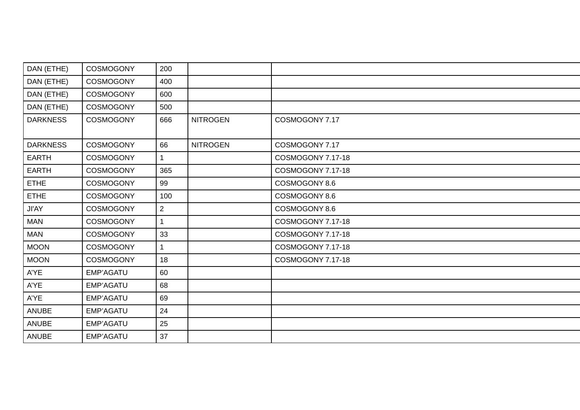| DAN (ETHE)      | <b>COSMOGONY</b> | 200            |                 |                   |
|-----------------|------------------|----------------|-----------------|-------------------|
| DAN (ETHE)      | <b>COSMOGONY</b> | 400            |                 |                   |
| DAN (ETHE)      | <b>COSMOGONY</b> | 600            |                 |                   |
| DAN (ETHE)      | COSMOGONY        | 500            |                 |                   |
| <b>DARKNESS</b> | <b>COSMOGONY</b> | 666            | <b>NITROGEN</b> | COSMOGONY 7.17    |
|                 |                  |                |                 |                   |
| <b>DARKNESS</b> | <b>COSMOGONY</b> | 66             | <b>NITROGEN</b> | COSMOGONY 7.17    |
| <b>EARTH</b>    | COSMOGONY        | $\mathbf{1}$   |                 | COSMOGONY 7.17-18 |
| <b>EARTH</b>    | <b>COSMOGONY</b> | 365            |                 | COSMOGONY 7.17-18 |
| <b>ETHE</b>     | <b>COSMOGONY</b> | 99             |                 | COSMOGONY 8.6     |
| <b>ETHE</b>     | COSMOGONY        | 100            |                 | COSMOGONY 8.6     |
| JI'AY           | <b>COSMOGONY</b> | $\overline{2}$ |                 | COSMOGONY 8.6     |
| <b>MAN</b>      | <b>COSMOGONY</b> | $\mathbf{1}$   |                 | COSMOGONY 7.17-18 |
| <b>MAN</b>      | COSMOGONY        | 33             |                 | COSMOGONY 7.17-18 |
| <b>MOON</b>     | <b>COSMOGONY</b> | $\mathbf{1}$   |                 | COSMOGONY 7.17-18 |
| <b>MOON</b>     | COSMOGONY        | 18             |                 | COSMOGONY 7.17-18 |
| A'YE            | EMP'AGATU        | 60             |                 |                   |
| A'YE            | EMP'AGATU        | 68             |                 |                   |
| A'YE            | <b>EMP'AGATU</b> | 69             |                 |                   |
| <b>ANUBE</b>    | <b>EMP'AGATU</b> | 24             |                 |                   |
| ANUBE           | EMP'AGATU        | 25             |                 |                   |
| <b>ANUBE</b>    | <b>EMP'AGATU</b> | 37             |                 |                   |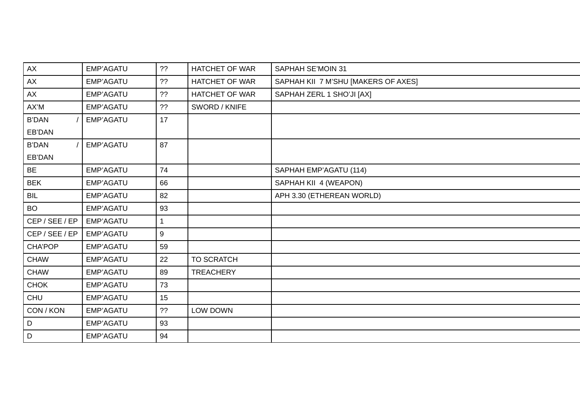| AX             | EMP'AGATU        | ??           | <b>HATCHET OF WAR</b> | SAPHAH SE'MOIN 31                   |
|----------------|------------------|--------------|-----------------------|-------------------------------------|
| <b>AX</b>      | EMP'AGATU        | 22           | HATCHET OF WAR        | SAPHAH KII 7 M'SHU [MAKERS OF AXES] |
| AX             | EMP'AGATU        | ??           | HATCHET OF WAR        | SAPHAH ZERL 1 SHO'JI [AX]           |
| AX'M           | EMP'AGATU        | ??           | SWORD / KNIFE         |                                     |
| <b>B'DAN</b>   | EMP'AGATU        | 17           |                       |                                     |
| EB'DAN         |                  |              |                       |                                     |
| <b>B'DAN</b>   | <b>EMP'AGATU</b> | 87           |                       |                                     |
| EB'DAN         |                  |              |                       |                                     |
| <b>BE</b>      | <b>EMP'AGATU</b> | 74           |                       | SAPHAH EMP'AGATU (114)              |
| <b>BEK</b>     | EMP'AGATU        | 66           |                       | SAPHAH KII 4 (WEAPON)               |
| <b>BIL</b>     | <b>EMP'AGATU</b> | 82           |                       | APH 3.30 (ETHEREAN WORLD)           |
| <b>BO</b>      | EMP'AGATU        | 93           |                       |                                     |
| CEP / SEE / EP | EMP'AGATU        | $\mathbf{1}$ |                       |                                     |
| CEP / SEE / EP | EMP'AGATU        | 9            |                       |                                     |
| CHA'POP        | EMP'AGATU        | 59           |                       |                                     |
| <b>CHAW</b>    | EMP'AGATU        | 22           | <b>TO SCRATCH</b>     |                                     |
| <b>CHAW</b>    | EMP'AGATU        | 89           | <b>TREACHERY</b>      |                                     |
| <b>CHOK</b>    | EMP'AGATU        | 73           |                       |                                     |
| <b>CHU</b>     | EMP'AGATU        | 15           |                       |                                     |
| CON / KON      | EMP'AGATU        | ??           | LOW DOWN              |                                     |
| D              | EMP'AGATU        | 93           |                       |                                     |
| D              | EMP'AGATU        | 94           |                       |                                     |
|                |                  |              |                       |                                     |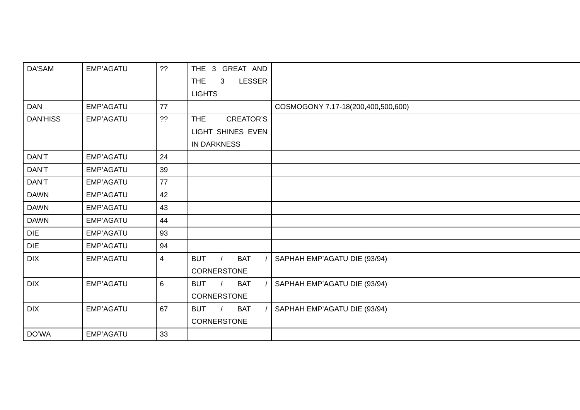| DA'SAM          | <b>EMP'AGATU</b> | ??             | THE 3 GREAT AND                                          |
|-----------------|------------------|----------------|----------------------------------------------------------|
|                 |                  |                | <b>LESSER</b><br><b>THE</b><br>3                         |
|                 |                  |                | <b>LIGHTS</b>                                            |
| <b>DAN</b>      | <b>EMP'AGATU</b> | 77             | COSMOGONY 7.17-18(200,400,500,600)                       |
| <b>DAN'HISS</b> | EMP'AGATU        | ??             | <b>THE</b><br><b>CREATOR'S</b>                           |
|                 |                  |                | LIGHT SHINES EVEN                                        |
|                 |                  |                | <b>IN DARKNESS</b>                                       |
| DAN'T           | EMP'AGATU        | 24             |                                                          |
| DAN'T           | EMP'AGATU        | 39             |                                                          |
| DAN'T           | EMP'AGATU        | 77             |                                                          |
| <b>DAWN</b>     | EMP'AGATU        | 42             |                                                          |
| <b>DAWN</b>     | EMP'AGATU        | 43             |                                                          |
| <b>DAWN</b>     | EMP'AGATU        | 44             |                                                          |
| <b>DIE</b>      | EMP'AGATU        | 93             |                                                          |
| <b>DIE</b>      | EMP'AGATU        | 94             |                                                          |
| <b>DIX</b>      | EMP'AGATU        | $\overline{4}$ | <b>BUT</b><br><b>BAT</b><br>SAPHAH EMP'AGATU DIE (93/94) |
|                 |                  |                | CORNERSTONE                                              |
| <b>DIX</b>      | EMP'AGATU        | 6              | <b>BAT</b><br>SAPHAH EMP'AGATU DIE (93/94)<br><b>BUT</b> |
|                 |                  |                | CORNERSTONE                                              |
| <b>DIX</b>      | <b>EMP'AGATU</b> | 67             | <b>BUT</b><br><b>BAT</b><br>SAPHAH EMP'AGATU DIE (93/94) |
|                 |                  |                | CORNERSTONE                                              |
| DO'WA           | <b>EMP'AGATU</b> | 33             |                                                          |
|                 |                  |                |                                                          |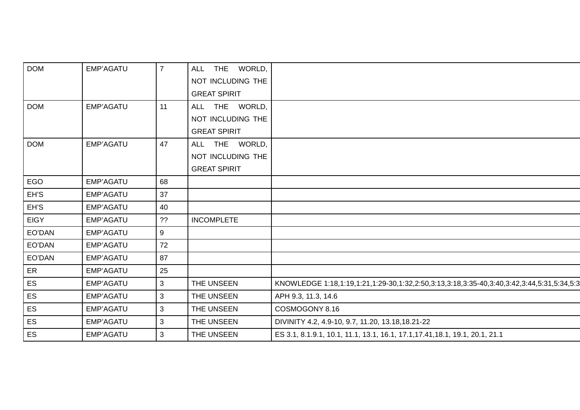| <b>DOM</b>  | EMP'AGATU        | $\overline{7}$ | THE WORLD,<br>ALL   |                                                                                           |
|-------------|------------------|----------------|---------------------|-------------------------------------------------------------------------------------------|
|             |                  |                | NOT INCLUDING THE   |                                                                                           |
|             |                  |                | <b>GREAT SPIRIT</b> |                                                                                           |
| <b>DOM</b>  | EMP'AGATU        | 11             | ALL THE WORLD,      |                                                                                           |
|             |                  |                | NOT INCLUDING THE   |                                                                                           |
|             |                  |                | <b>GREAT SPIRIT</b> |                                                                                           |
| <b>DOM</b>  | <b>EMP'AGATU</b> | 47             | ALL THE WORLD,      |                                                                                           |
|             |                  |                | NOT INCLUDING THE   |                                                                                           |
|             |                  |                | <b>GREAT SPIRIT</b> |                                                                                           |
| EGO         | EMP'AGATU        | 68             |                     |                                                                                           |
| EH'S        | EMP'AGATU        | 37             |                     |                                                                                           |
| EH'S        | EMP'AGATU        | 40             |                     |                                                                                           |
| <b>EIGY</b> | EMP'AGATU        | ??             | <b>INCOMPLETE</b>   |                                                                                           |
| EO'DAN      | EMP'AGATU        | 9              |                     |                                                                                           |
| EO'DAN      | EMP'AGATU        | 72             |                     |                                                                                           |
| EO'DAN      | EMP'AGATU        | 87             |                     |                                                                                           |
| ER          | EMP'AGATU        | 25             |                     |                                                                                           |
| ES          | EMP'AGATU        | 3              | THE UNSEEN          | KNOWLEDGE 1:18,1:19,1:21,1:29-30,1:32,2:50,3:13,3:18,3:35-40,3:40,3:42,3:44,5:31,5:34,5:3 |
| ES          | EMP'AGATU        | 3              | THE UNSEEN          | APH 9.3, 11.3, 14.6                                                                       |
| ES          | EMP'AGATU        | $\mathbf{3}$   | THE UNSEEN          | COSMOGONY 8.16                                                                            |
| ES          | EMP'AGATU        | 3              | THE UNSEEN          | DIVINITY 4.2, 4.9-10, 9.7, 11.20, 13.18,18.21-22                                          |
| ES          | EMP'AGATU        | 3              | THE UNSEEN          | ES 3.1, 8.1.9.1, 10.1, 11.1, 13.1, 16.1, 17.1, 17.41, 18.1, 19.1, 20.1, 21.1              |
|             |                  |                |                     |                                                                                           |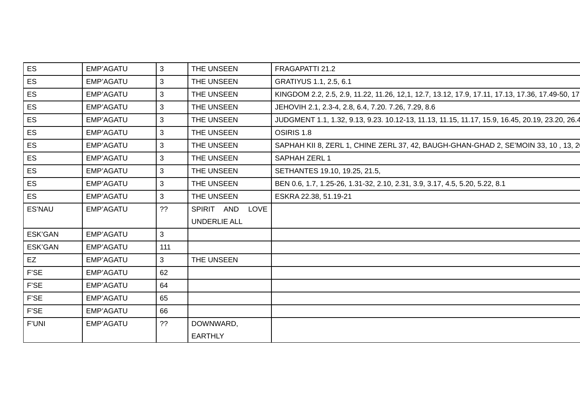| $\mathsf{3}$<br>GRATIYUS 1.1, 2.5, 6.1<br>EMP'AGATU<br>THE UNSEEN<br>3<br>EMP'AGATU<br>THE UNSEEN<br>3<br><b>EMP'AGATU</b><br>THE UNSEEN<br>JEHOVIH 2.1, 2.3-4, 2.8, 6.4, 7.20. 7.26, 7.29, 8.6<br>3<br>EMP'AGATU<br>THE UNSEEN<br>3<br>OSIRIS 1.8<br><b>EMP'AGATU</b><br>THE UNSEEN<br>3<br><b>EMP'AGATU</b><br>THE UNSEEN<br>3<br><b>EMP'AGATU</b><br>THE UNSEEN<br>SAPHAH ZERL 1<br>3<br><b>EMP'AGATU</b><br>THE UNSEEN<br>SETHANTES 19.10, 19.25, 21.5,<br>3<br><b>EMP'AGATU</b><br>THE UNSEEN<br>BEN 0.6, 1.7, 1.25-26, 1.31-32, 2.10, 2.31, 3.9, 3.17, 4.5, 5.20, 5.22, 8.1<br>3<br>THE UNSEEN<br><b>EMP'AGATU</b><br>ESKRA 22.38, 51.19-21<br>??<br>SPIRIT AND<br>LOVE<br><b>EMP'AGATU</b><br>UNDERLIE ALL<br>$\mathbf{3}$<br><b>EMP'AGATU</b><br>111<br><b>EMP'AGATU</b><br>3<br><b>EMP'AGATU</b><br>THE UNSEEN<br>62<br><b>EMP'AGATU</b><br>64<br><b>EMP'AGATU</b><br>65<br><b>EMP'AGATU</b><br>66<br><b>EMP'AGATU</b><br>??<br>DOWNWARD,<br>EMP'AGATU<br><b>EARTHLY</b> | ES           | <b>EMP'AGATU</b> | $\mathbf{3}$ | THE UNSEEN | FRAGAPATTI 21.2                                                                                 |
|-----------------------------------------------------------------------------------------------------------------------------------------------------------------------------------------------------------------------------------------------------------------------------------------------------------------------------------------------------------------------------------------------------------------------------------------------------------------------------------------------------------------------------------------------------------------------------------------------------------------------------------------------------------------------------------------------------------------------------------------------------------------------------------------------------------------------------------------------------------------------------------------------------------------------------------------------------------------------------------|--------------|------------------|--------------|------------|-------------------------------------------------------------------------------------------------|
|                                                                                                                                                                                                                                                                                                                                                                                                                                                                                                                                                                                                                                                                                                                                                                                                                                                                                                                                                                                   | ES           |                  |              |            |                                                                                                 |
|                                                                                                                                                                                                                                                                                                                                                                                                                                                                                                                                                                                                                                                                                                                                                                                                                                                                                                                                                                                   | ES           |                  |              |            | KINGDOM 2.2, 2.5, 2.9, 11.22, 11.26, 12,1, 12.7, 13.12, 17.9, 17.11, 17.13, 17.36, 17.49-50, 17 |
|                                                                                                                                                                                                                                                                                                                                                                                                                                                                                                                                                                                                                                                                                                                                                                                                                                                                                                                                                                                   | ES           |                  |              |            |                                                                                                 |
|                                                                                                                                                                                                                                                                                                                                                                                                                                                                                                                                                                                                                                                                                                                                                                                                                                                                                                                                                                                   | ES           |                  |              |            | JUDGMENT 1.1, 1.32, 9.13, 9.23. 10.12-13, 11.13, 11.15, 11.17, 15.9, 16.45, 20.19, 23.20, 26.4  |
|                                                                                                                                                                                                                                                                                                                                                                                                                                                                                                                                                                                                                                                                                                                                                                                                                                                                                                                                                                                   | ES           |                  |              |            |                                                                                                 |
|                                                                                                                                                                                                                                                                                                                                                                                                                                                                                                                                                                                                                                                                                                                                                                                                                                                                                                                                                                                   | ES           |                  |              |            | SAPHAH KII 8, ZERL 1, CHINE ZERL 37, 42, BAUGH-GHAN-GHAD 2, SE'MOIN 33, 10, 13, 2               |
|                                                                                                                                                                                                                                                                                                                                                                                                                                                                                                                                                                                                                                                                                                                                                                                                                                                                                                                                                                                   | <b>ES</b>    |                  |              |            |                                                                                                 |
|                                                                                                                                                                                                                                                                                                                                                                                                                                                                                                                                                                                                                                                                                                                                                                                                                                                                                                                                                                                   | <b>ES</b>    |                  |              |            |                                                                                                 |
|                                                                                                                                                                                                                                                                                                                                                                                                                                                                                                                                                                                                                                                                                                                                                                                                                                                                                                                                                                                   | ES           |                  |              |            |                                                                                                 |
|                                                                                                                                                                                                                                                                                                                                                                                                                                                                                                                                                                                                                                                                                                                                                                                                                                                                                                                                                                                   | <b>ES</b>    |                  |              |            |                                                                                                 |
|                                                                                                                                                                                                                                                                                                                                                                                                                                                                                                                                                                                                                                                                                                                                                                                                                                                                                                                                                                                   | ES'NAU       |                  |              |            |                                                                                                 |
|                                                                                                                                                                                                                                                                                                                                                                                                                                                                                                                                                                                                                                                                                                                                                                                                                                                                                                                                                                                   |              |                  |              |            |                                                                                                 |
|                                                                                                                                                                                                                                                                                                                                                                                                                                                                                                                                                                                                                                                                                                                                                                                                                                                                                                                                                                                   | ESK'GAN      |                  |              |            |                                                                                                 |
|                                                                                                                                                                                                                                                                                                                                                                                                                                                                                                                                                                                                                                                                                                                                                                                                                                                                                                                                                                                   | ESK'GAN      |                  |              |            |                                                                                                 |
|                                                                                                                                                                                                                                                                                                                                                                                                                                                                                                                                                                                                                                                                                                                                                                                                                                                                                                                                                                                   | EZ           |                  |              |            |                                                                                                 |
|                                                                                                                                                                                                                                                                                                                                                                                                                                                                                                                                                                                                                                                                                                                                                                                                                                                                                                                                                                                   | F'SE         |                  |              |            |                                                                                                 |
|                                                                                                                                                                                                                                                                                                                                                                                                                                                                                                                                                                                                                                                                                                                                                                                                                                                                                                                                                                                   | F'SE         |                  |              |            |                                                                                                 |
|                                                                                                                                                                                                                                                                                                                                                                                                                                                                                                                                                                                                                                                                                                                                                                                                                                                                                                                                                                                   | F'SE         |                  |              |            |                                                                                                 |
|                                                                                                                                                                                                                                                                                                                                                                                                                                                                                                                                                                                                                                                                                                                                                                                                                                                                                                                                                                                   | F'SE         |                  |              |            |                                                                                                 |
|                                                                                                                                                                                                                                                                                                                                                                                                                                                                                                                                                                                                                                                                                                                                                                                                                                                                                                                                                                                   | <b>F'UNI</b> |                  |              |            |                                                                                                 |
|                                                                                                                                                                                                                                                                                                                                                                                                                                                                                                                                                                                                                                                                                                                                                                                                                                                                                                                                                                                   |              |                  |              |            |                                                                                                 |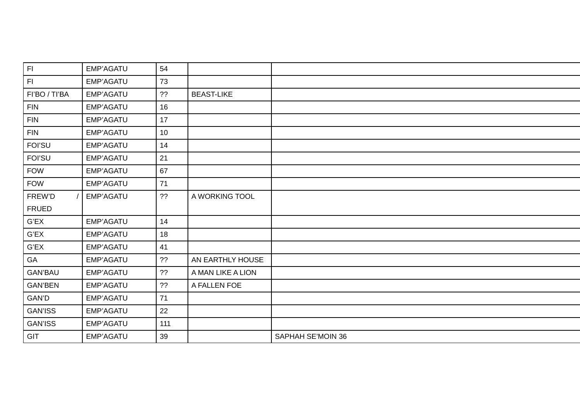| F <sub>1</sub> | EMP'AGATU | 54  |                   |                   |
|----------------|-----------|-----|-------------------|-------------------|
| F <sub>1</sub> | EMP'AGATU | 73  |                   |                   |
| FI'BO / TI'BA  | EMP'AGATU | ??  | <b>BEAST-LIKE</b> |                   |
| <b>FIN</b>     | EMP'AGATU | 16  |                   |                   |
| <b>FIN</b>     | EMP'AGATU | 17  |                   |                   |
| <b>FIN</b>     | EMP'AGATU | 10  |                   |                   |
| FOI'SU         | EMP'AGATU | 14  |                   |                   |
| FOI'SU         | EMP'AGATU | 21  |                   |                   |
| <b>FOW</b>     | EMP'AGATU | 67  |                   |                   |
| <b>FOW</b>     | EMP'AGATU | 71  |                   |                   |
| FREW'D         | EMP'AGATU | ??  | A WORKING TOOL    |                   |
| <b>FRUED</b>   |           |     |                   |                   |
| G'EX           | EMP'AGATU | 14  |                   |                   |
| G'EX           | EMP'AGATU | 18  |                   |                   |
| G'EX           | EMP'AGATU | 41  |                   |                   |
| GA             | EMP'AGATU | ??  | AN EARTHLY HOUSE  |                   |
| <b>GAN'BAU</b> | EMP'AGATU | ??  | A MAN LIKE A LION |                   |
| <b>GAN'BEN</b> | EMP'AGATU | ??  | A FALLEN FOE      |                   |
| GAN'D          | EMP'AGATU | 71  |                   |                   |
| <b>GAN'ISS</b> | EMP'AGATU | 22  |                   |                   |
| <b>GAN'ISS</b> | EMP'AGATU | 111 |                   |                   |
| GIT            | EMP'AGATU | 39  |                   | SAPHAH SE'MOIN 36 |
|                |           |     |                   |                   |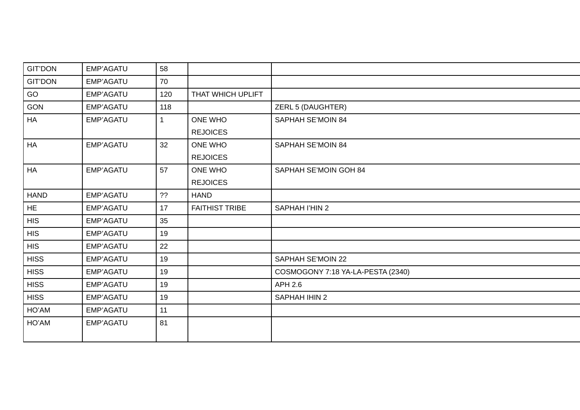| <b>GIT'DON</b> | EMP'AGATU | 58           |                       |                                   |
|----------------|-----------|--------------|-----------------------|-----------------------------------|
| <b>GIT'DON</b> | EMP'AGATU | 70           |                       |                                   |
| GO             | EMP'AGATU | 120          | THAT WHICH UPLIFT     |                                   |
| <b>GON</b>     | EMP'AGATU | 118          |                       | ZERL 5 (DAUGHTER)                 |
| HA             | EMP'AGATU | $\mathbf{1}$ | ONE WHO               | SAPHAH SE'MOIN 84                 |
|                |           |              | <b>REJOICES</b>       |                                   |
| HA             | EMP'AGATU | 32           | ONE WHO               | SAPHAH SE'MOIN 84                 |
|                |           |              | <b>REJOICES</b>       |                                   |
| HA             | EMP'AGATU | 57           | ONE WHO               | SAPHAH SE'MOIN GOH 84             |
|                |           |              | <b>REJOICES</b>       |                                   |
| <b>HAND</b>    | EMP'AGATU | 22           | <b>HAND</b>           |                                   |
| HE             | EMP'AGATU | 17           | <b>FAITHIST TRIBE</b> | SAPHAH I'HIN 2                    |
| <b>HIS</b>     | EMP'AGATU | 35           |                       |                                   |
| <b>HIS</b>     | EMP'AGATU | 19           |                       |                                   |
| <b>HIS</b>     | EMP'AGATU | 22           |                       |                                   |
| <b>HISS</b>    | EMP'AGATU | 19           |                       | SAPHAH SE'MOIN 22                 |
| <b>HISS</b>    | EMP'AGATU | 19           |                       | COSMOGONY 7:18 YA-LA-PESTA (2340) |
| <b>HISS</b>    | EMP'AGATU | 19           |                       | APH 2.6                           |
| <b>HISS</b>    | EMP'AGATU | 19           |                       | SAPHAH IHIN 2                     |
| HO'AM          | EMP'AGATU | 11           |                       |                                   |
| HO'AM          | EMP'AGATU | 81           |                       |                                   |
|                |           |              |                       |                                   |
|                |           |              |                       |                                   |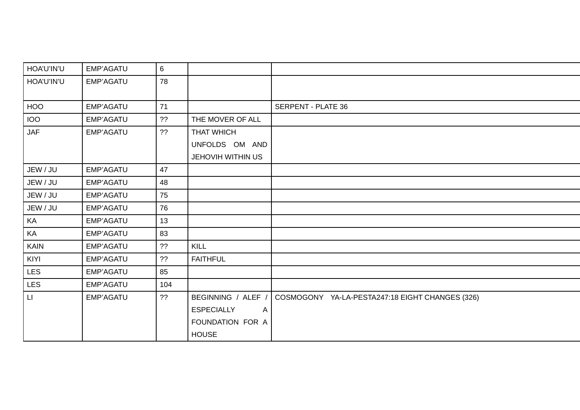| HOA'U'IN'U             | EMP'AGATU        | 6   |                          |                                                 |
|------------------------|------------------|-----|--------------------------|-------------------------------------------------|
| HOA'U'IN'U             | EMP'AGATU        | 78  |                          |                                                 |
|                        |                  |     |                          |                                                 |
| <b>HOO</b>             | EMP'AGATU        | 71  |                          | <b>SERPENT - PLATE 36</b>                       |
| <b>IOO</b>             | EMP'AGATU        | ??  | THE MOVER OF ALL         |                                                 |
| <b>JAF</b>             | EMP'AGATU        | ??  | <b>THAT WHICH</b>        |                                                 |
|                        |                  |     | UNFOLDS OM AND           |                                                 |
|                        |                  |     | <b>JEHOVIH WITHIN US</b> |                                                 |
| JEW / JU               | EMP'AGATU        | 47  |                          |                                                 |
| JEW / JU               | <b>EMP'AGATU</b> | 48  |                          |                                                 |
| JEW / JU               | EMP'AGATU        | 75  |                          |                                                 |
| JEW / JU               | EMP'AGATU        | 76  |                          |                                                 |
| KA                     | EMP'AGATU        | 13  |                          |                                                 |
| KA                     | EMP'AGATU        | 83  |                          |                                                 |
| KAIN                   | EMP'AGATU        | 22  | KILL                     |                                                 |
| KIYI                   | EMP'AGATU        | ??  | <b>FAITHFUL</b>          |                                                 |
| <b>LES</b>             | EMP'AGATU        | 85  |                          |                                                 |
| <b>LES</b>             | EMP'AGATU        | 104 |                          |                                                 |
| $\mathsf{L}\mathsf{I}$ | EMP'AGATU        | ??  | BEGINNING / ALEF /       | COSMOGONY YA-LA-PESTA247:18 EIGHT CHANGES (326) |
|                        |                  |     | <b>ESPECIALLY</b><br>A   |                                                 |
|                        |                  |     | FOUNDATION FOR A         |                                                 |
|                        |                  |     | <b>HOUSE</b>             |                                                 |
|                        |                  |     |                          |                                                 |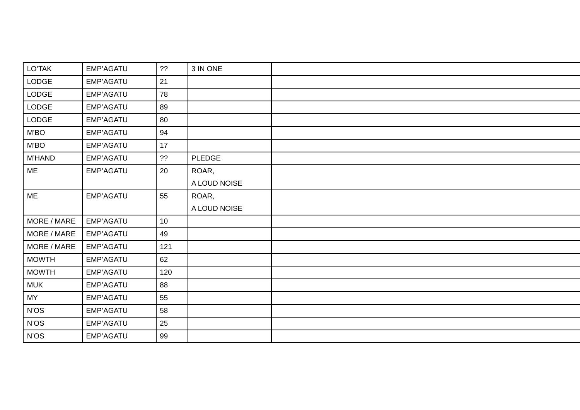| LO'TAK        | EMP'AGATU        | ??  | 3 IN ONE      |  |
|---------------|------------------|-----|---------------|--|
| LODGE         | EMP'AGATU        | 21  |               |  |
| LODGE         | EMP'AGATU        | 78  |               |  |
| LODGE         | EMP'AGATU        | 89  |               |  |
| LODGE         | EMP'AGATU        | 80  |               |  |
| M'BO          | EMP'AGATU        | 94  |               |  |
| M'BO          | EMP'AGATU        | 17  |               |  |
| <b>M'HAND</b> | EMP'AGATU        | ??  | <b>PLEDGE</b> |  |
| ME            | EMP'AGATU        | 20  | ROAR,         |  |
|               |                  |     | A LOUD NOISE  |  |
| ME            | EMP'AGATU        | 55  | ROAR,         |  |
|               |                  |     | A LOUD NOISE  |  |
| MORE / MARE   | EMP'AGATU        | 10  |               |  |
| MORE / MARE   | <b>EMP'AGATU</b> | 49  |               |  |
| MORE / MARE   | EMP'AGATU        | 121 |               |  |
| <b>MOWTH</b>  | EMP'AGATU        | 62  |               |  |
| <b>MOWTH</b>  | EMP'AGATU        | 120 |               |  |
| <b>MUK</b>    | EMP'AGATU        | 88  |               |  |
| MY            | EMP'AGATU        | 55  |               |  |
| N'OS          | EMP'AGATU        | 58  |               |  |
| N'OS          | EMP'AGATU        | 25  |               |  |
| N'OS          | EMP'AGATU        | 99  |               |  |
|               |                  |     |               |  |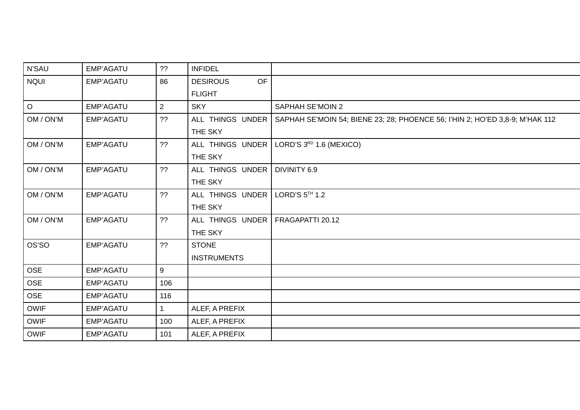| N'SAU       | <b>EMP'AGATU</b> | 22             | <b>INFIDEL</b>                    |                                                                              |
|-------------|------------------|----------------|-----------------------------------|------------------------------------------------------------------------------|
| <b>NQUI</b> | EMP'AGATU        | 86             | <b>OF</b><br><b>DESIROUS</b>      |                                                                              |
|             |                  |                | <b>FLIGHT</b>                     |                                                                              |
| $\mathsf O$ | EMP'AGATU        | $\overline{2}$ | <b>SKY</b>                        | <b>SAPHAH SE'MOIN 2</b>                                                      |
| OM / ON'M   | EMP'AGATU        | ??             | ALL THINGS UNDER                  | SAPHAH SE'MOIN 54; BIENE 23; 28; PHOENCE 56; I'HIN 2; HO'ED 3,8-9; M'HAK 112 |
|             |                  |                | THE SKY                           |                                                                              |
| OM / ON'M   | EMP'AGATU        | ??             |                                   | ALL THINGS UNDER   LORD'S 3RD 1.6 (MEXICO)                                   |
|             |                  |                | THE SKY                           |                                                                              |
| OM / ON'M   | EMP'AGATU        | ??             | ALL THINGS UNDER                  | DIVINITY 6.9                                                                 |
|             |                  |                | THE SKY                           |                                                                              |
| OM / ON'M   | <b>EMP'AGATU</b> | ??             | ALL THINGS UNDER   LORD'S 5TH 1.2 |                                                                              |
|             |                  |                | THE SKY                           |                                                                              |
| OM / ON'M   | <b>EMP'AGATU</b> | ??             | ALL THINGS UNDER                  | FRAGAPATTI 20.12                                                             |
|             |                  |                | THE SKY                           |                                                                              |
| OS'SO       | <b>EMP'AGATU</b> | 22             | <b>STONE</b>                      |                                                                              |
|             |                  |                | <b>INSTRUMENTS</b>                |                                                                              |
| <b>OSE</b>  | EMP'AGATU        | 9              |                                   |                                                                              |
| OSE         | <b>EMP'AGATU</b> | 106            |                                   |                                                                              |
| OSE         | EMP'AGATU        | 116            |                                   |                                                                              |
| <b>OWIF</b> | EMP'AGATU        | $\mathbf{1}$   | ALEF, A PREFIX                    |                                                                              |
| OWIF        | EMP'AGATU        | 100            | ALEF, A PREFIX                    |                                                                              |
| OWIF        | EMP'AGATU        | 101            | ALEF, A PREFIX                    |                                                                              |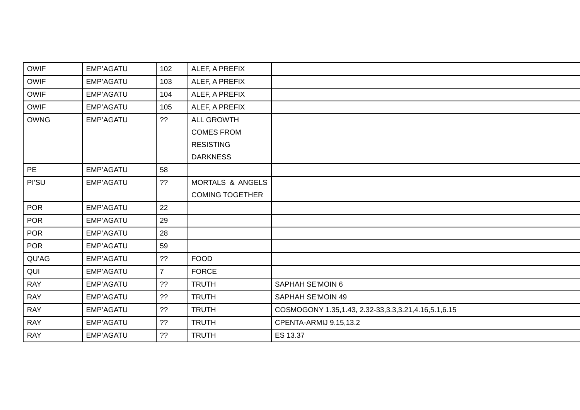| <b>OWIF</b> | <b>EMP'AGATU</b> | 102            | ALEF, A PREFIX         |                                                           |
|-------------|------------------|----------------|------------------------|-----------------------------------------------------------|
| <b>OWIF</b> | EMP'AGATU        | 103            | ALEF, A PREFIX         |                                                           |
| <b>OWIF</b> | EMP'AGATU        | 104            | ALEF, A PREFIX         |                                                           |
| <b>OWIF</b> | EMP'AGATU        | 105            | ALEF, A PREFIX         |                                                           |
| <b>OWNG</b> | <b>EMP'AGATU</b> | 22             | <b>ALL GROWTH</b>      |                                                           |
|             |                  |                | <b>COMES FROM</b>      |                                                           |
|             |                  |                | <b>RESISTING</b>       |                                                           |
|             |                  |                | <b>DARKNESS</b>        |                                                           |
| PE          | EMP'AGATU        | 58             |                        |                                                           |
| PI'SU       | EMP'AGATU        | ??             | MORTALS & ANGELS       |                                                           |
|             |                  |                | <b>COMING TOGETHER</b> |                                                           |
| <b>POR</b>  | EMP'AGATU        | 22             |                        |                                                           |
| <b>POR</b>  | EMP'AGATU        | 29             |                        |                                                           |
| <b>POR</b>  | EMP'AGATU        | 28             |                        |                                                           |
| <b>POR</b>  | <b>EMP'AGATU</b> | 59             |                        |                                                           |
| QU'AG       | EMP'AGATU        | 22             | <b>FOOD</b>            |                                                           |
| QUI         | EMP'AGATU        | $\overline{7}$ | <b>FORCE</b>           |                                                           |
| <b>RAY</b>  | <b>EMP'AGATU</b> | ??             | <b>TRUTH</b>           | SAPHAH SE'MOIN 6                                          |
| <b>RAY</b>  | EMP'AGATU        | ??             | <b>TRUTH</b>           | SAPHAH SE'MOIN 49                                         |
| <b>RAY</b>  | EMP'AGATU        | ??             | <b>TRUTH</b>           | COSMOGONY 1.35, 1.43, 2.32-33, 3.3, 3.21, 4.16, 5.1, 6.15 |
| <b>RAY</b>  | EMP'AGATU        | 22             | <b>TRUTH</b>           | CPENTA-ARMIJ 9.15,13.2                                    |
| <b>RAY</b>  | EMP'AGATU        | ??             | <b>TRUTH</b>           | ES 13.37                                                  |
|             |                  |                |                        |                                                           |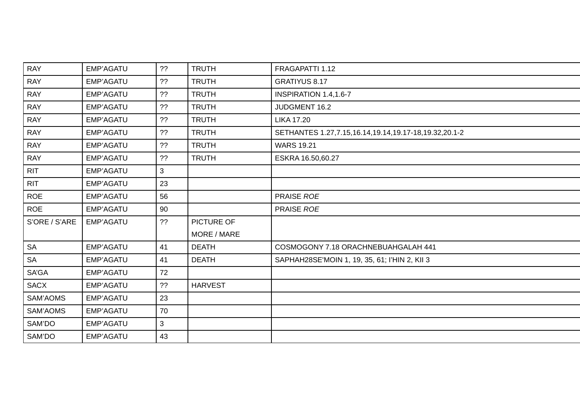| <b>RAY</b>    | EMP'AGATU        | ?? | <b>TRUTH</b>   | FRAGAPATTI 1.12                                             |
|---------------|------------------|----|----------------|-------------------------------------------------------------|
| <b>RAY</b>    | <b>EMP'AGATU</b> | 22 | <b>TRUTH</b>   | GRATIYUS 8.17                                               |
| <b>RAY</b>    | EMP'AGATU        | ?? | <b>TRUTH</b>   | INSPIRATION 1.4,1.6-7                                       |
| <b>RAY</b>    | EMP'AGATU        | 22 | <b>TRUTH</b>   | JUDGMENT 16.2                                               |
| <b>RAY</b>    | <b>EMP'AGATU</b> | ?? | <b>TRUTH</b>   | <b>LIKA 17.20</b>                                           |
| <b>RAY</b>    | EMP'AGATU        | ?? | <b>TRUTH</b>   | SETHANTES 1.27, 7.15, 16.14, 19.14, 19.17-18, 19.32, 20.1-2 |
| <b>RAY</b>    | EMP'AGATU        | ?? | <b>TRUTH</b>   | <b>WARS 19.21</b>                                           |
| <b>RAY</b>    | <b>EMP'AGATU</b> | ?? | <b>TRUTH</b>   | ESKRA 16.50,60.27                                           |
| <b>RIT</b>    | EMP'AGATU        | 3  |                |                                                             |
| <b>RIT</b>    | EMP'AGATU        | 23 |                |                                                             |
| <b>ROE</b>    | <b>EMP'AGATU</b> | 56 |                | PRAISE ROE                                                  |
| <b>ROE</b>    | EMP'AGATU        | 90 |                | PRAISE ROE                                                  |
| S'ORE / S'ARE | EMP'AGATU        | 22 | PICTURE OF     |                                                             |
|               |                  |    | MORE / MARE    |                                                             |
| <b>SA</b>     | <b>EMP'AGATU</b> | 41 | <b>DEATH</b>   | COSMOGONY 7.18 ORACHNEBUAHGALAH 441                         |
| <b>SA</b>     | EMP'AGATU        | 41 | <b>DEATH</b>   | SAPHAH28SE'MOIN 1, 19, 35, 61; I'HIN 2, KII 3               |
| SA'GA         | <b>EMP'AGATU</b> | 72 |                |                                                             |
| <b>SACX</b>   | EMP'AGATU        | ?? | <b>HARVEST</b> |                                                             |
| SAM'AOMS      | EMP'AGATU        | 23 |                |                                                             |
| SAM'AOMS      | <b>EMP'AGATU</b> | 70 |                |                                                             |
| SAM'DO        | EMP'AGATU        | 3  |                |                                                             |
| SAM'DO        | EMP'AGATU        | 43 |                |                                                             |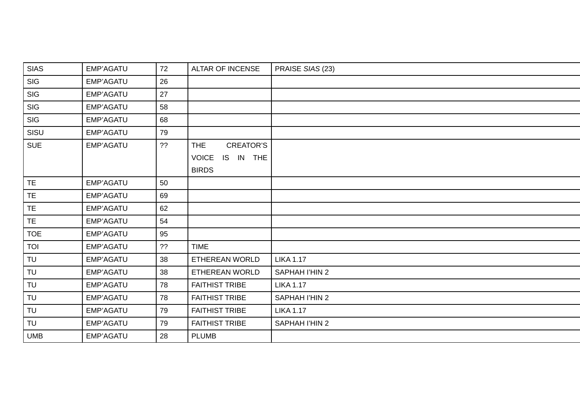| <b>SIAS</b> | EMP'AGATU | 72 | <b>ALTAR OF INCENSE</b>        | PRAISE SIAS (23) |
|-------------|-----------|----|--------------------------------|------------------|
| SIG         | EMP'AGATU | 26 |                                |                  |
| SIG         | EMP'AGATU | 27 |                                |                  |
| <b>SIG</b>  | EMP'AGATU | 58 |                                |                  |
| SIG         | EMP'AGATU | 68 |                                |                  |
| SISU        | EMP'AGATU | 79 |                                |                  |
| <b>SUE</b>  | EMP'AGATU | ?? | <b>THE</b><br><b>CREATOR'S</b> |                  |
|             |           |    | <b>VOICE</b><br>IS<br>IN THE   |                  |
|             |           |    | <b>BIRDS</b>                   |                  |
| <b>TE</b>   | EMP'AGATU | 50 |                                |                  |
| <b>TE</b>   | EMP'AGATU | 69 |                                |                  |
| <b>TE</b>   | EMP'AGATU | 62 |                                |                  |
| <b>TE</b>   | EMP'AGATU | 54 |                                |                  |
| <b>TOE</b>  | EMP'AGATU | 95 |                                |                  |
| TOI         | EMP'AGATU | ?? | <b>TIME</b>                    |                  |
| TU          | EMP'AGATU | 38 | ETHEREAN WORLD                 | <b>LIKA 1.17</b> |
| TU          | EMP'AGATU | 38 | ETHEREAN WORLD                 | SAPHAH I'HIN 2   |
| TU          | EMP'AGATU | 78 | <b>FAITHIST TRIBE</b>          | <b>LIKA 1.17</b> |
| TU          | EMP'AGATU | 78 | <b>FAITHIST TRIBE</b>          | SAPHAH I'HIN 2   |
| TU          | EMP'AGATU | 79 | <b>FAITHIST TRIBE</b>          | <b>LIKA 1.17</b> |
| TU          | EMP'AGATU | 79 | <b>FAITHIST TRIBE</b>          | SAPHAH I'HIN 2   |
| <b>UMB</b>  | EMP'AGATU | 28 | <b>PLUMB</b>                   |                  |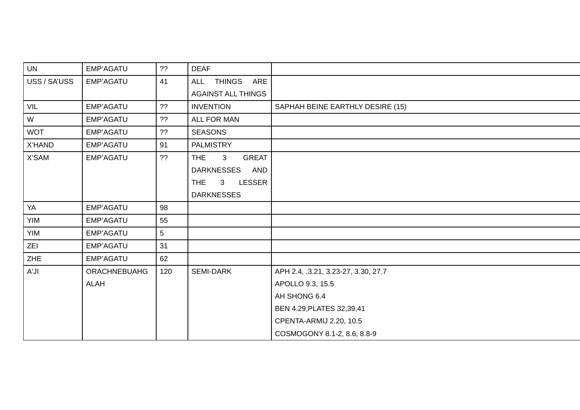| <b>UN</b>    | EMP'AGATU           | ??  | <b>DEAF</b>                      |                                     |
|--------------|---------------------|-----|----------------------------------|-------------------------------------|
| USS / SA'USS | <b>EMP'AGATU</b>    | 41  | ALL THINGS<br>ARE                |                                     |
|              |                     |     | <b>AGAINST ALL THINGS</b>        |                                     |
| VIL          | <b>EMP'AGATU</b>    | ??  | <b>INVENTION</b>                 | SAPHAH BEINE EARTHLY DESIRE (15)    |
| W            | EMP'AGATU           | ??  | ALL FOR MAN                      |                                     |
| <b>WOT</b>   | EMP'AGATU           | ??  | <b>SEASONS</b>                   |                                     |
| X'HAND       | <b>EMP'AGATU</b>    | 91  | <b>PALMISTRY</b>                 |                                     |
| X'SAM        | EMP'AGATU           | ??  | 3<br><b>THE</b><br><b>GREAT</b>  |                                     |
|              |                     |     | <b>DARKNESSES</b><br>AND         |                                     |
|              |                     |     | <b>LESSER</b><br><b>THE</b><br>3 |                                     |
|              |                     |     | <b>DARKNESSES</b>                |                                     |
| YA           | <b>EMP'AGATU</b>    | 98  |                                  |                                     |
| <b>YIM</b>   | EMP'AGATU           | 55  |                                  |                                     |
| YIM          | EMP'AGATU           | 5   |                                  |                                     |
| ZEI          | <b>EMP'AGATU</b>    | 31  |                                  |                                     |
| ZHE          | <b>EMP'AGATU</b>    | 62  |                                  |                                     |
| A'JI         | <b>ORACHNEBUAHG</b> | 120 | <b>SEMI-DARK</b>                 | APH 2.4, ,3.21, 3.23-27, 3.30, 27.7 |
|              | <b>ALAH</b>         |     |                                  | APOLLO 9.3, 15.5                    |
|              |                     |     |                                  | AH SHONG 6.4                        |
|              |                     |     |                                  | BEN 4.29, PLATES 32, 39, 41         |
|              |                     |     |                                  | CPENTA-ARMIJ 2.20, 10.5             |
|              |                     |     |                                  | COSMOGONY 8.1-2, 8.6, 8.8-9         |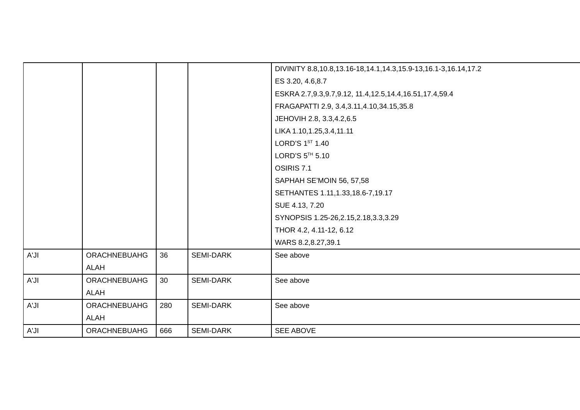|      |                     |     |                  | DIVINITY 8.8,10.8,13.16-18,14.1,14.3,15.9-13,16.1-3,16.14,17.2 |
|------|---------------------|-----|------------------|----------------------------------------------------------------|
|      |                     |     |                  | ES 3.20, 4.6, 8.7                                              |
|      |                     |     |                  | ESKRA 2.7, 9.3, 9.7, 9.12, 11.4, 12.5, 14.4, 16.51, 17.4, 59.4 |
|      |                     |     |                  | FRAGAPATTI 2.9, 3.4, 3.11, 4.10, 34.15, 35.8                   |
|      |                     |     |                  | JEHOVIH 2.8, 3.3, 4.2, 6.5                                     |
|      |                     |     |                  | LIKA 1.10, 1.25, 3.4, 11.11                                    |
|      |                     |     |                  | LORD'S 1ST 1.40                                                |
|      |                     |     |                  | LORD'S 5 <sup>™</sup> 5.10                                     |
|      |                     |     |                  | OSIRIS 7.1                                                     |
|      |                     |     |                  | SAPHAH SE'MOIN 56, 57,58                                       |
|      |                     |     |                  | SETHANTES 1.11, 1.33, 18.6-7, 19.17                            |
|      |                     |     |                  | SUE 4.13, 7.20                                                 |
|      |                     |     |                  | SYNOPSIS 1.25-26, 2.15, 2.18, 3.3, 3.29                        |
|      |                     |     |                  | THOR 4.2, 4.11-12, 6.12                                        |
|      |                     |     |                  | WARS 8.2,8.27,39.1                                             |
| A'JI | <b>ORACHNEBUAHG</b> | 36  | <b>SEMI-DARK</b> | See above                                                      |
|      | <b>ALAH</b>         |     |                  |                                                                |
| A'JI | <b>ORACHNEBUAHG</b> | 30  | <b>SEMI-DARK</b> | See above                                                      |
|      | <b>ALAH</b>         |     |                  |                                                                |
| A'JI | <b>ORACHNEBUAHG</b> | 280 | <b>SEMI-DARK</b> | See above                                                      |
|      | ALAH                |     |                  |                                                                |
| A'JI | <b>ORACHNEBUAHG</b> | 666 | <b>SEMI-DARK</b> | SEE ABOVE                                                      |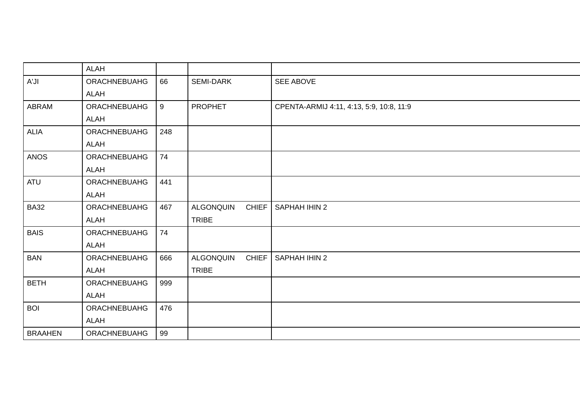|                | <b>ALAH</b>         |     |                |              |                                          |
|----------------|---------------------|-----|----------------|--------------|------------------------------------------|
| A'JI           | <b>ORACHNEBUAHG</b> | 66  | SEMI-DARK      |              | SEE ABOVE                                |
|                | <b>ALAH</b>         |     |                |              |                                          |
| <b>ABRAM</b>   | <b>ORACHNEBUAHG</b> | 9   | <b>PROPHET</b> |              | CPENTA-ARMIJ 4:11, 4:13, 5:9, 10:8, 11:9 |
|                | ALAH                |     |                |              |                                          |
| <b>ALIA</b>    | <b>ORACHNEBUAHG</b> | 248 |                |              |                                          |
|                | <b>ALAH</b>         |     |                |              |                                          |
| ANOS           | <b>ORACHNEBUAHG</b> | 74  |                |              |                                          |
|                | <b>ALAH</b>         |     |                |              |                                          |
| <b>ATU</b>     | <b>ORACHNEBUAHG</b> | 441 |                |              |                                          |
|                | ALAH                |     |                |              |                                          |
| <b>BA32</b>    | <b>ORACHNEBUAHG</b> | 467 | ALGONQUIN      | <b>CHIEF</b> | SAPHAH IHIN 2                            |
|                | <b>ALAH</b>         |     | <b>TRIBE</b>   |              |                                          |
| <b>BAIS</b>    | <b>ORACHNEBUAHG</b> | 74  |                |              |                                          |
|                | ALAH                |     |                |              |                                          |
| <b>BAN</b>     | <b>ORACHNEBUAHG</b> | 666 | ALGONQUIN      | <b>CHIEF</b> | SAPHAH IHIN 2                            |
|                | <b>ALAH</b>         |     | <b>TRIBE</b>   |              |                                          |
| <b>BETH</b>    | <b>ORACHNEBUAHG</b> | 999 |                |              |                                          |
|                | ALAH                |     |                |              |                                          |
| <b>BOI</b>     | <b>ORACHNEBUAHG</b> | 476 |                |              |                                          |
|                | <b>ALAH</b>         |     |                |              |                                          |
| <b>BRAAHEN</b> | <b>ORACHNEBUAHG</b> | 99  |                |              |                                          |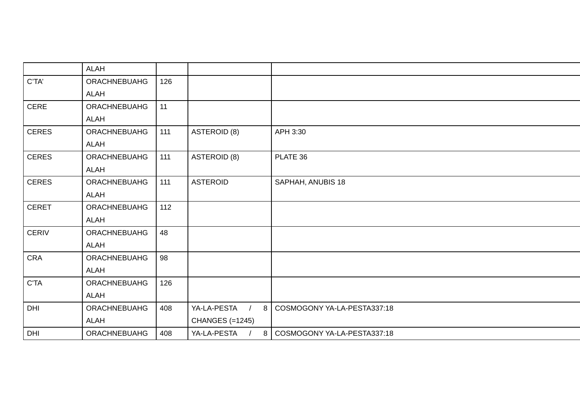|                  | ALAH                |     |                        |                                 |
|------------------|---------------------|-----|------------------------|---------------------------------|
| C'TA'            | <b>ORACHNEBUAHG</b> | 126 |                        |                                 |
|                  | <b>ALAH</b>         |     |                        |                                 |
| <b>CERE</b>      | <b>ORACHNEBUAHG</b> | 11  |                        |                                 |
|                  | <b>ALAH</b>         |     |                        |                                 |
| <b>CERES</b>     | <b>ORACHNEBUAHG</b> | 111 | ASTEROID (8)           | APH 3:30                        |
|                  | <b>ALAH</b>         |     |                        |                                 |
| <b>CERES</b>     | <b>ORACHNEBUAHG</b> | 111 | ASTEROID (8)           | PLATE 36                        |
|                  | <b>ALAH</b>         |     |                        |                                 |
| <b>CERES</b>     | <b>ORACHNEBUAHG</b> | 111 | <b>ASTEROID</b>        | SAPHAH, ANUBIS 18               |
|                  | <b>ALAH</b>         |     |                        |                                 |
| <b>CERET</b>     | <b>ORACHNEBUAHG</b> | 112 |                        |                                 |
|                  | <b>ALAH</b>         |     |                        |                                 |
| <b>CERIV</b>     | <b>ORACHNEBUAHG</b> | 48  |                        |                                 |
|                  | <b>ALAH</b>         |     |                        |                                 |
| <b>CRA</b>       | <b>ORACHNEBUAHG</b> | 98  |                        |                                 |
|                  | <b>ALAH</b>         |     |                        |                                 |
| C <sub>T</sub> A | <b>ORACHNEBUAHG</b> | 126 |                        |                                 |
|                  | <b>ALAH</b>         |     |                        |                                 |
| DHI              | <b>ORACHNEBUAHG</b> | 408 | YA-LA-PESTA            | 8   COSMOGONY YA-LA-PESTA337:18 |
|                  | <b>ALAH</b>         |     | <b>CHANGES (=1245)</b> |                                 |
| DHI              | <b>ORACHNEBUAHG</b> | 408 | YA-LA-PESTA<br>8       | COSMOGONY YA-LA-PESTA337:18     |
|                  |                     |     |                        |                                 |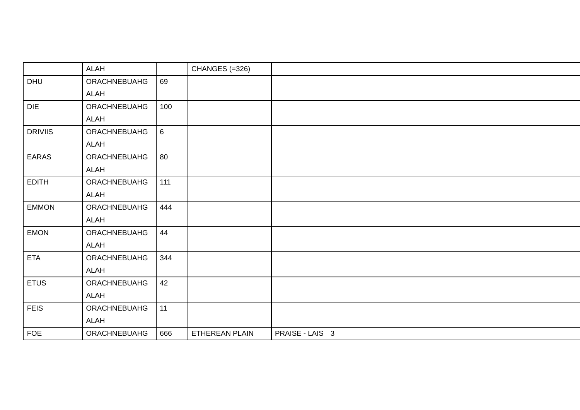|                | <b>ALAH</b>         |                | CHANGES (=326) |                 |
|----------------|---------------------|----------------|----------------|-----------------|
| <b>DHU</b>     | <b>ORACHNEBUAHG</b> | 69             |                |                 |
|                | <b>ALAH</b>         |                |                |                 |
| <b>DIE</b>     | <b>ORACHNEBUAHG</b> | 100            |                |                 |
|                | ALAH                |                |                |                 |
| <b>DRIVIIS</b> | ORACHNEBUAHG        | $6\phantom{.}$ |                |                 |
|                | <b>ALAH</b>         |                |                |                 |
| <b>EARAS</b>   | ORACHNEBUAHG        | 80             |                |                 |
|                | ALAH                |                |                |                 |
| <b>EDITH</b>   | <b>ORACHNEBUAHG</b> | 111            |                |                 |
|                | ALAH                |                |                |                 |
| <b>EMMON</b>   | <b>ORACHNEBUAHG</b> | 444            |                |                 |
|                | <b>ALAH</b>         |                |                |                 |
| <b>EMON</b>    | <b>ORACHNEBUAHG</b> | 44             |                |                 |
|                | <b>ALAH</b>         |                |                |                 |
| <b>ETA</b>     | <b>ORACHNEBUAHG</b> | 344            |                |                 |
|                | <b>ALAH</b>         |                |                |                 |
| <b>ETUS</b>    | <b>ORACHNEBUAHG</b> | 42             |                |                 |
|                | ALAH                |                |                |                 |
| <b>FEIS</b>    | <b>ORACHNEBUAHG</b> | 11             |                |                 |
|                | <b>ALAH</b>         |                |                |                 |
| <b>FOE</b>     | <b>ORACHNEBUAHG</b> | 666            | ETHEREAN PLAIN | PRAISE - LAIS 3 |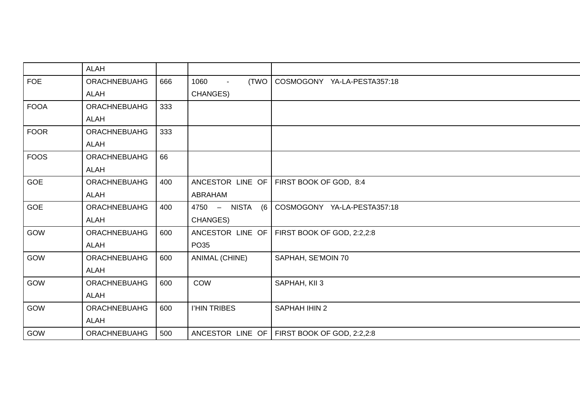|             | <b>ALAH</b>         |     |                        |                                               |
|-------------|---------------------|-----|------------------------|-----------------------------------------------|
| <b>FOE</b>  | <b>ORACHNEBUAHG</b> | 666 | 1060<br>(TWO<br>$\sim$ | COSMOGONY YA-LA-PESTA357:18                   |
|             | <b>ALAH</b>         |     | CHANGES)               |                                               |
| <b>FOOA</b> | <b>ORACHNEBUAHG</b> | 333 |                        |                                               |
|             | <b>ALAH</b>         |     |                        |                                               |
| <b>FOOR</b> | <b>ORACHNEBUAHG</b> | 333 |                        |                                               |
|             | <b>ALAH</b>         |     |                        |                                               |
| <b>FOOS</b> | <b>ORACHNEBUAHG</b> | 66  |                        |                                               |
|             | <b>ALAH</b>         |     |                        |                                               |
| <b>GOE</b>  | <b>ORACHNEBUAHG</b> | 400 | ANCESTOR LINE OF       | FIRST BOOK OF GOD, 8:4                        |
|             | <b>ALAH</b>         |     | ABRAHAM                |                                               |
| <b>GOE</b>  | <b>ORACHNEBUAHG</b> | 400 |                        | 4750 - NISTA (6 COSMOGONY YA-LA-PESTA357:18   |
|             | <b>ALAH</b>         |     | CHANGES)               |                                               |
| GOW         | <b>ORACHNEBUAHG</b> | 600 |                        | ANCESTOR LINE OF   FIRST BOOK OF GOD, 2:2,2:8 |
|             | <b>ALAH</b>         |     | <b>PO35</b>            |                                               |
| GOW         | <b>ORACHNEBUAHG</b> | 600 | ANIMAL (CHINE)         | SAPHAH, SE'MOIN 70                            |
|             | <b>ALAH</b>         |     |                        |                                               |
| GOW         | <b>ORACHNEBUAHG</b> | 600 | COW                    | SAPHAH, KII 3                                 |
|             | <b>ALAH</b>         |     |                        |                                               |
| GOW         | <b>ORACHNEBUAHG</b> | 600 | I'HIN TRIBES           | SAPHAH IHIN 2                                 |
|             | <b>ALAH</b>         |     |                        |                                               |
| GOW         | <b>ORACHNEBUAHG</b> | 500 |                        | ANCESTOR LINE OF   FIRST BOOK OF GOD, 2:2,2:8 |
|             |                     |     |                        |                                               |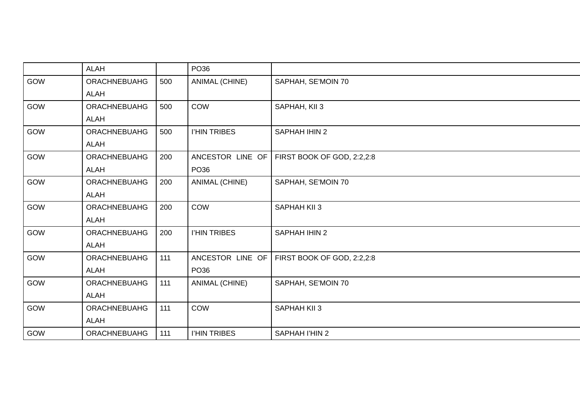|     | <b>ALAH</b>         |     | PO36                  |                            |
|-----|---------------------|-----|-----------------------|----------------------------|
| GOW | <b>ORACHNEBUAHG</b> | 500 | <b>ANIMAL (CHINE)</b> | SAPHAH, SE'MOIN 70         |
|     | <b>ALAH</b>         |     |                       |                            |
| GOW | <b>ORACHNEBUAHG</b> | 500 | COW                   | SAPHAH, KII 3              |
|     | <b>ALAH</b>         |     |                       |                            |
| GOW | <b>ORACHNEBUAHG</b> | 500 | I'HIN TRIBES          | SAPHAH IHIN 2              |
|     | <b>ALAH</b>         |     |                       |                            |
| GOW | <b>ORACHNEBUAHG</b> | 200 | ANCESTOR LINE OF      | FIRST BOOK OF GOD, 2:2,2:8 |
|     | <b>ALAH</b>         |     | PO36                  |                            |
| GOW | <b>ORACHNEBUAHG</b> | 200 | ANIMAL (CHINE)        | SAPHAH, SE'MOIN 70         |
|     | <b>ALAH</b>         |     |                       |                            |
| GOW | <b>ORACHNEBUAHG</b> | 200 | COW                   | SAPHAH KII 3               |
|     | <b>ALAH</b>         |     |                       |                            |
| GOW | <b>ORACHNEBUAHG</b> | 200 | I'HIN TRIBES          | SAPHAH IHIN 2              |
|     | <b>ALAH</b>         |     |                       |                            |
| GOW | <b>ORACHNEBUAHG</b> | 111 | ANCESTOR LINE OF      | FIRST BOOK OF GOD, 2:2,2:8 |
|     | <b>ALAH</b>         |     | PO36                  |                            |
| GOW | <b>ORACHNEBUAHG</b> | 111 | ANIMAL (CHINE)        | SAPHAH, SE'MOIN 70         |
|     | <b>ALAH</b>         |     |                       |                            |
| GOW | <b>ORACHNEBUAHG</b> | 111 | COW                   | <b>SAPHAH KII 3</b>        |
|     | <b>ALAH</b>         |     |                       |                            |
| GOW | <b>ORACHNEBUAHG</b> | 111 | I'HIN TRIBES          | SAPHAH I'HIN 2             |
|     |                     |     |                       |                            |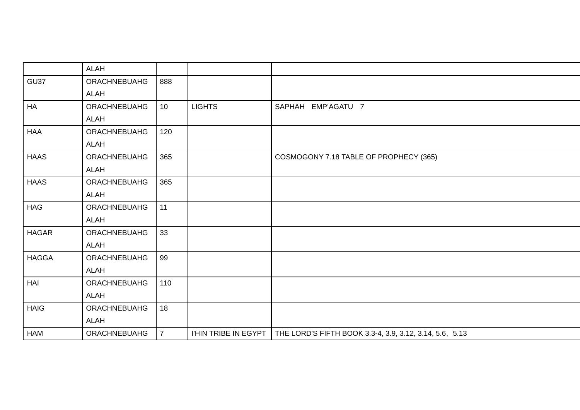|              | <b>ALAH</b>         |                |                      |                                                         |
|--------------|---------------------|----------------|----------------------|---------------------------------------------------------|
| GU37         | <b>ORACHNEBUAHG</b> | 888            |                      |                                                         |
|              | <b>ALAH</b>         |                |                      |                                                         |
| HA           | <b>ORACHNEBUAHG</b> | 10             | <b>LIGHTS</b>        | SAPHAH EMP'AGATU 7                                      |
|              | <b>ALAH</b>         |                |                      |                                                         |
| <b>HAA</b>   | <b>ORACHNEBUAHG</b> | 120            |                      |                                                         |
|              | <b>ALAH</b>         |                |                      |                                                         |
| <b>HAAS</b>  | <b>ORACHNEBUAHG</b> | 365            |                      | COSMOGONY 7.18 TABLE OF PROPHECY (365)                  |
|              | <b>ALAH</b>         |                |                      |                                                         |
| <b>HAAS</b>  | <b>ORACHNEBUAHG</b> | 365            |                      |                                                         |
|              | <b>ALAH</b>         |                |                      |                                                         |
| <b>HAG</b>   | <b>ORACHNEBUAHG</b> | 11             |                      |                                                         |
|              | <b>ALAH</b>         |                |                      |                                                         |
| <b>HAGAR</b> | <b>ORACHNEBUAHG</b> | 33             |                      |                                                         |
|              | <b>ALAH</b>         |                |                      |                                                         |
| <b>HAGGA</b> | <b>ORACHNEBUAHG</b> | 99             |                      |                                                         |
|              | <b>ALAH</b>         |                |                      |                                                         |
| HAI          | <b>ORACHNEBUAHG</b> | 110            |                      |                                                         |
|              | <b>ALAH</b>         |                |                      |                                                         |
| <b>HAIG</b>  | <b>ORACHNEBUAHG</b> | 18             |                      |                                                         |
|              | <b>ALAH</b>         |                |                      |                                                         |
| HAM          | <b>ORACHNEBUAHG</b> | $\overline{7}$ | I'HIN TRIBE IN EGYPT | THE LORD'S FIFTH BOOK 3.3-4, 3.9, 3.12, 3.14, 5.6, 5.13 |
|              |                     |                |                      |                                                         |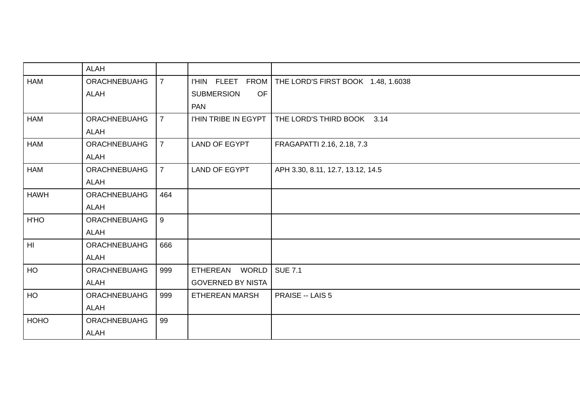|                | <b>ALAH</b>         |                |                          |                                                       |
|----------------|---------------------|----------------|--------------------------|-------------------------------------------------------|
| <b>HAM</b>     | <b>ORACHNEBUAHG</b> | $\overline{7}$ |                          | I'HIN FLEET FROM   THE LORD'S FIRST BOOK 1.48, 1.6038 |
|                | <b>ALAH</b>         |                | <b>SUBMERSION</b><br>OF  |                                                       |
|                |                     |                | <b>PAN</b>               |                                                       |
| <b>HAM</b>     | <b>ORACHNEBUAHG</b> | $\overline{7}$ | I'HIN TRIBE IN EGYPT     | THE LORD'S THIRD BOOK 3.14                            |
|                | <b>ALAH</b>         |                |                          |                                                       |
| <b>HAM</b>     | <b>ORACHNEBUAHG</b> | $\overline{7}$ | <b>LAND OF EGYPT</b>     | FRAGAPATTI 2.16, 2.18, 7.3                            |
|                | <b>ALAH</b>         |                |                          |                                                       |
| <b>HAM</b>     | <b>ORACHNEBUAHG</b> | $\overline{7}$ | LAND OF EGYPT            | APH 3.30, 8.11, 12.7, 13.12, 14.5                     |
|                | <b>ALAH</b>         |                |                          |                                                       |
| <b>HAWH</b>    | <b>ORACHNEBUAHG</b> | 464            |                          |                                                       |
|                | <b>ALAH</b>         |                |                          |                                                       |
| H'HO           | <b>ORACHNEBUAHG</b> | 9              |                          |                                                       |
|                | <b>ALAH</b>         |                |                          |                                                       |
| H <sub>l</sub> | <b>ORACHNEBUAHG</b> | 666            |                          |                                                       |
|                | <b>ALAH</b>         |                |                          |                                                       |
| HO             | <b>ORACHNEBUAHG</b> | 999            | ETHEREAN WORLD           | <b>SUE 7.1</b>                                        |
|                | <b>ALAH</b>         |                | <b>GOVERNED BY NISTA</b> |                                                       |
| HO             | <b>ORACHNEBUAHG</b> | 999            | <b>ETHEREAN MARSH</b>    | PRAISE -- LAIS 5                                      |
|                | <b>ALAH</b>         |                |                          |                                                       |
| <b>HOHO</b>    | <b>ORACHNEBUAHG</b> | 99             |                          |                                                       |
|                | <b>ALAH</b>         |                |                          |                                                       |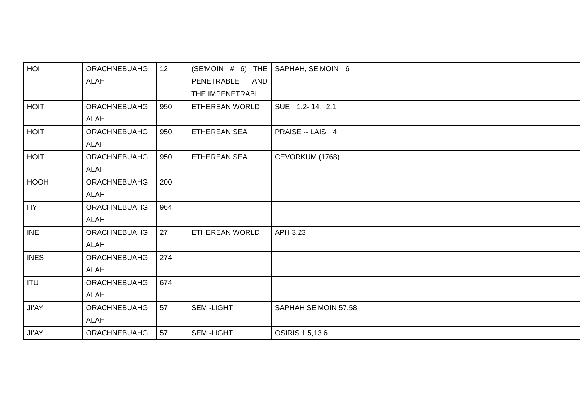| HOI         | <b>ORACHNEBUAHG</b> | 12  | (SE'MOIN # 6) THE | SAPHAH, SE'MOIN 6    |
|-------------|---------------------|-----|-------------------|----------------------|
|             | <b>ALAH</b>         |     | PENETRABLE<br>AND |                      |
|             |                     |     | THE IMPENETRABL   |                      |
| <b>HOIT</b> | <b>ORACHNEBUAHG</b> | 950 | ETHEREAN WORLD    | SUE 1.2-.14, 2.1     |
|             | <b>ALAH</b>         |     |                   |                      |
| <b>HOIT</b> | <b>ORACHNEBUAHG</b> | 950 | ETHEREAN SEA      | PRAISE -- LAIS 4     |
|             | <b>ALAH</b>         |     |                   |                      |
| <b>HOIT</b> | <b>ORACHNEBUAHG</b> | 950 | ETHEREAN SEA      | CEVORKUM (1768)      |
|             | <b>ALAH</b>         |     |                   |                      |
| HOOH        | <b>ORACHNEBUAHG</b> | 200 |                   |                      |
|             | <b>ALAH</b>         |     |                   |                      |
| <b>HY</b>   | <b>ORACHNEBUAHG</b> | 964 |                   |                      |
|             | <b>ALAH</b>         |     |                   |                      |
| <b>INE</b>  | <b>ORACHNEBUAHG</b> | 27  | ETHEREAN WORLD    | APH 3.23             |
|             | <b>ALAH</b>         |     |                   |                      |
| <b>INES</b> | <b>ORACHNEBUAHG</b> | 274 |                   |                      |
|             | <b>ALAH</b>         |     |                   |                      |
| <b>ITU</b>  | <b>ORACHNEBUAHG</b> | 674 |                   |                      |
|             | <b>ALAH</b>         |     |                   |                      |
| JI'AY       | <b>ORACHNEBUAHG</b> | 57  | SEMI-LIGHT        | SAPHAH SE'MOIN 57,58 |
|             | <b>ALAH</b>         |     |                   |                      |
| JI'AY       | <b>ORACHNEBUAHG</b> | 57  | SEMI-LIGHT        | OSIRIS 1.5,13.6      |
|             |                     |     |                   |                      |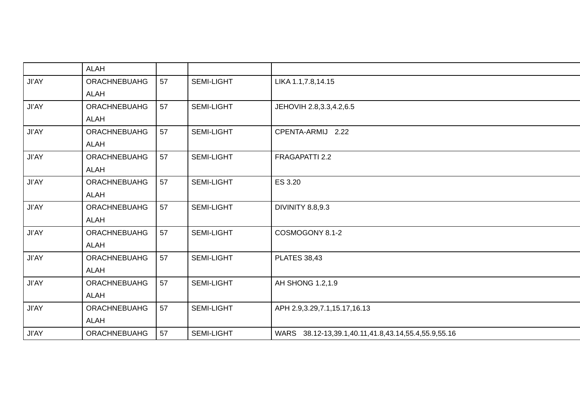|              | <b>ALAH</b>         |    |                   |                                                     |
|--------------|---------------------|----|-------------------|-----------------------------------------------------|
| JI'AY        | <b>ORACHNEBUAHG</b> | 57 | SEMI-LIGHT        | LIKA 1.1,7.8,14.15                                  |
|              | <b>ALAH</b>         |    |                   |                                                     |
| JI'AY        | <b>ORACHNEBUAHG</b> | 57 | <b>SEMI-LIGHT</b> | JEHOVIH 2.8, 3.3, 4.2, 6.5                          |
|              | <b>ALAH</b>         |    |                   |                                                     |
| JI'AY        | <b>ORACHNEBUAHG</b> | 57 | SEMI-LIGHT        | CPENTA-ARMIJ 2.22                                   |
|              | <b>ALAH</b>         |    |                   |                                                     |
| JI'AY        | <b>ORACHNEBUAHG</b> | 57 | SEMI-LIGHT        | <b>FRAGAPATTI 2.2</b>                               |
|              | <b>ALAH</b>         |    |                   |                                                     |
| JI'AY        | <b>ORACHNEBUAHG</b> | 57 | SEMI-LIGHT        | ES 3.20                                             |
|              | <b>ALAH</b>         |    |                   |                                                     |
| JI'AY        | <b>ORACHNEBUAHG</b> | 57 | SEMI-LIGHT        | <b>DIVINITY 8.8,9.3</b>                             |
|              | <b>ALAH</b>         |    |                   |                                                     |
| JI'AY        | <b>ORACHNEBUAHG</b> | 57 | SEMI-LIGHT        | COSMOGONY 8.1-2                                     |
|              | <b>ALAH</b>         |    |                   |                                                     |
| JI'AY        | <b>ORACHNEBUAHG</b> | 57 | SEMI-LIGHT        | <b>PLATES 38,43</b>                                 |
|              | <b>ALAH</b>         |    |                   |                                                     |
| JI'AY        | <b>ORACHNEBUAHG</b> | 57 | SEMI-LIGHT        | AH SHONG 1.2,1.9                                    |
|              | <b>ALAH</b>         |    |                   |                                                     |
| <b>JI'AY</b> | <b>ORACHNEBUAHG</b> | 57 | SEMI-LIGHT        | APH 2.9,3.29,7.1,15.17,16.13                        |
|              | <b>ALAH</b>         |    |                   |                                                     |
| JI'AY        | <b>ORACHNEBUAHG</b> | 57 | SEMI-LIGHT        | WARS 38.12-13,39.1,40.11,41.8,43.14,55.4,55.9,55.16 |
|              |                     |    |                   |                                                     |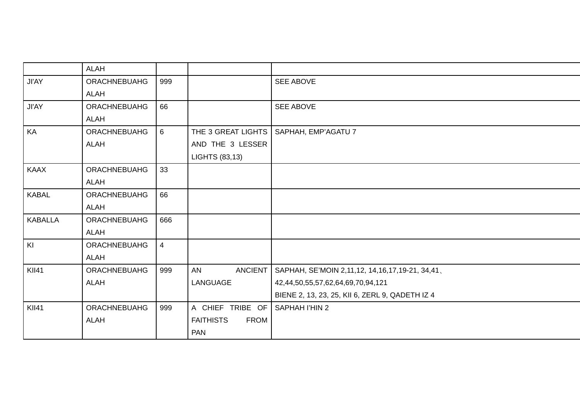|                | <b>ALAH</b>         |                 |                                 |                                                 |
|----------------|---------------------|-----------------|---------------------------------|-------------------------------------------------|
| <b>JI'AY</b>   | <b>ORACHNEBUAHG</b> | 999             |                                 | SEE ABOVE                                       |
|                | <b>ALAH</b>         |                 |                                 |                                                 |
| <b>JI'AY</b>   | <b>ORACHNEBUAHG</b> | 66              |                                 | <b>SEE ABOVE</b>                                |
|                | <b>ALAH</b>         |                 |                                 |                                                 |
| KA             | <b>ORACHNEBUAHG</b> | $6\overline{6}$ | THE 3 GREAT LIGHTS              | SAPHAH, EMP'AGATU 7                             |
|                | <b>ALAH</b>         |                 | AND THE 3 LESSER                |                                                 |
|                |                     |                 | LIGHTS (83,13)                  |                                                 |
| <b>KAAX</b>    | <b>ORACHNEBUAHG</b> | 33              |                                 |                                                 |
|                | <b>ALAH</b>         |                 |                                 |                                                 |
| <b>KABAL</b>   | <b>ORACHNEBUAHG</b> | 66              |                                 |                                                 |
|                | <b>ALAH</b>         |                 |                                 |                                                 |
| <b>KABALLA</b> | <b>ORACHNEBUAHG</b> | 666             |                                 |                                                 |
|                | <b>ALAH</b>         |                 |                                 |                                                 |
| KI             | <b>ORACHNEBUAHG</b> | $\overline{4}$  |                                 |                                                 |
|                | <b>ALAH</b>         |                 |                                 |                                                 |
| <b>KII41</b>   | <b>ORACHNEBUAHG</b> | 999             | AN<br><b>ANCIENT</b>            | SAPHAH, SE'MOIN 2,11,12, 14,16,17,19-21, 34,41, |
|                | <b>ALAH</b>         |                 | LANGUAGE                        | 42,44,50,55,57,62,64,69,70,94,121               |
|                |                     |                 |                                 | BIENE 2, 13, 23, 25, KII 6, ZERL 9, QADETH IZ 4 |
| <b>KII41</b>   | <b>ORACHNEBUAHG</b> | 999             | A CHIEF TRIBE OF                | SAPHAH I'HIN 2                                  |
|                | <b>ALAH</b>         |                 | <b>FAITHISTS</b><br><b>FROM</b> |                                                 |
|                |                     |                 | <b>PAN</b>                      |                                                 |
|                |                     |                 |                                 |                                                 |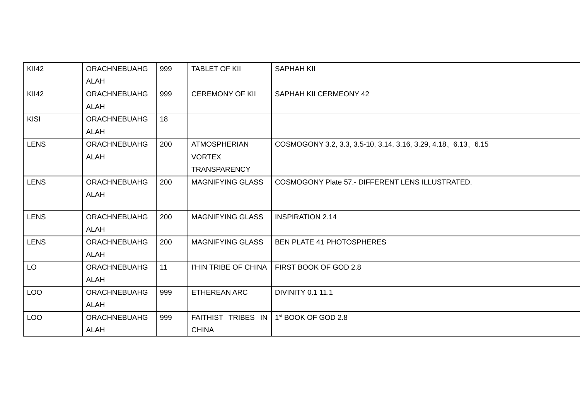| <b>KII42</b> | <b>ORACHNEBUAHG</b> | 999 | <b>TABLET OF KII</b>                                 | <b>SAPHAH KII</b>                                              |
|--------------|---------------------|-----|------------------------------------------------------|----------------------------------------------------------------|
|              | <b>ALAH</b>         |     |                                                      |                                                                |
| <b>KII42</b> | <b>ORACHNEBUAHG</b> | 999 | <b>CEREMONY OF KII</b>                               | SAPHAH KII CERMEONY 42                                         |
|              | <b>ALAH</b>         |     |                                                      |                                                                |
| KISI         | <b>ORACHNEBUAHG</b> | 18  |                                                      |                                                                |
|              | <b>ALAH</b>         |     |                                                      |                                                                |
| <b>LENS</b>  | <b>ORACHNEBUAHG</b> | 200 | <b>ATMOSPHERIAN</b>                                  | COSMOGONY 3.2, 3.3, 3.5-10, 3.14, 3.16, 3.29, 4.18, 6.13, 6.15 |
|              | <b>ALAH</b>         |     | <b>VORTEX</b>                                        |                                                                |
|              |                     |     | <b>TRANSPARENCY</b>                                  |                                                                |
| <b>LENS</b>  | <b>ORACHNEBUAHG</b> | 200 | <b>MAGNIFYING GLASS</b>                              | COSMOGONY Plate 57 .- DIFFERENT LENS ILLUSTRATED.              |
|              | <b>ALAH</b>         |     |                                                      |                                                                |
|              |                     |     |                                                      |                                                                |
| <b>LENS</b>  | <b>ORACHNEBUAHG</b> | 200 | <b>MAGNIFYING GLASS</b>                              | <b>INSPIRATION 2.14</b>                                        |
|              | <b>ALAH</b>         |     |                                                      |                                                                |
| <b>LENS</b>  | <b>ORACHNEBUAHG</b> | 200 | <b>MAGNIFYING GLASS</b>                              | <b>BEN PLATE 41 PHOTOSPHERES</b>                               |
|              | <b>ALAH</b>         |     |                                                      |                                                                |
| LO           | <b>ORACHNEBUAHG</b> | 11  | I'HIN TRIBE OF CHINA                                 | FIRST BOOK OF GOD 2.8                                          |
|              | <b>ALAH</b>         |     |                                                      |                                                                |
| <b>LOO</b>   | <b>ORACHNEBUAHG</b> | 999 | ETHEREAN ARC                                         | DIVINITY 0.1 11.1                                              |
|              | <b>ALAH</b>         |     |                                                      |                                                                |
| <b>LOO</b>   | <b>ORACHNEBUAHG</b> | 999 | FAITHIST TRIBES IN   1 <sup>st</sup> BOOK OF GOD 2.8 |                                                                |
|              | <b>ALAH</b>         |     | <b>CHINA</b>                                         |                                                                |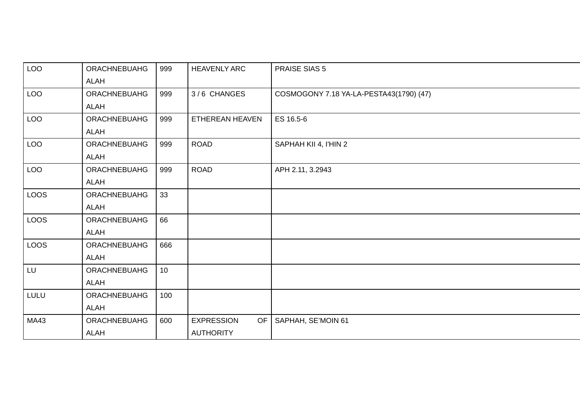| <b>ORACHNEBUAHG</b> | 999 | <b>HEAVENLY ARC</b> | <b>PRAISE SIAS 5</b>                    |
|---------------------|-----|---------------------|-----------------------------------------|
| <b>ALAH</b>         |     |                     |                                         |
| <b>ORACHNEBUAHG</b> | 999 | 3/6 CHANGES         | COSMOGONY 7.18 YA-LA-PESTA43(1790) (47) |
| <b>ALAH</b>         |     |                     |                                         |
| <b>ORACHNEBUAHG</b> | 999 | ETHEREAN HEAVEN     | ES 16.5-6                               |
| <b>ALAH</b>         |     |                     |                                         |
| <b>ORACHNEBUAHG</b> | 999 | <b>ROAD</b>         | SAPHAH KII 4, I'HIN 2                   |
| <b>ALAH</b>         |     |                     |                                         |
| <b>ORACHNEBUAHG</b> | 999 | <b>ROAD</b>         | APH 2.11, 3.2943                        |
| <b>ALAH</b>         |     |                     |                                         |
| <b>ORACHNEBUAHG</b> | 33  |                     |                                         |
| <b>ALAH</b>         |     |                     |                                         |
| <b>ORACHNEBUAHG</b> | 66  |                     |                                         |
| <b>ALAH</b>         |     |                     |                                         |
| <b>ORACHNEBUAHG</b> | 666 |                     |                                         |
| <b>ALAH</b>         |     |                     |                                         |
| <b>ORACHNEBUAHG</b> | 10  |                     |                                         |
| <b>ALAH</b>         |     |                     |                                         |
| <b>ORACHNEBUAHG</b> | 100 |                     |                                         |
| <b>ALAH</b>         |     |                     |                                         |
| <b>ORACHNEBUAHG</b> | 600 | <b>EXPRESSION</b>   | SAPHAH, SE'MOIN 61                      |
| <b>ALAH</b>         |     | <b>AUTHORITY</b>    |                                         |
|                     |     |                     | <b>OF</b>                               |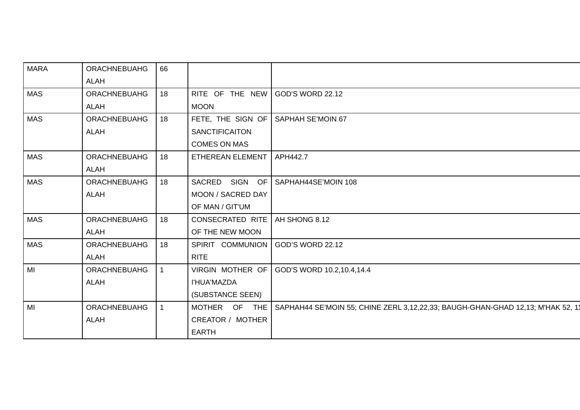| <b>MARA</b> | <b>ORACHNEBUAHG</b> | 66           |                                     |                                                                                 |
|-------------|---------------------|--------------|-------------------------------------|---------------------------------------------------------------------------------|
|             | <b>ALAH</b>         |              |                                     |                                                                                 |
| <b>MAS</b>  | <b>ORACHNEBUAHG</b> | 18           | RITE OF THE NEW                     | GOD'S WORD 22.12                                                                |
|             | <b>ALAH</b>         |              | <b>MOON</b>                         |                                                                                 |
| <b>MAS</b>  | <b>ORACHNEBUAHG</b> | 18           | FETE, THE SIGN OF                   | SAPHAH SE'MOIN 67                                                               |
|             | <b>ALAH</b>         |              | <b>SANCTIFICAITON</b>               |                                                                                 |
|             |                     |              | <b>COMES ON MAS</b>                 |                                                                                 |
| <b>MAS</b>  | <b>ORACHNEBUAHG</b> | 18           | ETHEREAN ELEMENT                    | APH442.7                                                                        |
|             | <b>ALAH</b>         |              |                                     |                                                                                 |
| <b>MAS</b>  | <b>ORACHNEBUAHG</b> | 18           | SACRED SIGN OF                      | SAPHAH44SE'MOIN 108                                                             |
|             | <b>ALAH</b>         |              | MOON / SACRED DAY                   |                                                                                 |
|             |                     |              | OF MAN / GIT'UM                     |                                                                                 |
| <b>MAS</b>  | <b>ORACHNEBUAHG</b> | 18           | CONSECRATED RITE                    | AH SHONG 8.12                                                                   |
|             | <b>ALAH</b>         |              | OF THE NEW MOON                     |                                                                                 |
| <b>MAS</b>  | <b>ORACHNEBUAHG</b> | 18           | SPIRIT COMMUNION   GOD'S WORD 22.12 |                                                                                 |
|             | <b>ALAH</b>         |              | <b>RITE</b>                         |                                                                                 |
| MI          | <b>ORACHNEBUAHG</b> | $\mathbf{1}$ | VIRGIN MOTHER OF                    | GOD'S WORD 10.2,10.4,14.4                                                       |
|             | <b>ALAH</b>         |              | I'HUA'MAZDA                         |                                                                                 |
|             |                     |              | (SUBSTANCE SEEN)                    |                                                                                 |
| MI          | <b>ORACHNEBUAHG</b> | $\mathbf{1}$ | MOTHER OF THE                       | SAPHAH44 SE'MOIN 55; CHINE ZERL 3,12,22,33; BAUGH-GHAN-GHAD 12,13; M'HAK 52, 11 |
|             | <b>ALAH</b>         |              | CREATOR / MOTHER                    |                                                                                 |
|             |                     |              | <b>EARTH</b>                        |                                                                                 |
|             |                     |              |                                     |                                                                                 |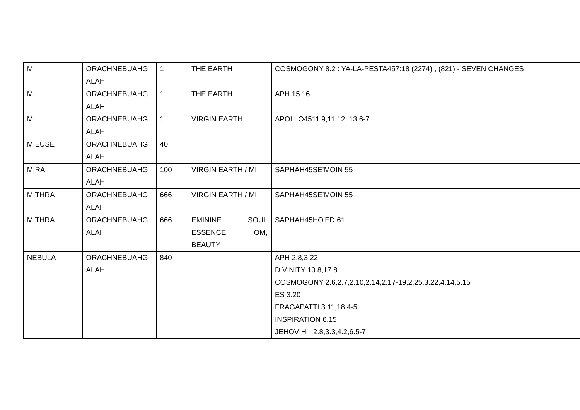| MI            | <b>ORACHNEBUAHG</b> | $\mathbf{1}$ | THE EARTH                | COSMOGONY 8.2 : YA-LA-PESTA457:18 (2274), (821) - SEVEN CHANGES |
|---------------|---------------------|--------------|--------------------------|-----------------------------------------------------------------|
|               | <b>ALAH</b>         |              |                          |                                                                 |
| MI            | <b>ORACHNEBUAHG</b> | 1            | THE EARTH                | APH 15.16                                                       |
|               | <b>ALAH</b>         |              |                          |                                                                 |
| MI            | <b>ORACHNEBUAHG</b> | $\mathbf{1}$ | <b>VIRGIN EARTH</b>      | APOLLO4511.9,11.12, 13.6-7                                      |
|               | <b>ALAH</b>         |              |                          |                                                                 |
| <b>MIEUSE</b> | <b>ORACHNEBUAHG</b> | 40           |                          |                                                                 |
|               | <b>ALAH</b>         |              |                          |                                                                 |
| <b>MIRA</b>   | <b>ORACHNEBUAHG</b> | 100          | <b>VIRGIN EARTH / MI</b> | SAPHAH45SE'MOIN 55                                              |
|               | <b>ALAH</b>         |              |                          |                                                                 |
| <b>MITHRA</b> | <b>ORACHNEBUAHG</b> | 666          | <b>VIRGIN EARTH / MI</b> | SAPHAH45SE'MOIN 55                                              |
|               | <b>ALAH</b>         |              |                          |                                                                 |
| <b>MITHRA</b> | <b>ORACHNEBUAHG</b> | 666          | <b>EMININE</b><br>SOUL   | SAPHAH45HO'ED 61                                                |
|               | <b>ALAH</b>         |              | ESSENCE,<br>OM,          |                                                                 |
|               |                     |              | <b>BEAUTY</b>            |                                                                 |
| <b>NEBULA</b> | <b>ORACHNEBUAHG</b> | 840          |                          | APH 2.8,3.22                                                    |
|               | <b>ALAH</b>         |              |                          | DIVINITY 10.8,17.8                                              |
|               |                     |              |                          | COSMOGONY 2.6, 2.7, 2.10, 2.14, 2.17-19, 2.25, 3.22, 4.14, 5.15 |
|               |                     |              |                          | ES 3.20                                                         |
|               |                     |              |                          | FRAGAPATTI 3.11,18.4-5                                          |
|               |                     |              |                          | <b>INSPIRATION 6.15</b>                                         |
|               |                     |              |                          | JEHOVIH 2.8,3.3,4.2,6.5-7                                       |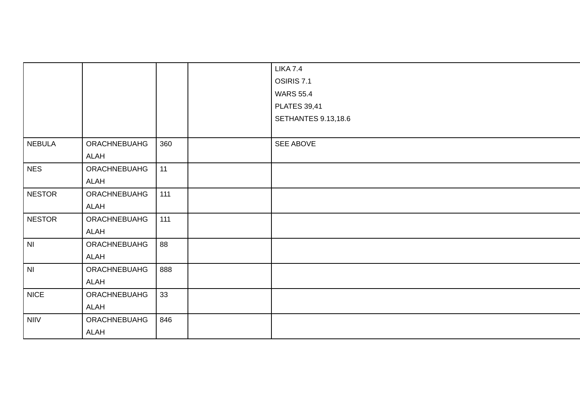|                     |     | <b>LIKA 7.4</b>            |
|---------------------|-----|----------------------------|
|                     |     | OSIRIS 7.1                 |
|                     |     | <b>WARS 55.4</b>           |
|                     |     | <b>PLATES 39,41</b>        |
|                     |     | <b>SETHANTES 9.13,18.6</b> |
|                     |     |                            |
| <b>ORACHNEBUAHG</b> | 360 | SEE ABOVE                  |
| ALAH                |     |                            |
| <b>ORACHNEBUAHG</b> | 11  |                            |
| ALAH                |     |                            |
| <b>ORACHNEBUAHG</b> | 111 |                            |
| <b>ALAH</b>         |     |                            |
| <b>ORACHNEBUAHG</b> | 111 |                            |
| <b>ALAH</b>         |     |                            |
| <b>ORACHNEBUAHG</b> | 88  |                            |
| ALAH                |     |                            |
| <b>ORACHNEBUAHG</b> | 888 |                            |
| ALAH                |     |                            |
| <b>ORACHNEBUAHG</b> | 33  |                            |
| <b>ALAH</b>         |     |                            |
| <b>ORACHNEBUAHG</b> | 846 |                            |
| <b>ALAH</b>         |     |                            |
|                     |     |                            |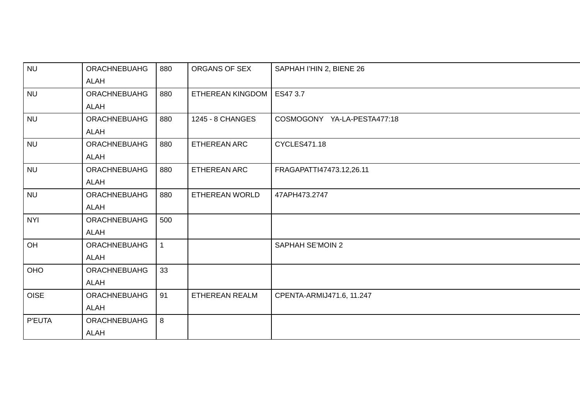| <b>NU</b>     | <b>ORACHNEBUAHG</b> | 880          | ORGANS OF SEX       | SAPHAH I'HIN 2, BIENE 26    |
|---------------|---------------------|--------------|---------------------|-----------------------------|
|               | <b>ALAH</b>         |              |                     |                             |
| <b>NU</b>     | <b>ORACHNEBUAHG</b> | 880          | ETHEREAN KINGDOM    | ES47 3.7                    |
|               | <b>ALAH</b>         |              |                     |                             |
| <b>NU</b>     | <b>ORACHNEBUAHG</b> | 880          | 1245 - 8 CHANGES    | COSMOGONY YA-LA-PESTA477:18 |
|               | <b>ALAH</b>         |              |                     |                             |
| <b>NU</b>     | <b>ORACHNEBUAHG</b> | 880          | <b>ETHEREAN ARC</b> | <b>CYCLES471.18</b>         |
|               | <b>ALAH</b>         |              |                     |                             |
| <b>NU</b>     | <b>ORACHNEBUAHG</b> | 880          | ETHEREAN ARC        | FRAGAPATTI47473.12,26.11    |
|               | <b>ALAH</b>         |              |                     |                             |
| <b>NU</b>     | <b>ORACHNEBUAHG</b> | 880          | ETHEREAN WORLD      | 47APH473.2747               |
|               | <b>ALAH</b>         |              |                     |                             |
| <b>NYI</b>    | <b>ORACHNEBUAHG</b> | 500          |                     |                             |
|               | <b>ALAH</b>         |              |                     |                             |
| OH            | <b>ORACHNEBUAHG</b> | $\mathbf{1}$ |                     | <b>SAPHAH SE'MOIN 2</b>     |
|               | <b>ALAH</b>         |              |                     |                             |
| OHO           | <b>ORACHNEBUAHG</b> | 33           |                     |                             |
|               | <b>ALAH</b>         |              |                     |                             |
| <b>OISE</b>   | <b>ORACHNEBUAHG</b> | 91           | ETHEREAN REALM      | CPENTA-ARMIJ471.6, 11.247   |
|               | <b>ALAH</b>         |              |                     |                             |
| <b>P'EUTA</b> | <b>ORACHNEBUAHG</b> | 8            |                     |                             |
|               | <b>ALAH</b>         |              |                     |                             |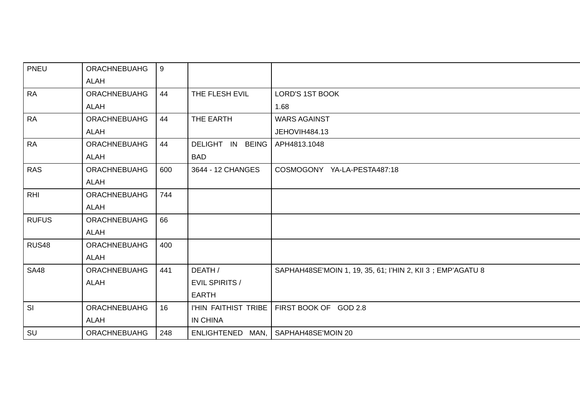| <b>ORACHNEBUAHG</b> | 9   |                   |                                                             |
|---------------------|-----|-------------------|-------------------------------------------------------------|
| <b>ALAH</b>         |     |                   |                                                             |
| <b>ORACHNEBUAHG</b> | 44  | THE FLESH EVIL    | <b>LORD'S 1ST BOOK</b>                                      |
| <b>ALAH</b>         |     |                   | 1.68                                                        |
| <b>ORACHNEBUAHG</b> | 44  | THE EARTH         | <b>WARS AGAINST</b>                                         |
| <b>ALAH</b>         |     |                   | JEHOVIH484.13                                               |
| <b>ORACHNEBUAHG</b> | 44  | DELIGHT IN BEING  | APH4813.1048                                                |
| <b>ALAH</b>         |     | <b>BAD</b>        |                                                             |
| <b>ORACHNEBUAHG</b> | 600 | 3644 - 12 CHANGES | COSMOGONY YA-LA-PESTA487:18                                 |
| <b>ALAH</b>         |     |                   |                                                             |
| <b>ORACHNEBUAHG</b> | 744 |                   |                                                             |
| <b>ALAH</b>         |     |                   |                                                             |
| <b>ORACHNEBUAHG</b> | 66  |                   |                                                             |
| <b>ALAH</b>         |     |                   |                                                             |
| <b>ORACHNEBUAHG</b> | 400 |                   |                                                             |
| <b>ALAH</b>         |     |                   |                                                             |
| <b>ORACHNEBUAHG</b> | 441 | DEATH /           | SAPHAH48SE'MOIN 1, 19, 35, 61; I'HIN 2, KII 3 ; EMP'AGATU 8 |
| <b>ALAH</b>         |     | EVIL SPIRITS /    |                                                             |
|                     |     | <b>EARTH</b>      |                                                             |
| <b>ORACHNEBUAHG</b> | 16  |                   | I'HIN FAITHIST TRIBE   FIRST BOOK OF GOD 2.8                |
| <b>ALAH</b>         |     | <b>IN CHINA</b>   |                                                             |
| <b>ORACHNEBUAHG</b> | 248 | ENLIGHTENED MAN,  | SAPHAH48SE'MOIN 20                                          |
|                     |     |                   |                                                             |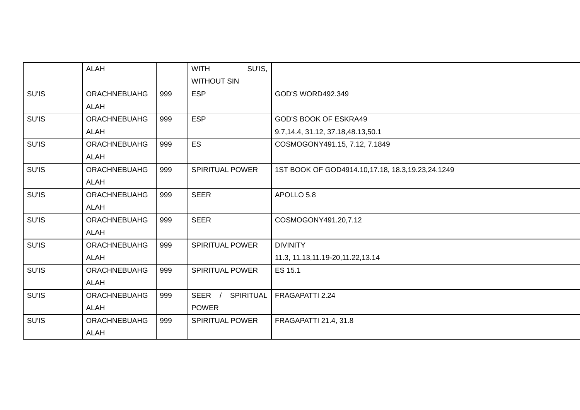|              | <b>ALAH</b>         |     | SU'IS,<br><b>WITH</b>  |                                                  |
|--------------|---------------------|-----|------------------------|--------------------------------------------------|
|              |                     |     | <b>WITHOUT SIN</b>     |                                                  |
| <b>SU'IS</b> | <b>ORACHNEBUAHG</b> | 999 | <b>ESP</b>             | GOD'S WORD492.349                                |
|              | <b>ALAH</b>         |     |                        |                                                  |
| <b>SU'IS</b> | <b>ORACHNEBUAHG</b> | 999 | <b>ESP</b>             | <b>GOD'S BOOK OF ESKRA49</b>                     |
|              | <b>ALAH</b>         |     |                        | 9.7, 14.4, 31.12, 37.18, 48.13, 50.1             |
| SU'IS        | <b>ORACHNEBUAHG</b> | 999 | <b>ES</b>              | COSMOGONY491.15, 7.12, 7.1849                    |
|              | <b>ALAH</b>         |     |                        |                                                  |
| <b>SU'IS</b> | <b>ORACHNEBUAHG</b> | 999 | SPIRITUAL POWER        | 1ST BOOK OF GOD4914.10,17.18, 18.3,19.23,24.1249 |
|              | <b>ALAH</b>         |     |                        |                                                  |
| SU'IS        | <b>ORACHNEBUAHG</b> | 999 | <b>SEER</b>            | APOLLO <sub>5.8</sub>                            |
|              | <b>ALAH</b>         |     |                        |                                                  |
| <b>SU'IS</b> | <b>ORACHNEBUAHG</b> | 999 | <b>SEER</b>            | COSMOGONY491.20,7.12                             |
|              | <b>ALAH</b>         |     |                        |                                                  |
| <b>SU'IS</b> | <b>ORACHNEBUAHG</b> | 999 | SPIRITUAL POWER        | <b>DIVINITY</b>                                  |
|              | <b>ALAH</b>         |     |                        | 11.3, 11.13, 11.19-20, 11.22, 13.14              |
| <b>SU'IS</b> | <b>ORACHNEBUAHG</b> | 999 | <b>SPIRITUAL POWER</b> | ES 15.1                                          |
|              | <b>ALAH</b>         |     |                        |                                                  |
| <b>SU'IS</b> | <b>ORACHNEBUAHG</b> | 999 | SEER /<br>SPIRITUAL    | FRAGAPATTI 2.24                                  |
|              | <b>ALAH</b>         |     | <b>POWER</b>           |                                                  |
| <b>SU'IS</b> | <b>ORACHNEBUAHG</b> | 999 | <b>SPIRITUAL POWER</b> | <b>FRAGAPATTI 21.4, 31.8</b>                     |
|              | <b>ALAH</b>         |     |                        |                                                  |
|              |                     |     |                        |                                                  |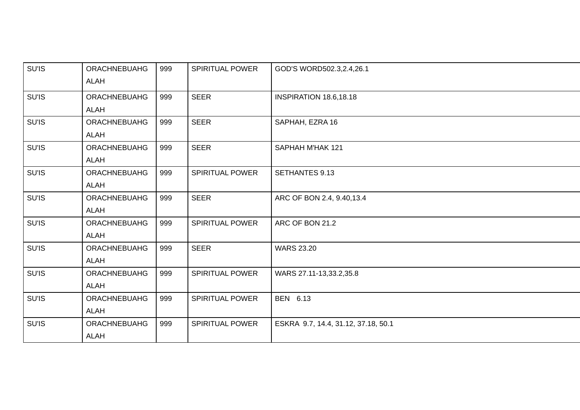| <b>SU'IS</b> | <b>ORACHNEBUAHG</b> | 999 | <b>SPIRITUAL POWER</b> | GOD'S WORD502.3,2.4,26.1            |
|--------------|---------------------|-----|------------------------|-------------------------------------|
|              | <b>ALAH</b>         |     |                        |                                     |
| <b>SU'IS</b> | <b>ORACHNEBUAHG</b> | 999 | <b>SEER</b>            | INSPIRATION 18.6,18.18              |
|              | <b>ALAH</b>         |     |                        |                                     |
| <b>SU'IS</b> | <b>ORACHNEBUAHG</b> | 999 | <b>SEER</b>            | SAPHAH, EZRA 16                     |
|              | <b>ALAH</b>         |     |                        |                                     |
| <b>SU'IS</b> | <b>ORACHNEBUAHG</b> | 999 | <b>SEER</b>            | SAPHAH M'HAK 121                    |
|              | <b>ALAH</b>         |     |                        |                                     |
| <b>SU'IS</b> | <b>ORACHNEBUAHG</b> | 999 | SPIRITUAL POWER        | SETHANTES 9.13                      |
|              | <b>ALAH</b>         |     |                        |                                     |
| <b>SU'IS</b> | <b>ORACHNEBUAHG</b> | 999 | <b>SEER</b>            | ARC OF BON 2.4, 9.40,13.4           |
|              | <b>ALAH</b>         |     |                        |                                     |
| <b>SU'IS</b> | <b>ORACHNEBUAHG</b> | 999 | SPIRITUAL POWER        | ARC OF BON 21.2                     |
|              | <b>ALAH</b>         |     |                        |                                     |
| <b>SU'IS</b> | <b>ORACHNEBUAHG</b> | 999 | <b>SEER</b>            | <b>WARS 23.20</b>                   |
|              | <b>ALAH</b>         |     |                        |                                     |
| <b>SU'IS</b> | <b>ORACHNEBUAHG</b> | 999 | SPIRITUAL POWER        | WARS 27.11-13,33.2,35.8             |
|              | <b>ALAH</b>         |     |                        |                                     |
| <b>SU'IS</b> | <b>ORACHNEBUAHG</b> | 999 | SPIRITUAL POWER        | BEN 6.13                            |
|              | <b>ALAH</b>         |     |                        |                                     |
| <b>SU'IS</b> | <b>ORACHNEBUAHG</b> | 999 | SPIRITUAL POWER        | ESKRA 9.7, 14.4, 31.12, 37.18, 50.1 |
|              | <b>ALAH</b>         |     |                        |                                     |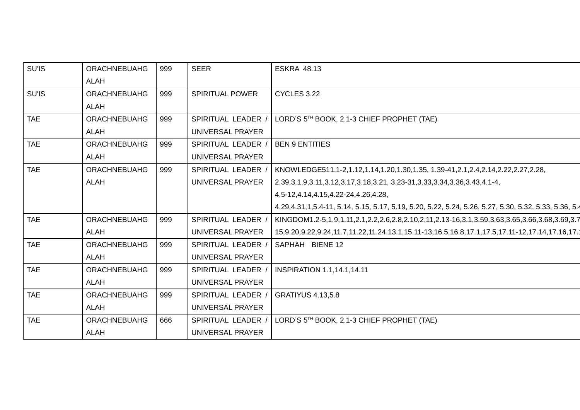| <b>ORACHNEBUAHG</b> | 999 | <b>SEER</b>                          | <b>ESKRA 48.13</b>                                                                                    |
|---------------------|-----|--------------------------------------|-------------------------------------------------------------------------------------------------------|
| <b>ALAH</b>         |     |                                      |                                                                                                       |
| <b>ORACHNEBUAHG</b> | 999 | SPIRITUAL POWER                      | CYCLES 3.22                                                                                           |
| <b>ALAH</b>         |     |                                      |                                                                                                       |
| <b>ORACHNEBUAHG</b> | 999 |                                      | SPIRITUAL LEADER / LORD'S 5TH BOOK, 2.1-3 CHIEF PROPHET (TAE)                                         |
| <b>ALAH</b>         |     | UNIVERSAL PRAYER                     |                                                                                                       |
| <b>ORACHNEBUAHG</b> | 999 | SPIRITUAL LEADER /   BEN 9 ENTITIES  |                                                                                                       |
| <b>ALAH</b>         |     | <b>UNIVERSAL PRAYER</b>              |                                                                                                       |
| <b>ORACHNEBUAHG</b> | 999 |                                      | SPIRITUAL LEADER /   KNOWLEDGE511.1-2,1.12,1.14,1.20,1.30,1.35, 1.39-41,2.1,2.4,2.14,2.22,2.27,2.28,  |
| <b>ALAH</b>         |     | UNIVERSAL PRAYER                     | 2.39, 3.1, 9, 3.11, 3.12, 3.17, 3.18, 3.21, 3.23-31, 3.33, 3.34, 3.36, 3.43, 4.1-4,                   |
|                     |     |                                      | 4.5-12,4.14,4.15,4.22-24,4.26,4.28,                                                                   |
|                     |     |                                      | 4.29,4.31,1,5.4-11, 5.14, 5.15, 5.17, 5.19, 5.20, 5.22, 5.24, 5.26, 5.27, 5.30, 5.32, 5.33, 5.36, 5.4 |
| <b>ORACHNEBUAHG</b> | 999 | SPIRITUAL LEADER /                   | KINGDOM1.2-5,1.9,1.11,2.1,2.2,2.6,2.8,2.10,2.11,2.13-16,3.1,3.59,3.63,3.65,3.66,3.68,3.69,3.7         |
| <b>ALAH</b>         |     | UNIVERSAL PRAYER                     | 15,9.20,9.22,9.24,11.7,11.22,11.24.13.1,15.11-13,16.5,16.8,17.1,17.5,17.11-12,17.14,17.16,17.1        |
| <b>ORACHNEBUAHG</b> | 999 | SPIRITUAL LEADER / SAPHAH BIENE 12   |                                                                                                       |
| <b>ALAH</b>         |     | UNIVERSAL PRAYER                     |                                                                                                       |
| <b>ORACHNEBUAHG</b> | 999 |                                      | SPIRITUAL LEADER / INSPIRATION 1.1,14.1,14.11                                                         |
| <b>ALAH</b>         |     | UNIVERSAL PRAYER                     |                                                                                                       |
| <b>ORACHNEBUAHG</b> | 999 | SPIRITUAL LEADER / GRATIYUS 4.13,5.8 |                                                                                                       |
| <b>ALAH</b>         |     | UNIVERSAL PRAYER                     |                                                                                                       |
| <b>ORACHNEBUAHG</b> | 666 | SPIRITUAL LEADER /                   | LORD'S 5TH BOOK, 2.1-3 CHIEF PROPHET (TAE)                                                            |
| <b>ALAH</b>         |     | UNIVERSAL PRAYER                     |                                                                                                       |
|                     |     |                                      |                                                                                                       |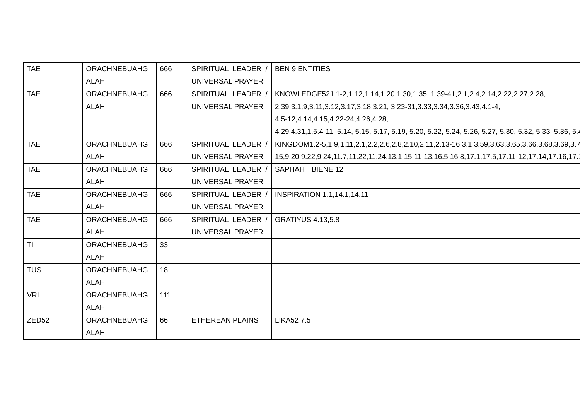| TAE            | ORACHNEBUAHG        | 666  | SPIRITUAL LEADER /   BEN 9 ENTITIES  |                                                                                                                  |
|----------------|---------------------|------|--------------------------------------|------------------------------------------------------------------------------------------------------------------|
|                | <b>ALAH</b>         |      | UNIVERSAL PRAYER                     |                                                                                                                  |
| l tae          | <b>ORACHNEBUAHG</b> | 666  |                                      | SPIRITUAL LEADER /   KNOWLEDGE521.1-2,1.12,1.14,1.20,1.30,1.35, 1.39-41,2.1,2.4,2.14,2.22,2.27,2.28,             |
|                | ALAH                |      | UNIVERSAL PRAYER                     | 2.39, 3.1, 9, 3.11, 3.12, 3.17, 3.18, 3.21, 3.23-31, 3.33, 3.34, 3.36, 3.43, 4.1-4,                              |
|                |                     |      |                                      | 4.5-12,4.14,4.15,4.22-24,4.26,4.28,                                                                              |
|                |                     |      |                                      | 4.29, 4.31, 1, 5.4-11, 5.14, 5.15, 5.17, 5.19, 5.20, 5.22, 5.24, 5.26, 5.27, 5.30, 5.32, 5.33, 5.36, 5.4         |
| TAE            | <b>ORACHNEBUAHG</b> | 666  |                                      | SPIRITUAL LEADER / KINGDOM1.2-5,1.9,1.11,2.1,2.2,2.6,2.8,2.10,2.11,2.13-16,3.1,3.59,3.63,3.65,3.66,3.68,3.69,3.7 |
|                | <b>ALAH</b>         |      | UNIVERSAL PRAYER                     | 15,9.20,9.22,9.24,11.7,11.22,11.24.13.1,15.11-13,16.5,16.8,17.1,17.5,17.11-12,17.14,17.16,17.1                   |
| TAE            | <b>ORACHNEBUAHG</b> | 666  | SPIRITUAL LEADER / SAPHAH BIENE 12   |                                                                                                                  |
|                | <b>ALAH</b>         |      | UNIVERSAL PRAYER                     |                                                                                                                  |
| TAE            | <b>ORACHNEBUAHG</b> | 666  |                                      | SPIRITUAL LEADER /   INSPIRATION 1.1,14.1,14.11                                                                  |
|                | <b>ALAH</b>         |      | UNIVERSAL PRAYER                     |                                                                                                                  |
| TAE            | <b>ORACHNEBUAHG</b> | 666  | SPIRITUAL LEADER / GRATIYUS 4.13,5.8 |                                                                                                                  |
|                | <b>ALAH</b>         |      | UNIVERSAL PRAYER                     |                                                                                                                  |
| $\overline{1}$ | <b>ORACHNEBUAHG</b> | 33   |                                      |                                                                                                                  |
|                | <b>ALAH</b>         |      |                                      |                                                                                                                  |
| ∣ ⊤∪s          | <b>ORACHNEBUAHG</b> | 18   |                                      |                                                                                                                  |
|                | ALAH                |      |                                      |                                                                                                                  |
| VRI            | <b>ORACHNEBUAHG</b> | 111  |                                      |                                                                                                                  |
|                | <b>ALAH</b>         |      |                                      |                                                                                                                  |
| $ $ ZED52      | ORACHNEBUAHG        | l 66 | ETHEREAN PLAINS                      | LIKA52 7.5                                                                                                       |
|                | ALAH                |      |                                      |                                                                                                                  |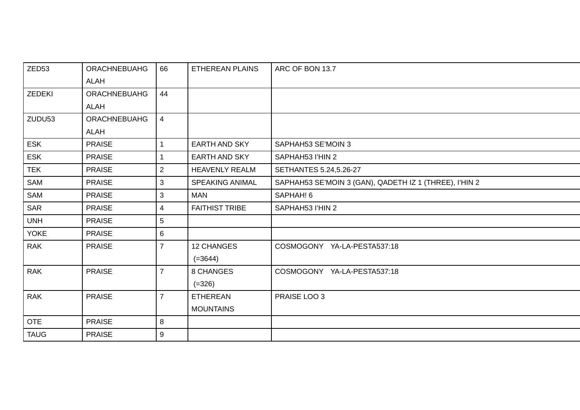| ZED53         | <b>ORACHNEBUAHG</b> | 66             | <b>ETHEREAN PLAINS</b> | ARC OF BON 13.7                                        |
|---------------|---------------------|----------------|------------------------|--------------------------------------------------------|
|               | <b>ALAH</b>         |                |                        |                                                        |
| <b>ZEDEKI</b> | <b>ORACHNEBUAHG</b> | 44             |                        |                                                        |
|               | <b>ALAH</b>         |                |                        |                                                        |
| ZUDU53        | <b>ORACHNEBUAHG</b> | 4              |                        |                                                        |
|               | <b>ALAH</b>         |                |                        |                                                        |
| <b>ESK</b>    | <b>PRAISE</b>       | $\mathbf{1}$   | <b>EARTH AND SKY</b>   | SAPHAH53 SE'MOIN 3                                     |
| <b>ESK</b>    | <b>PRAISE</b>       | $\mathbf{1}$   | <b>EARTH AND SKY</b>   | SAPHAH53 I'HIN 2                                       |
| <b>TEK</b>    | <b>PRAISE</b>       | $\overline{2}$ | <b>HEAVENLY REALM</b>  | SETHANTES 5.24,5.26-27                                 |
| <b>SAM</b>    | <b>PRAISE</b>       | 3              | <b>SPEAKING ANIMAL</b> | SAPHAH53 SE'MOIN 3 (GAN), QADETH IZ 1 (THREE), I'HIN 2 |
| <b>SAM</b>    | <b>PRAISE</b>       | 3              | <b>MAN</b>             | SAPHAH! 6                                              |
| <b>SAR</b>    | <b>PRAISE</b>       | 4              | <b>FAITHIST TRIBE</b>  | SAPHAH53 I'HIN 2                                       |
| <b>UNH</b>    | <b>PRAISE</b>       | 5              |                        |                                                        |
| <b>YOKE</b>   | <b>PRAISE</b>       | 6              |                        |                                                        |
| <b>RAK</b>    | <b>PRAISE</b>       | $\overline{7}$ | <b>12 CHANGES</b>      | COSMOGONY YA-LA-PESTA537:18                            |
|               |                     |                | $(=3644)$              |                                                        |
| <b>RAK</b>    | <b>PRAISE</b>       | $\overline{7}$ | 8 CHANGES              | COSMOGONY YA-LA-PESTA537:18                            |
|               |                     |                | $(=326)$               |                                                        |
| <b>RAK</b>    | <b>PRAISE</b>       | $\overline{7}$ | <b>ETHEREAN</b>        | PRAISE LOO 3                                           |
|               |                     |                | <b>MOUNTAINS</b>       |                                                        |
| <b>OTE</b>    | <b>PRAISE</b>       | 8              |                        |                                                        |
| <b>TAUG</b>   | <b>PRAISE</b>       | 9              |                        |                                                        |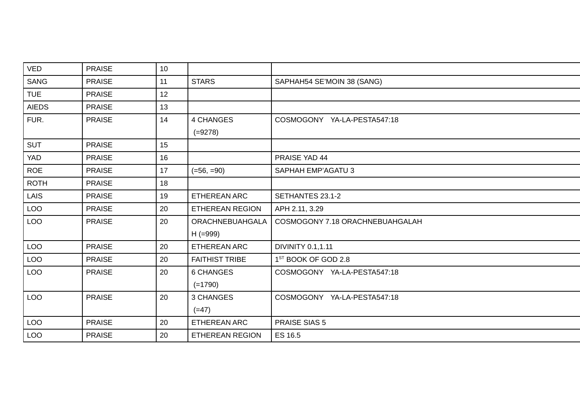| <b>VED</b>   | <b>PRAISE</b> | 10 |                        |                                 |
|--------------|---------------|----|------------------------|---------------------------------|
| <b>SANG</b>  | <b>PRAISE</b> | 11 | <b>STARS</b>           | SAPHAH54 SE'MOIN 38 (SANG)      |
| <b>TUE</b>   | <b>PRAISE</b> | 12 |                        |                                 |
| <b>AIEDS</b> | <b>PRAISE</b> | 13 |                        |                                 |
| FUR.         | <b>PRAISE</b> | 14 | <b>4 CHANGES</b>       | COSMOGONY YA-LA-PESTA547:18     |
|              |               |    | $(=9278)$              |                                 |
| <b>SUT</b>   | <b>PRAISE</b> | 15 |                        |                                 |
| <b>YAD</b>   | <b>PRAISE</b> | 16 |                        | PRAISE YAD 44                   |
| <b>ROE</b>   | <b>PRAISE</b> | 17 | $(=56, =90)$           | <b>SAPHAH EMP'AGATU 3</b>       |
| <b>ROTH</b>  | <b>PRAISE</b> | 18 |                        |                                 |
| <b>LAIS</b>  | <b>PRAISE</b> | 19 | ETHEREAN ARC           | SETHANTES 23.1-2                |
| <b>LOO</b>   | <b>PRAISE</b> | 20 | ETHEREAN REGION        | APH 2.11, 3.29                  |
| <b>LOO</b>   | <b>PRAISE</b> | 20 | <b>ORACHNEBUAHGALA</b> | COSMOGONY 7.18 ORACHNEBUAHGALAH |
|              |               |    | H (=999)               |                                 |
| <b>LOO</b>   | <b>PRAISE</b> | 20 | <b>ETHEREAN ARC</b>    | DIVINITY 0.1,1.11               |
| <b>LOO</b>   | <b>PRAISE</b> | 20 | <b>FAITHIST TRIBE</b>  | $1ST$ BOOK OF GOD 2.8           |
| LOO          | <b>PRAISE</b> | 20 | <b>6 CHANGES</b>       | COSMOGONY YA-LA-PESTA547:18     |
|              |               |    | $(=1790)$              |                                 |
| <b>LOO</b>   | <b>PRAISE</b> | 20 | 3 CHANGES              | COSMOGONY YA-LA-PESTA547:18     |
|              |               |    | $(=47)$                |                                 |
| LOO          | <b>PRAISE</b> | 20 | ETHEREAN ARC           | PRAISE SIAS 5                   |
| LOO          | <b>PRAISE</b> | 20 | ETHEREAN REGION        | ES 16.5                         |
|              |               |    |                        |                                 |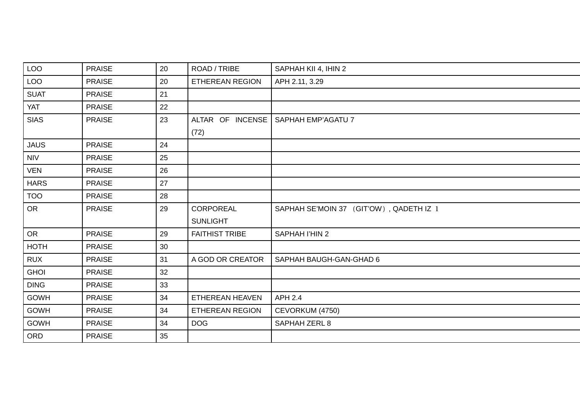| <b>PRAISE</b> | 20 | ROAD / TRIBE          | SAPHAH KII 4, IHIN 2                    |
|---------------|----|-----------------------|-----------------------------------------|
| <b>PRAISE</b> | 20 | ETHEREAN REGION       | APH 2.11, 3.29                          |
| <b>PRAISE</b> | 21 |                       |                                         |
| <b>PRAISE</b> | 22 |                       |                                         |
| <b>PRAISE</b> | 23 |                       | ALTAR OF INCENSE   SAPHAH EMP'AGATU 7   |
|               |    | (72)                  |                                         |
| <b>PRAISE</b> | 24 |                       |                                         |
| <b>PRAISE</b> | 25 |                       |                                         |
| <b>PRAISE</b> | 26 |                       |                                         |
| <b>PRAISE</b> | 27 |                       |                                         |
| <b>PRAISE</b> | 28 |                       |                                         |
| <b>PRAISE</b> | 29 | <b>CORPOREAL</b>      | SAPHAH SE'MOIN 37 (GIT'OW), QADETH IZ 1 |
|               |    | <b>SUNLIGHT</b>       |                                         |
| <b>PRAISE</b> | 29 | <b>FAITHIST TRIBE</b> | SAPHAH I'HIN 2                          |
| <b>PRAISE</b> | 30 |                       |                                         |
| <b>PRAISE</b> | 31 | A GOD OR CREATOR      | SAPHAH BAUGH-GAN-GHAD 6                 |
| <b>PRAISE</b> | 32 |                       |                                         |
| <b>PRAISE</b> | 33 |                       |                                         |
| <b>PRAISE</b> | 34 | ETHEREAN HEAVEN       | <b>APH 2.4</b>                          |
| <b>PRAISE</b> | 34 | ETHEREAN REGION       | CEVORKUM (4750)                         |
| <b>PRAISE</b> | 34 | <b>DOG</b>            | SAPHAH ZERL 8                           |
| <b>PRAISE</b> | 35 |                       |                                         |
|               |    |                       |                                         |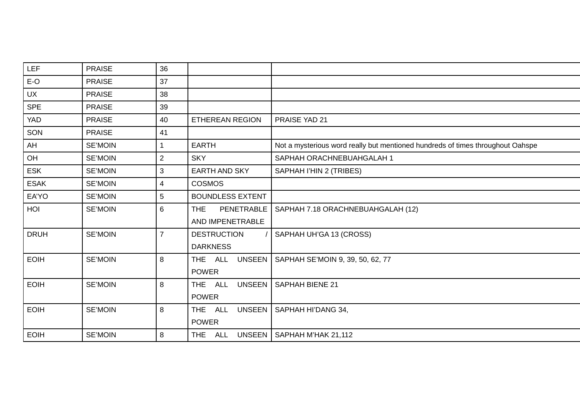| <b>LEF</b>  | <b>PRAISE</b>  | 36             |                                    |                                                                                |
|-------------|----------------|----------------|------------------------------------|--------------------------------------------------------------------------------|
| $E-O$       | <b>PRAISE</b>  | 37             |                                    |                                                                                |
| <b>UX</b>   | <b>PRAISE</b>  | 38             |                                    |                                                                                |
| <b>SPE</b>  | <b>PRAISE</b>  | 39             |                                    |                                                                                |
| <b>YAD</b>  | <b>PRAISE</b>  | 40             | ETHEREAN REGION                    | PRAISE YAD 21                                                                  |
| SON         | <b>PRAISE</b>  | 41             |                                    |                                                                                |
| AH          | SE'MOIN        | $\mathbf{1}$   | <b>EARTH</b>                       | Not a mysterious word really but mentioned hundreds of times throughout Oahspe |
| OH          | <b>SE'MOIN</b> | $\overline{2}$ | <b>SKY</b>                         | SAPHAH ORACHNEBUAHGALAH 1                                                      |
| <b>ESK</b>  | SE'MOIN        | 3              | <b>EARTH AND SKY</b>               | SAPHAH I'HIN 2 (TRIBES)                                                        |
| <b>ESAK</b> | <b>SE'MOIN</b> | 4              | <b>COSMOS</b>                      |                                                                                |
| EA'YO       | SE'MOIN        | 5              | <b>BOUNDLESS EXTENT</b>            |                                                                                |
| HOI         | <b>SE'MOIN</b> | 6              | PENETRABLE<br><b>THE</b>           | SAPHAH 7.18 ORACHNEBUAHGALAH (12)                                              |
|             |                |                | AND IMPENETRABLE                   |                                                                                |
| <b>DRUH</b> | <b>SE'MOIN</b> | $\overline{7}$ | <b>DESTRUCTION</b>                 | SAPHAH UH'GA 13 (CROSS)                                                        |
|             |                |                | <b>DARKNESS</b>                    |                                                                                |
| <b>EOIH</b> | <b>SE'MOIN</b> | 8              | <b>UNSEEN</b><br>ALL<br><b>THE</b> | SAPHAH SE'MOIN 9, 39, 50, 62, 77                                               |
|             |                |                | <b>POWER</b>                       |                                                                                |
| <b>EOIH</b> | SE'MOIN        | 8              | THE ALL<br><b>UNSEEN</b>           | SAPHAH BIENE 21                                                                |
|             |                |                | <b>POWER</b>                       |                                                                                |
| <b>EOIH</b> | SE'MOIN        | 8              | <b>THE</b><br>ALL<br><b>UNSEEN</b> | SAPHAH HI'DANG 34,                                                             |
|             |                |                | <b>POWER</b>                       |                                                                                |
| <b>EOIH</b> | <b>SE'MOIN</b> | 8              | <b>UNSEEN</b><br><b>THE</b><br>ALL | SAPHAH M'HAK 21,112                                                            |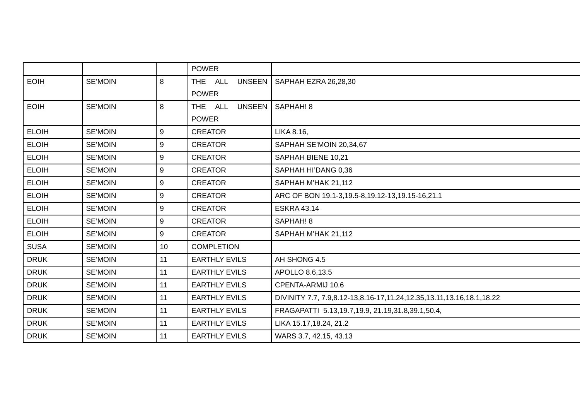|              |                |    | <b>POWER</b>                              |                                                                      |
|--------------|----------------|----|-------------------------------------------|----------------------------------------------------------------------|
| <b>EOIH</b>  | SE'MOIN        | 8  | ALL<br><b>UNSEEN</b><br><b>THE</b>        | SAPHAH EZRA 26,28,30                                                 |
|              |                |    | <b>POWER</b>                              |                                                                      |
| <b>EOIH</b>  | SE'MOIN        | 8  | <b>THE</b><br><b>ALL</b><br><b>UNSEEN</b> | SAPHAH! 8                                                            |
|              |                |    | <b>POWER</b>                              |                                                                      |
| <b>ELOIH</b> | <b>SE'MOIN</b> | 9  | <b>CREATOR</b>                            | LIKA 8.16,                                                           |
| <b>ELOIH</b> | <b>SE'MOIN</b> | 9  | <b>CREATOR</b>                            | SAPHAH SE'MOIN 20,34,67                                              |
| <b>ELOIH</b> | <b>SE'MOIN</b> | 9  | <b>CREATOR</b>                            | SAPHAH BIENE 10,21                                                   |
| <b>ELOIH</b> | <b>SE'MOIN</b> | 9  | <b>CREATOR</b>                            | SAPHAH HI'DANG 0,36                                                  |
| <b>ELOIH</b> | <b>SE'MOIN</b> | 9  | <b>CREATOR</b>                            | SAPHAH M'HAK 21,112                                                  |
| <b>ELOIH</b> | <b>SE'MOIN</b> | 9  | <b>CREATOR</b>                            | ARC OF BON 19.1-3,19.5-8,19.12-13,19.15-16,21.1                      |
| <b>ELOIH</b> | <b>SE'MOIN</b> | 9  | <b>CREATOR</b>                            | <b>ESKRA 43.14</b>                                                   |
| <b>ELOIH</b> | <b>SE'MOIN</b> | 9  | <b>CREATOR</b>                            | SAPHAH! 8                                                            |
| <b>ELOIH</b> | <b>SE'MOIN</b> | 9  | <b>CREATOR</b>                            | SAPHAH M'HAK 21,112                                                  |
| <b>SUSA</b>  | <b>SE'MOIN</b> | 10 | <b>COMPLETION</b>                         |                                                                      |
| <b>DRUK</b>  | <b>SE'MOIN</b> | 11 | <b>EARTHLY EVILS</b>                      | AH SHONG 4.5                                                         |
| <b>DRUK</b>  | <b>SE'MOIN</b> | 11 | <b>EARTHLY EVILS</b>                      | APOLLO 8.6,13.5                                                      |
| <b>DRUK</b>  | <b>SE'MOIN</b> | 11 | <b>EARTHLY EVILS</b>                      | CPENTA-ARMIJ 10.6                                                    |
| <b>DRUK</b>  | <b>SE'MOIN</b> | 11 | <b>EARTHLY EVILS</b>                      | DIVINITY 7.7, 7.9,8.12-13,8.16-17,11.24,12.35,13.11,13.16,18.1,18.22 |
| <b>DRUK</b>  | <b>SE'MOIN</b> | 11 | <b>EARTHLY EVILS</b>                      | FRAGAPATTI 5.13,19.7,19.9, 21.19,31.8,39.1,50.4,                     |
| <b>DRUK</b>  | SE'MOIN        | 11 | <b>EARTHLY EVILS</b>                      | LIKA 15.17,18.24, 21.2                                               |
| <b>DRUK</b>  | <b>SE'MOIN</b> | 11 | <b>EARTHLY EVILS</b>                      | WARS 3.7, 42.15, 43.13                                               |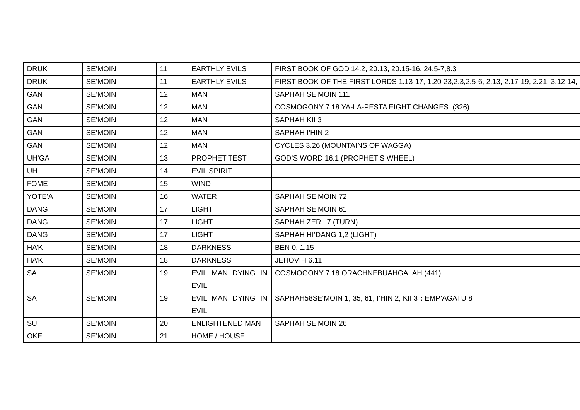| <b>DRUK</b> | SE'MOIN        | 11 | <b>EARTHLY EVILS</b>   | FIRST BOOK OF GOD 14.2, 20.13, 20.15-16, 24.5-7,8.3                                       |
|-------------|----------------|----|------------------------|-------------------------------------------------------------------------------------------|
| <b>DRUK</b> | <b>SE'MOIN</b> | 11 | <b>EARTHLY EVILS</b>   | FIRST BOOK OF THE FIRST LORDS 1.13-17, 1.20-23, 2.3, 2.5-6, 2.13, 2.17-19, 2.21, 3.12-14, |
| GAN         | <b>SE'MOIN</b> | 12 | <b>MAN</b>             | SAPHAH SE'MOIN 111                                                                        |
| GAN         | <b>SE'MOIN</b> | 12 | <b>MAN</b>             | COSMOGONY 7.18 YA-LA-PESTA EIGHT CHANGES (326)                                            |
| GAN         | <b>SE'MOIN</b> | 12 | <b>MAN</b>             | SAPHAH KII 3                                                                              |
| GAN         | <b>SE'MOIN</b> | 12 | <b>MAN</b>             | SAPHAH I'HIN 2                                                                            |
| GAN         | <b>SE'MOIN</b> | 12 | <b>MAN</b>             | CYCLES 3.26 (MOUNTAINS OF WAGGA)                                                          |
| UH'GA       | SE'MOIN        | 13 | PROPHET TEST           | GOD'S WORD 16.1 (PROPHET'S WHEEL)                                                         |
| UH          | <b>SE'MOIN</b> | 14 | <b>EVIL SPIRIT</b>     |                                                                                           |
| <b>FOME</b> | <b>SE'MOIN</b> | 15 | <b>WIND</b>            |                                                                                           |
| YOTE'A      | <b>SE'MOIN</b> | 16 | <b>WATER</b>           | SAPHAH SE'MOIN 72                                                                         |
| <b>DANG</b> | <b>SE'MOIN</b> | 17 | <b>LIGHT</b>           | SAPHAH SE'MOIN 61                                                                         |
| <b>DANG</b> | <b>SE'MOIN</b> | 17 | <b>LIGHT</b>           | SAPHAH ZERL 7 (TURN)                                                                      |
| <b>DANG</b> | <b>SE'MOIN</b> | 17 | <b>LIGHT</b>           | SAPHAH HI'DANG 1,2 (LIGHT)                                                                |
| HA'K        | SE'MOIN        | 18 | <b>DARKNESS</b>        | BEN 0, 1.15                                                                               |
| HA'K        | <b>SE'MOIN</b> | 18 | <b>DARKNESS</b>        | JEHOVIH 6.11                                                                              |
| <b>SA</b>   | <b>SE'MOIN</b> | 19 | EVIL MAN DYING IN      | COSMOGONY 7.18 ORACHNEBUAHGALAH (441)                                                     |
|             |                |    | <b>EVIL</b>            |                                                                                           |
| <b>SA</b>   | <b>SE'MOIN</b> | 19 | EVIL MAN DYING IN      | SAPHAH58SE'MOIN 1, 35, 61; I'HIN 2, KII 3 ; EMP'AGATU 8                                   |
|             |                |    | <b>EVIL</b>            |                                                                                           |
| SU          | SE'MOIN        | 20 | <b>ENLIGHTENED MAN</b> | <b>SAPHAH SE'MOIN 26</b>                                                                  |
| OKE         | <b>SE'MOIN</b> | 21 | HOME / HOUSE           |                                                                                           |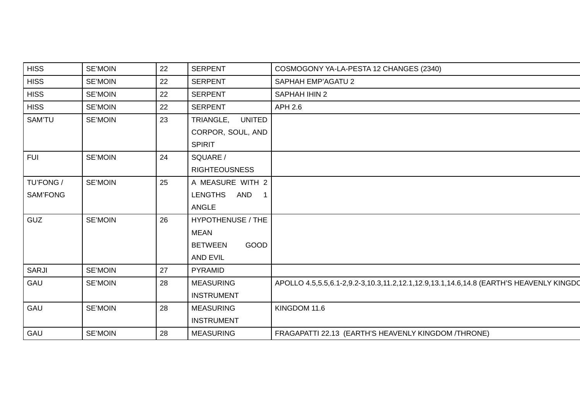| <b>HISS</b> | SE'MOIN        | 22 | <b>SERPENT</b>                     | COSMOGONY YA-LA-PESTA 12 CHANGES (2340)                                                |
|-------------|----------------|----|------------------------------------|----------------------------------------------------------------------------------------|
| <b>HISS</b> | SE'MOIN        | 22 | <b>SERPENT</b>                     | <b>SAPHAH EMP'AGATU 2</b>                                                              |
| <b>HISS</b> | SE'MOIN        | 22 | <b>SERPENT</b>                     | SAPHAH IHIN 2                                                                          |
| <b>HISS</b> | SE'MOIN        | 22 | <b>SERPENT</b>                     | APH 2.6                                                                                |
| SAM'TU      | SE'MOIN        | 23 | TRIANGLE,<br><b>UNITED</b>         |                                                                                        |
|             |                |    | CORPOR, SOUL, AND                  |                                                                                        |
|             |                |    | <b>SPIRIT</b>                      |                                                                                        |
| <b>FUI</b>  | SE'MOIN        | 24 | SQUARE /                           |                                                                                        |
|             |                |    | <b>RIGHTEOUSNESS</b>               |                                                                                        |
| TU'FONG /   | <b>SE'MOIN</b> | 25 | A MEASURE WITH 2                   |                                                                                        |
| SAM'FONG    |                |    | <b>LENGTHS</b><br>AND <sub>1</sub> |                                                                                        |
|             |                |    | <b>ANGLE</b>                       |                                                                                        |
| GUZ         | SE'MOIN        | 26 | HYPOTHENUSE / THE                  |                                                                                        |
|             |                |    | <b>MEAN</b>                        |                                                                                        |
|             |                |    | GOOD<br><b>BETWEEN</b>             |                                                                                        |
|             |                |    | <b>AND EVIL</b>                    |                                                                                        |
| SARJI       | SE'MOIN        | 27 | PYRAMID                            |                                                                                        |
| GAU         | SE'MOIN        | 28 | <b>MEASURING</b>                   | APOLLO 4.5,5.5,6.1-2,9.2-3,10.3,11.2,12.1,12.9,13.1,14.6,14.8 (EARTH'S HEAVENLY KINGDO |
|             |                |    | <b>INSTRUMENT</b>                  |                                                                                        |
| GAU         | SE'MOIN        | 28 | <b>MEASURING</b>                   | KINGDOM 11.6                                                                           |
|             |                |    | <b>INSTRUMENT</b>                  |                                                                                        |
| GAU         | SE'MOIN        | 28 | <b>MEASURING</b>                   | FRAGAPATTI 22.13 (EARTH'S HEAVENLY KINGDOM /THRONE)                                    |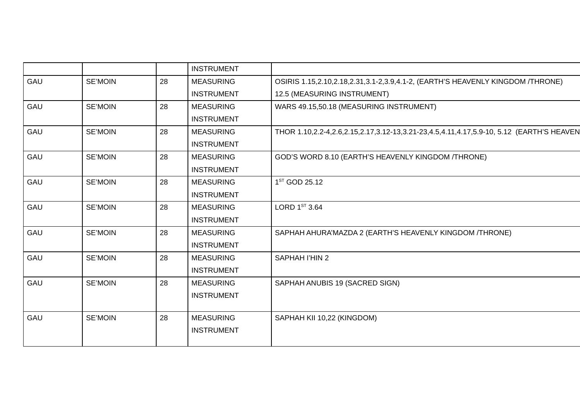|     |                |    | <b>INSTRUMENT</b> |                                                                                          |
|-----|----------------|----|-------------------|------------------------------------------------------------------------------------------|
| GAU | <b>SE'MOIN</b> | 28 | <b>MEASURING</b>  | OSIRIS 1.15,2.10,2.18,2.31,3.1-2,3.9,4.1-2, (EARTH'S HEAVENLY KINGDOM /THRONE)           |
|     |                |    | <b>INSTRUMENT</b> | 12.5 (MEASURING INSTRUMENT)                                                              |
| GAU | <b>SE'MOIN</b> | 28 | <b>MEASURING</b>  | WARS 49.15,50.18 (MEASURING INSTRUMENT)                                                  |
|     |                |    | <b>INSTRUMENT</b> |                                                                                          |
| GAU | SE'MOIN        | 28 | <b>MEASURING</b>  | THOR 1.10,2.2-4,2.6,2.15,2.17,3.12-13,3.21-23,4.5,4.11,4.17,5.9-10, 5.12 (EARTH'S HEAVEN |
|     |                |    | <b>INSTRUMENT</b> |                                                                                          |
| GAU | <b>SE'MOIN</b> | 28 | <b>MEASURING</b>  | GOD'S WORD 8.10 (EARTH'S HEAVENLY KINGDOM /THRONE)                                       |
|     |                |    | <b>INSTRUMENT</b> |                                                                                          |
| GAU | <b>SE'MOIN</b> | 28 | <b>MEASURING</b>  | $1ST$ GOD 25.12                                                                          |
|     |                |    | <b>INSTRUMENT</b> |                                                                                          |
| GAU | <b>SE'MOIN</b> | 28 | <b>MEASURING</b>  | LORD $1ST$ 3.64                                                                          |
|     |                |    | <b>INSTRUMENT</b> |                                                                                          |
| GAU | <b>SE'MOIN</b> | 28 | <b>MEASURING</b>  | SAPHAH AHURA'MAZDA 2 (EARTH'S HEAVENLY KINGDOM /THRONE)                                  |
|     |                |    | <b>INSTRUMENT</b> |                                                                                          |
| GAU | SE'MOIN        | 28 | <b>MEASURING</b>  | SAPHAH I'HIN 2                                                                           |
|     |                |    | <b>INSTRUMENT</b> |                                                                                          |
| GAU | SE'MOIN        | 28 | <b>MEASURING</b>  | SAPHAH ANUBIS 19 (SACRED SIGN)                                                           |
|     |                |    | <b>INSTRUMENT</b> |                                                                                          |
|     |                |    |                   |                                                                                          |
| GAU | SE'MOIN        | 28 | <b>MEASURING</b>  | SAPHAH KII 10,22 (KINGDOM)                                                               |
|     |                |    | <b>INSTRUMENT</b> |                                                                                          |
|     |                |    |                   |                                                                                          |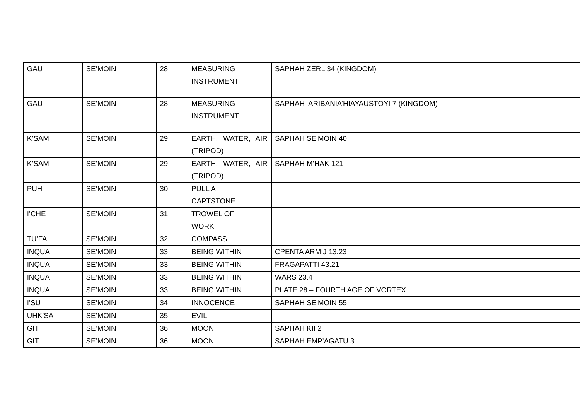| GAU           | SE'MOIN        | 28 | <b>MEASURING</b>    | SAPHAH ZERL 34 (KINGDOM)                |
|---------------|----------------|----|---------------------|-----------------------------------------|
|               |                |    | <b>INSTRUMENT</b>   |                                         |
|               |                |    |                     |                                         |
| GAU           | SE'MOIN        | 28 | <b>MEASURING</b>    | SAPHAH ARIBANIA'HIAYAUSTOYI 7 (KINGDOM) |
|               |                |    | <b>INSTRUMENT</b>   |                                         |
| K'SAM         | <b>SE'MOIN</b> | 29 | EARTH, WATER, AIR   | SAPHAH SE'MOIN 40                       |
|               |                |    | (TRIPOD)            |                                         |
| K'SAM         | <b>SE'MOIN</b> | 29 | EARTH, WATER, AIR   | SAPHAH M'HAK 121                        |
|               |                |    | (TRIPOD)            |                                         |
| <b>PUH</b>    | SE'MOIN        | 30 | <b>PULLA</b>        |                                         |
|               |                |    | <b>CAPTSTONE</b>    |                                         |
| <b>I'CHE</b>  | SE'MOIN        | 31 | TROWEL OF           |                                         |
|               |                |    | <b>WORK</b>         |                                         |
| <b>TU'FA</b>  | SE'MOIN        | 32 | <b>COMPASS</b>      |                                         |
| <b>INQUA</b>  | SE'MOIN        | 33 | <b>BEING WITHIN</b> | CPENTA ARMIJ 13.23                      |
| <b>INQUA</b>  | <b>SE'MOIN</b> | 33 | <b>BEING WITHIN</b> | FRAGAPATTI 43.21                        |
| <b>INQUA</b>  | <b>SE'MOIN</b> | 33 | <b>BEING WITHIN</b> | <b>WARS 23.4</b>                        |
| <b>INQUA</b>  | SE'MOIN        | 33 | <b>BEING WITHIN</b> | PLATE 28 - FOURTH AGE OF VORTEX.        |
| <b>I'SU</b>   | SE'MOIN        | 34 | <b>INNOCENCE</b>    | <b>SAPHAH SE'MOIN 55</b>                |
| <b>UHK'SA</b> | SE'MOIN        | 35 | <b>EVIL</b>         |                                         |
| GIT           | SE'MOIN        | 36 | <b>MOON</b>         | <b>SAPHAH KII 2</b>                     |
| GIT           | SE'MOIN        | 36 | <b>MOON</b>         | SAPHAH EMP'AGATU 3                      |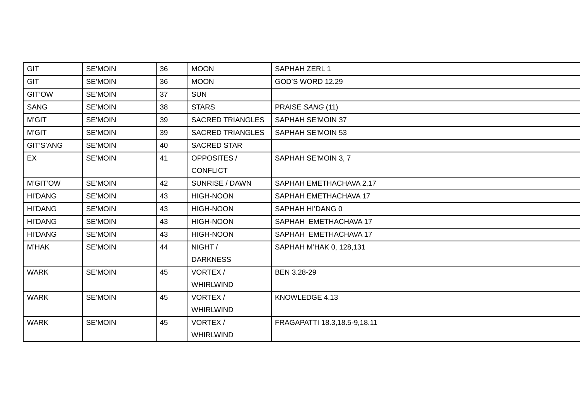| <b>GIT</b>       | SE'MOIN        | 36 | <b>MOON</b>             | SAPHAH ZERL 1                |
|------------------|----------------|----|-------------------------|------------------------------|
| <b>GIT</b>       | <b>SE'MOIN</b> | 36 | <b>MOON</b>             | <b>GOD'S WORD 12.29</b>      |
| <b>GIT'OW</b>    | SE'MOIN        | 37 | <b>SUN</b>              |                              |
| <b>SANG</b>      | <b>SE'MOIN</b> | 38 | <b>STARS</b>            | PRAISE SANG (11)             |
| M'GIT            | SE'MOIN        | 39 | <b>SACRED TRIANGLES</b> | <b>SAPHAH SE'MOIN 37</b>     |
| M'GIT            | SE'MOIN        | 39 | <b>SACRED TRIANGLES</b> | <b>SAPHAH SE'MOIN 53</b>     |
| <b>GIT'S'ANG</b> | <b>SE'MOIN</b> | 40 | <b>SACRED STAR</b>      |                              |
| EX               | SE'MOIN        | 41 | OPPOSITES /             | SAPHAH SE'MOIN 3, 7          |
|                  |                |    | <b>CONFLICT</b>         |                              |
| M'GIT'OW         | <b>SE'MOIN</b> | 42 | SUNRISE / DAWN          | SAPHAH EMETHACHAVA 2,17      |
| <b>HI'DANG</b>   | SE'MOIN        | 43 | <b>HIGH-NOON</b>        | SAPHAH EMETHACHAVA 17        |
| <b>HI'DANG</b>   | <b>SE'MOIN</b> | 43 | <b>HIGH-NOON</b>        | SAPHAH HI'DANG 0             |
| <b>HI'DANG</b>   | SE'MOIN        | 43 | <b>HIGH-NOON</b>        | SAPHAH EMETHACHAVA 17        |
| <b>HI'DANG</b>   | SE'MOIN        | 43 | <b>HIGH-NOON</b>        | SAPHAH EMETHACHAVA 17        |
| <b>M'HAK</b>     | <b>SE'MOIN</b> | 44 | NIGHT/                  | SAPHAH M'HAK 0, 128,131      |
|                  |                |    | <b>DARKNESS</b>         |                              |
| <b>WARK</b>      | SE'MOIN        | 45 | VORTEX/                 | <b>BEN 3.28-29</b>           |
|                  |                |    | <b>WHIRLWIND</b>        |                              |
| <b>WARK</b>      | SE'MOIN        | 45 | VORTEX/                 | KNOWLEDGE 4.13               |
|                  |                |    | <b>WHIRLWIND</b>        |                              |
| <b>WARK</b>      | <b>SE'MOIN</b> | 45 | VORTEX/                 | FRAGAPATTI 18.3,18.5-9,18.11 |
|                  |                |    | <b>WHIRLWIND</b>        |                              |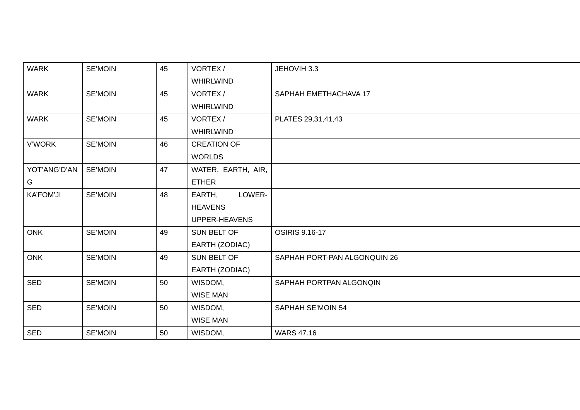| <b>WARK</b>   | <b>SE'MOIN</b> | 45 | VORTEX/            | JEHOVIH 3.3                  |
|---------------|----------------|----|--------------------|------------------------------|
|               |                |    | <b>WHIRLWIND</b>   |                              |
| <b>WARK</b>   | <b>SE'MOIN</b> | 45 | VORTEX/            | SAPHAH EMETHACHAVA 17        |
|               |                |    | <b>WHIRLWIND</b>   |                              |
| <b>WARK</b>   | SE'MOIN        | 45 | VORTEX/            | PLATES 29,31,41,43           |
|               |                |    | <b>WHIRLWIND</b>   |                              |
| <b>V'WORK</b> | SE'MOIN        | 46 | <b>CREATION OF</b> |                              |
|               |                |    | <b>WORLDS</b>      |                              |
| YOT'ANG'D'AN  | <b>SE'MOIN</b> | 47 | WATER, EARTH, AIR, |                              |
| G             |                |    | <b>ETHER</b>       |                              |
| KA'FOM'JI     | <b>SE'MOIN</b> | 48 | LOWER-<br>EARTH,   |                              |
|               |                |    | <b>HEAVENS</b>     |                              |
|               |                |    | UPPER-HEAVENS      |                              |
| <b>ONK</b>    | SE'MOIN        | 49 | SUN BELT OF        | <b>OSIRIS 9.16-17</b>        |
|               |                |    | EARTH (ZODIAC)     |                              |
| <b>ONK</b>    | <b>SE'MOIN</b> | 49 | SUN BELT OF        | SAPHAH PORT-PAN ALGONQUIN 26 |
|               |                |    | EARTH (ZODIAC)     |                              |
| SED           | SE'MOIN        | 50 | WISDOM,            | SAPHAH PORTPAN ALGONQIN      |
|               |                |    | <b>WISE MAN</b>    |                              |
| <b>SED</b>    | <b>SE'MOIN</b> | 50 | WISDOM,            | <b>SAPHAH SE'MOIN 54</b>     |
|               |                |    | <b>WISE MAN</b>    |                              |
| SED           | SE'MOIN        | 50 | WISDOM,            | <b>WARS 47.16</b>            |
|               |                |    |                    |                              |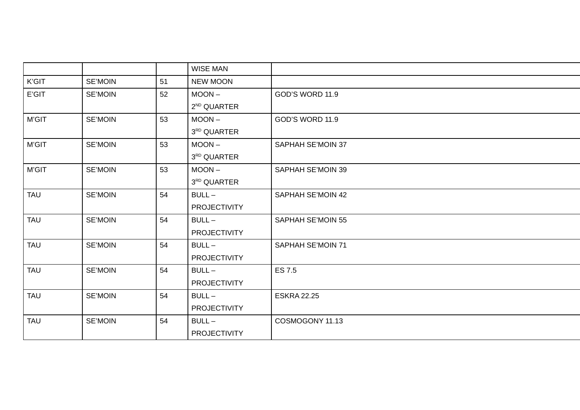|            |                |    | <b>WISE MAN</b>         |                          |
|------------|----------------|----|-------------------------|--------------------------|
| K'GIT      | <b>SE'MOIN</b> | 51 | <b>NEW MOON</b>         |                          |
| E'GIT      | SE'MOIN        | 52 | $MOON -$                | GOD'S WORD 11.9          |
|            |                |    | 2 <sup>ND</sup> QUARTER |                          |
| M'GIT      | SE'MOIN        | 53 | $MOON -$                | GOD'S WORD 11.9          |
|            |                |    | 3RD QUARTER             |                          |
| M'GIT      | SE'MOIN        | 53 | $MOON -$                | SAPHAH SE'MOIN 37        |
|            |                |    | 3RD QUARTER             |                          |
| M'GIT      | SE'MOIN        | 53 | $MOON -$                | SAPHAH SE'MOIN 39        |
|            |                |    | 3RD QUARTER             |                          |
| <b>TAU</b> | <b>SE'MOIN</b> | 54 | $BULL -$                | <b>SAPHAH SE'MOIN 42</b> |
|            |                |    | <b>PROJECTIVITY</b>     |                          |
| <b>TAU</b> | <b>SE'MOIN</b> | 54 | $BULL -$                | <b>SAPHAH SE'MOIN 55</b> |
|            |                |    | <b>PROJECTIVITY</b>     |                          |
| <b>TAU</b> | <b>SE'MOIN</b> | 54 | $BULL -$                | SAPHAH SE'MOIN 71        |
|            |                |    | <b>PROJECTIVITY</b>     |                          |
| <b>TAU</b> | SE'MOIN        | 54 | $BULL -$                | <b>ES 7.5</b>            |
|            |                |    | <b>PROJECTIVITY</b>     |                          |
| <b>TAU</b> | <b>SE'MOIN</b> | 54 | $BULL -$                | <b>ESKRA 22.25</b>       |
|            |                |    | <b>PROJECTIVITY</b>     |                          |
| <b>TAU</b> | SE'MOIN        | 54 | $BULL -$                | COSMOGONY 11.13          |
|            |                |    | <b>PROJECTIVITY</b>     |                          |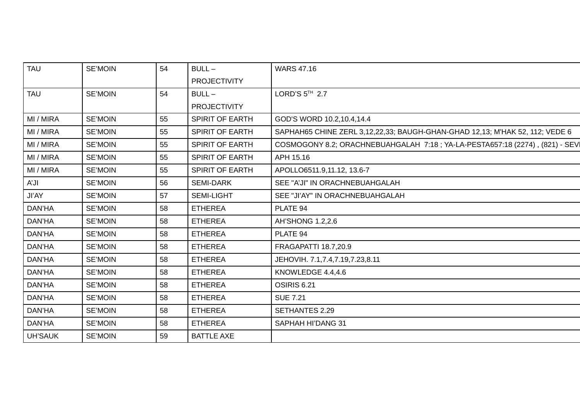| <b>TAU</b>     | <b>SE'MOIN</b> | 54 | $BULL -$               | <b>WARS 47.16</b>                                                             |
|----------------|----------------|----|------------------------|-------------------------------------------------------------------------------|
|                |                |    | <b>PROJECTIVITY</b>    |                                                                               |
| <b>TAU</b>     | <b>SE'MOIN</b> | 54 | $BULL -$               | LORD'S 5 <sup>TH</sup> 2.7                                                    |
|                |                |    | <b>PROJECTIVITY</b>    |                                                                               |
| MI / MIRA      | <b>SE'MOIN</b> | 55 | SPIRIT OF EARTH        | GOD'S WORD 10.2,10.4,14.4                                                     |
| MI / MIRA      | <b>SE'MOIN</b> | 55 | SPIRIT OF EARTH        | SAPHAH65 CHINE ZERL 3,12,22,33; BAUGH-GHAN-GHAD 12,13; M'HAK 52, 112; VEDE 6  |
| MI / MIRA      | <b>SE'MOIN</b> | 55 | <b>SPIRIT OF EARTH</b> | COSMOGONY 8.2; ORACHNEBUAHGALAH 7:18 ; YA-LA-PESTA657:18 (2274), (821) - SEVI |
| MI / MIRA      | <b>SE'MOIN</b> | 55 | SPIRIT OF EARTH        | APH 15.16                                                                     |
| MI / MIRA      | <b>SE'MOIN</b> | 55 | SPIRIT OF EARTH        | APOLLO6511.9,11.12, 13.6-7                                                    |
| A'JI           | SE'MOIN        | 56 | <b>SEMI-DARK</b>       | SEE "A'JI" IN ORACHNEBUAHGALAH                                                |
| JI'AY          | <b>SE'MOIN</b> | 57 | SEMI-LIGHT             | SEE "JI'AY" IN ORACHNEBUAHGALAH                                               |
| DAN'HA         | <b>SE'MOIN</b> | 58 | <b>ETHEREA</b>         | PLATE 94                                                                      |
| DAN'HA         | SE'MOIN        | 58 | <b>ETHEREA</b>         | AH'SHONG 1.2,2.6                                                              |
| DAN'HA         | SE'MOIN        | 58 | <b>ETHEREA</b>         | PLATE 94                                                                      |
| DAN'HA         | SE'MOIN        | 58 | <b>ETHEREA</b>         | FRAGAPATTI 18.7,20.9                                                          |
| DAN'HA         | <b>SE'MOIN</b> | 58 | <b>ETHEREA</b>         | JEHOVIH. 7.1,7.4,7.19,7.23,8.11                                               |
| DAN'HA         | <b>SE'MOIN</b> | 58 | <b>ETHEREA</b>         | KNOWLEDGE 4.4,4.6                                                             |
| DAN'HA         | SE'MOIN        | 58 | <b>ETHEREA</b>         | OSIRIS 6.21                                                                   |
| DAN'HA         | <b>SE'MOIN</b> | 58 | <b>ETHEREA</b>         | <b>SUE 7.21</b>                                                               |
| DAN'HA         | SE'MOIN        | 58 | <b>ETHEREA</b>         | <b>SETHANTES 2.29</b>                                                         |
| DAN'HA         | SE'MOIN        | 58 | <b>ETHEREA</b>         | SAPHAH HI'DANG 31                                                             |
| <b>UH'SAUK</b> | <b>SE'MOIN</b> | 59 | <b>BATTLE AXE</b>      |                                                                               |
|                |                |    |                        |                                                                               |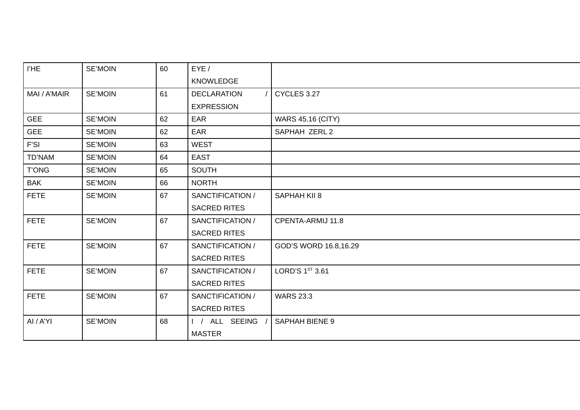| I'HE          | SE'MOIN | 60 | EYE/                |                          |
|---------------|---------|----|---------------------|--------------------------|
|               |         |    | KNOWLEDGE           |                          |
| MAI / A'MAIR  | SE'MOIN | 61 | <b>DECLARATION</b>  | CYCLES 3.27              |
|               |         |    | <b>EXPRESSION</b>   |                          |
| <b>GEE</b>    | SE'MOIN | 62 | <b>EAR</b>          | <b>WARS 45.16 (CITY)</b> |
| <b>GEE</b>    | SE'MOIN | 62 | EAR                 | SAPHAH ZERL 2            |
| F'SI          | SE'MOIN | 63 | <b>WEST</b>         |                          |
| <b>TD'NAM</b> | SE'MOIN | 64 | <b>EAST</b>         |                          |
| <b>T'ONG</b>  | SE'MOIN | 65 | <b>SOUTH</b>        |                          |
| <b>BAK</b>    | SE'MOIN | 66 | <b>NORTH</b>        |                          |
| <b>FETE</b>   | SE'MOIN | 67 | SANCTIFICATION /    | <b>SAPHAH KII 8</b>      |
|               |         |    | <b>SACRED RITES</b> |                          |
| <b>FETE</b>   | SE'MOIN | 67 | SANCTIFICATION /    | CPENTA-ARMIJ 11.8        |
|               |         |    | <b>SACRED RITES</b> |                          |
| <b>FETE</b>   | SE'MOIN | 67 | SANCTIFICATION /    | GOD'S WORD 16.8,16.29    |
|               |         |    | <b>SACRED RITES</b> |                          |
| <b>FETE</b>   | SE'MOIN | 67 | SANCTIFICATION /    | LORD'S 1ST 3.61          |
|               |         |    | <b>SACRED RITES</b> |                          |
| <b>FETE</b>   | SE'MOIN | 67 | SANCTIFICATION /    | <b>WARS 23.3</b>         |
|               |         |    | <b>SACRED RITES</b> |                          |
| AI / A'YI     | SE'MOIN | 68 | / ALL SEEING        | <b>SAPHAH BIENE 9</b>    |
|               |         |    | <b>MASTER</b>       |                          |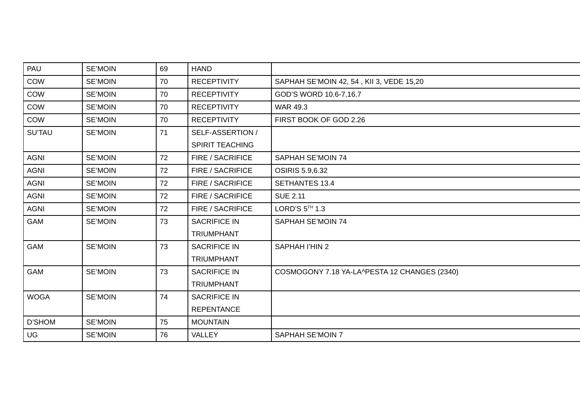| <b>PAU</b>    | <b>SE'MOIN</b> | 69 | <b>HAND</b>            |                                              |
|---------------|----------------|----|------------------------|----------------------------------------------|
| COW           | <b>SE'MOIN</b> | 70 | <b>RECEPTIVITY</b>     | SAPHAH SE'MOIN 42, 54, KII 3, VEDE 15,20     |
| COW           | <b>SE'MOIN</b> | 70 | <b>RECEPTIVITY</b>     | GOD'S WORD 10.6-7,16.7                       |
| COW           | <b>SE'MOIN</b> | 70 | <b>RECEPTIVITY</b>     | <b>WAR 49.3</b>                              |
| COW           | SE'MOIN        | 70 | <b>RECEPTIVITY</b>     | FIRST BOOK OF GOD 2.26                       |
| <b>SU'TAU</b> | <b>SE'MOIN</b> | 71 | SELF-ASSERTION /       |                                              |
|               |                |    | <b>SPIRIT TEACHING</b> |                                              |
| <b>AGNI</b>   | <b>SE'MOIN</b> | 72 | FIRE / SACRIFICE       | SAPHAH SE'MOIN 74                            |
| <b>AGNI</b>   | <b>SE'MOIN</b> | 72 | FIRE / SACRIFICE       | <b>OSIRIS 5.9,6.32</b>                       |
| <b>AGNI</b>   | SE'MOIN        | 72 | FIRE / SACRIFICE       | <b>SETHANTES 13.4</b>                        |
| <b>AGNI</b>   | <b>SE'MOIN</b> | 72 | FIRE / SACRIFICE       | <b>SUE 2.11</b>                              |
| <b>AGNI</b>   | SE'MOIN        | 72 | FIRE / SACRIFICE       | LORD'S 5TH 1.3                               |
| <b>GAM</b>    | <b>SE'MOIN</b> | 73 | <b>SACRIFICE IN</b>    | SAPHAH SE'MOIN 74                            |
|               |                |    | <b>TRIUMPHANT</b>      |                                              |
| GAM           | SE'MOIN        | 73 | <b>SACRIFICE IN</b>    | SAPHAH I'HIN 2                               |
|               |                |    | <b>TRIUMPHANT</b>      |                                              |
| <b>GAM</b>    | <b>SE'MOIN</b> | 73 | <b>SACRIFICE IN</b>    | COSMOGONY 7.18 YA-LA^PESTA 12 CHANGES (2340) |
|               |                |    | <b>TRIUMPHANT</b>      |                                              |
| <b>WOGA</b>   | SE'MOIN        | 74 | <b>SACRIFICE IN</b>    |                                              |
|               |                |    | <b>REPENTANCE</b>      |                                              |
| <b>D'SHOM</b> | SE'MOIN        | 75 | <b>MOUNTAIN</b>        |                                              |
| <b>UG</b>     | <b>SE'MOIN</b> | 76 | <b>VALLEY</b>          | SAPHAH SE'MOIN 7                             |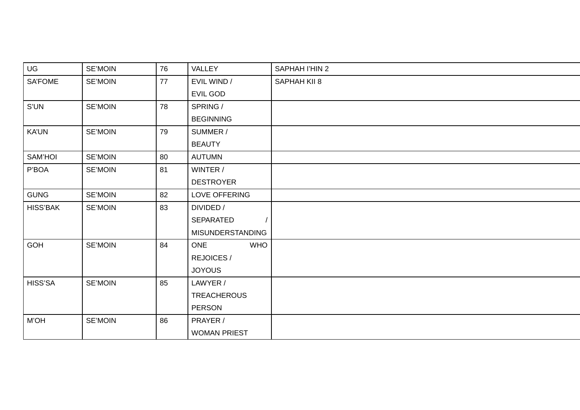| UG              | SE'MOIN        | 76 | <b>VALLEY</b>            | SAPHAH I'HIN 2 |
|-----------------|----------------|----|--------------------------|----------------|
| SA'FOME         | SE'MOIN        | 77 | EVIL WIND /              | SAPHAH KII 8   |
|                 |                |    | EVIL GOD                 |                |
| S'UN            | <b>SE'MOIN</b> | 78 | SPRING /                 |                |
|                 |                |    | <b>BEGINNING</b>         |                |
| <b>KA'UN</b>    | <b>SE'MOIN</b> | 79 | SUMMER /                 |                |
|                 |                |    | <b>BEAUTY</b>            |                |
| SAM'HOI         | SE'MOIN        | 80 | <b>AUTUMN</b>            |                |
| P'BOA           | SE'MOIN        | 81 | WINTER /                 |                |
|                 |                |    | <b>DESTROYER</b>         |                |
| <b>GUNG</b>     | SE'MOIN        | 82 | LOVE OFFERING            |                |
| <b>HISS'BAK</b> | SE'MOIN        | 83 | DIVIDED /                |                |
|                 |                |    | <b>SEPARATED</b>         |                |
|                 |                |    | <b>MISUNDERSTANDING</b>  |                |
| GOH             | SE'MOIN        | 84 | <b>WHO</b><br><b>ONE</b> |                |
|                 |                |    | REJOICES /               |                |
|                 |                |    | <b>JOYOUS</b>            |                |
| <b>HISS'SA</b>  | <b>SE'MOIN</b> | 85 | LAWYER /                 |                |
|                 |                |    | <b>TREACHEROUS</b>       |                |
|                 |                |    | <b>PERSON</b>            |                |
| <b>M'OH</b>     | SE'MOIN        | 86 | PRAYER /                 |                |
|                 |                |    | <b>WOMAN PRIEST</b>      |                |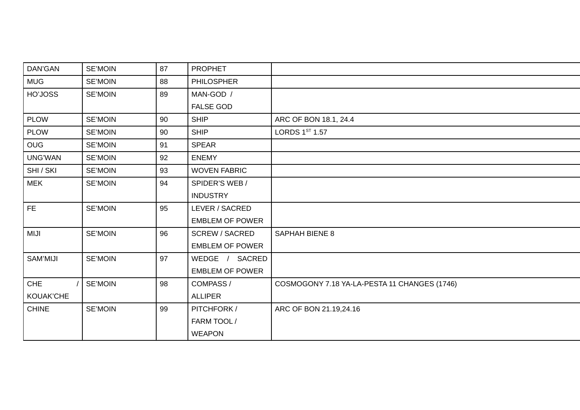| DAN'GAN        | <b>SE'MOIN</b> | 87 | <b>PROPHET</b>           |                                              |
|----------------|----------------|----|--------------------------|----------------------------------------------|
| <b>MUG</b>     | <b>SE'MOIN</b> | 88 | <b>PHILOSPHER</b>        |                                              |
| HO'JOSS        | SE'MOIN        | 89 | MAN-GOD /                |                                              |
|                |                |    | <b>FALSE GOD</b>         |                                              |
| <b>PLOW</b>    | <b>SE'MOIN</b> | 90 | <b>SHIP</b>              | ARC OF BON 18.1, 24.4                        |
| PLOW           | <b>SE'MOIN</b> | 90 | <b>SHIP</b>              | LORDS 1ST 1.57                               |
| <b>OUG</b>     | <b>SE'MOIN</b> | 91 | <b>SPEAR</b>             |                                              |
| <b>UNG'WAN</b> | <b>SE'MOIN</b> | 92 | <b>ENEMY</b>             |                                              |
| SHI / SKI      | SE'MOIN        | 93 | <b>WOVEN FABRIC</b>      |                                              |
| <b>MEK</b>     | SE'MOIN        | 94 | SPIDER'S WEB /           |                                              |
|                |                |    | <b>INDUSTRY</b>          |                                              |
| <b>FE</b>      | SE'MOIN        | 95 | LEVER / SACRED           |                                              |
|                |                |    | <b>EMBLEM OF POWER</b>   |                                              |
| MIJI           | SE'MOIN        | 96 | <b>SCREW / SACRED</b>    | <b>SAPHAH BIENE 8</b>                        |
|                |                |    | <b>EMBLEM OF POWER</b>   |                                              |
| SAM'MIJI       | <b>SE'MOIN</b> | 97 | WEDGE /<br><b>SACRED</b> |                                              |
|                |                |    | <b>EMBLEM OF POWER</b>   |                                              |
| <b>CHE</b>     | SE'MOIN        | 98 | <b>COMPASS /</b>         | COSMOGONY 7.18 YA-LA-PESTA 11 CHANGES (1746) |
| KOUAK'CHE      |                |    | <b>ALLIPER</b>           |                                              |
| <b>CHINE</b>   | <b>SE'MOIN</b> | 99 | PITCHFORK /              | ARC OF BON 21.19,24.16                       |
|                |                |    | FARM TOOL /              |                                              |
|                |                |    | <b>WEAPON</b>            |                                              |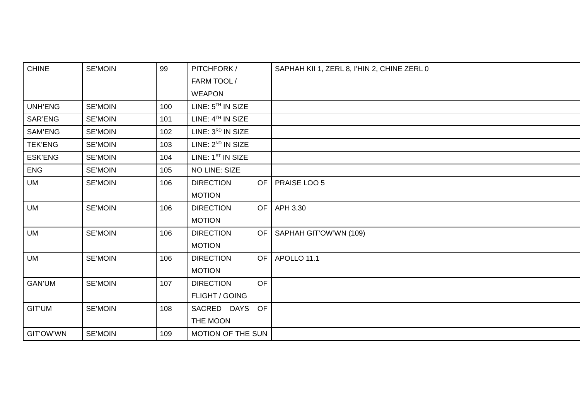| <b>CHINE</b>   | SE'MOIN | 99  | PITCHFORK /                   |           | SAPHAH KII 1, ZERL 8, I'HIN 2, CHINE ZERL 0 |
|----------------|---------|-----|-------------------------------|-----------|---------------------------------------------|
|                |         |     | FARM TOOL /                   |           |                                             |
|                |         |     | <b>WEAPON</b>                 |           |                                             |
| <b>UNH'ENG</b> | SE'MOIN | 100 | LINE: 5 <sup>TH</sup> IN SIZE |           |                                             |
| SAR'ENG        | SE'MOIN | 101 | LINE: $4TH$ IN SIZE           |           |                                             |
| SAM'ENG        | SE'MOIN | 102 | LINE: 3RD IN SIZE             |           |                                             |
| <b>TEK'ENG</b> | SE'MOIN | 103 | LINE: 2 <sup>ND</sup> IN SIZE |           |                                             |
| <b>ESK'ENG</b> | SE'MOIN | 104 | LINE: 1 <sup>ST</sup> IN SIZE |           |                                             |
| <b>ENG</b>     | SE'MOIN | 105 | NO LINE: SIZE                 |           |                                             |
| <b>UM</b>      | SE'MOIN | 106 | <b>DIRECTION</b>              | <b>OF</b> | PRAISE LOO 5                                |
|                |         |     | <b>MOTION</b>                 |           |                                             |
| <b>UM</b>      | SE'MOIN | 106 | <b>DIRECTION</b>              | OF        | APH 3.30                                    |
|                |         |     | <b>MOTION</b>                 |           |                                             |
| <b>UM</b>      | SE'MOIN | 106 | <b>DIRECTION</b>              | OF        | SAPHAH GIT'OW'WN (109)                      |
|                |         |     | <b>MOTION</b>                 |           |                                             |
| <b>UM</b>      | SE'MOIN | 106 | <b>DIRECTION</b>              | OF        | APOLLO 11.1                                 |
|                |         |     | <b>MOTION</b>                 |           |                                             |
| <b>GAN'UM</b>  | SE'MOIN | 107 | <b>DIRECTION</b>              | OF        |                                             |
|                |         |     | FLIGHT / GOING                |           |                                             |
| <b>GIT'UM</b>  | SE'MOIN | 108 | SACRED DAYS                   | OF        |                                             |
|                |         |     | THE MOON                      |           |                                             |
| GIT'OW'WN      | SE'MOIN | 109 | MOTION OF THE SUN             |           |                                             |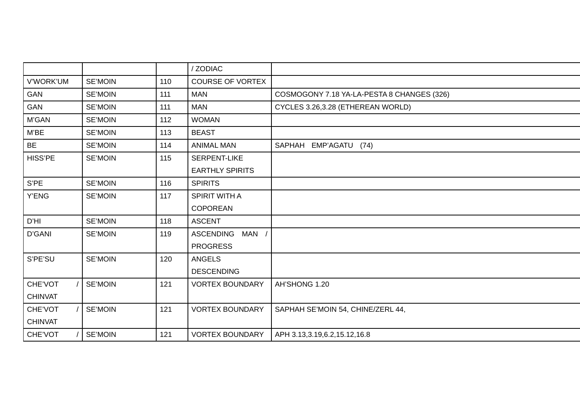|                |                |     | / ZODIAC                  |                                            |
|----------------|----------------|-----|---------------------------|--------------------------------------------|
| V'WORK'UM      | <b>SE'MOIN</b> | 110 | <b>COURSE OF VORTEX</b>   |                                            |
| <b>GAN</b>     | SE'MOIN        | 111 | <b>MAN</b>                | COSMOGONY 7.18 YA-LA-PESTA 8 CHANGES (326) |
| GAN            | SE'MOIN        | 111 | <b>MAN</b>                | CYCLES 3.26,3.28 (ETHEREAN WORLD)          |
| M'GAN          | <b>SE'MOIN</b> | 112 | <b>WOMAN</b>              |                                            |
| M'BE           | SE'MOIN        | 113 | <b>BEAST</b>              |                                            |
| <b>BE</b>      | <b>SE'MOIN</b> | 114 | <b>ANIMAL MAN</b>         | SAPHAH EMP'AGATU (74)                      |
| HISS'PE        | SE'MOIN        | 115 | SERPENT-LIKE              |                                            |
|                |                |     | <b>EARTHLY SPIRITS</b>    |                                            |
| S'PE           | <b>SE'MOIN</b> | 116 | <b>SPIRITS</b>            |                                            |
| <b>Y'ENG</b>   | <b>SE'MOIN</b> | 117 | <b>SPIRIT WITH A</b>      |                                            |
|                |                |     | <b>COPOREAN</b>           |                                            |
| D'HI           | <b>SE'MOIN</b> | 118 | <b>ASCENT</b>             |                                            |
| D'GANI         | SE'MOIN        | 119 | <b>ASCENDING</b><br>MAN / |                                            |
|                |                |     | <b>PROGRESS</b>           |                                            |
| S'PE'SU        | <b>SE'MOIN</b> | 120 | <b>ANGELS</b>             |                                            |
|                |                |     | <b>DESCENDING</b>         |                                            |
| CHE'VOT        | SE'MOIN        | 121 | <b>VORTEX BOUNDARY</b>    | AH'SHONG 1.20                              |
| <b>CHINVAT</b> |                |     |                           |                                            |
| CHE'VOT        | SE'MOIN        | 121 | <b>VORTEX BOUNDARY</b>    | SAPHAH SE'MOIN 54, CHINE/ZERL 44,          |
| <b>CHINVAT</b> |                |     |                           |                                            |
| CHE'VOT        | SE'MOIN        | 121 | <b>VORTEX BOUNDARY</b>    | APH 3.13,3.19,6.2,15.12,16.8               |
|                |                |     |                           |                                            |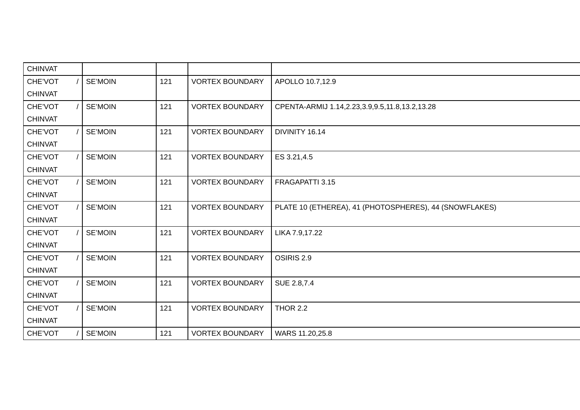| <b>CHINVAT</b> |                |     |                        |                                                        |
|----------------|----------------|-----|------------------------|--------------------------------------------------------|
| CHE'VOT        | SE'MOIN        | 121 | <b>VORTEX BOUNDARY</b> | APOLLO 10.7,12.9                                       |
| <b>CHINVAT</b> |                |     |                        |                                                        |
| CHE'VOT        | <b>SE'MOIN</b> | 121 | <b>VORTEX BOUNDARY</b> | CPENTA-ARMIJ 1.14,2.23,3.9,9.5,11.8,13.2,13.28         |
| <b>CHINVAT</b> |                |     |                        |                                                        |
| CHE'VOT        | <b>SE'MOIN</b> | 121 | <b>VORTEX BOUNDARY</b> | DIVINITY 16.14                                         |
| <b>CHINVAT</b> |                |     |                        |                                                        |
| CHE'VOT        | <b>SE'MOIN</b> | 121 | <b>VORTEX BOUNDARY</b> | ES 3.21,4.5                                            |
| <b>CHINVAT</b> |                |     |                        |                                                        |
| CHE'VOT        | <b>SE'MOIN</b> | 121 | <b>VORTEX BOUNDARY</b> | FRAGAPATTI 3.15                                        |
| <b>CHINVAT</b> |                |     |                        |                                                        |
| CHE'VOT        | <b>SE'MOIN</b> | 121 | <b>VORTEX BOUNDARY</b> | PLATE 10 (ETHEREA), 41 (PHOTOSPHERES), 44 (SNOWFLAKES) |
| <b>CHINVAT</b> |                |     |                        |                                                        |
| CHE'VOT        | <b>SE'MOIN</b> | 121 | <b>VORTEX BOUNDARY</b> | LIKA 7.9,17.22                                         |
| <b>CHINVAT</b> |                |     |                        |                                                        |
| CHE'VOT        | <b>SE'MOIN</b> | 121 | <b>VORTEX BOUNDARY</b> | OSIRIS 2.9                                             |
| <b>CHINVAT</b> |                |     |                        |                                                        |
| CHE'VOT        | <b>SE'MOIN</b> | 121 | <b>VORTEX BOUNDARY</b> | SUE 2.8,7.4                                            |
| <b>CHINVAT</b> |                |     |                        |                                                        |
| CHE'VOT        | <b>SE'MOIN</b> | 121 | <b>VORTEX BOUNDARY</b> | <b>THOR 2.2</b>                                        |
| <b>CHINVAT</b> |                |     |                        |                                                        |
| CHE'VOT        | <b>SE'MOIN</b> | 121 | <b>VORTEX BOUNDARY</b> | WARS 11.20,25.8                                        |
|                |                |     |                        |                                                        |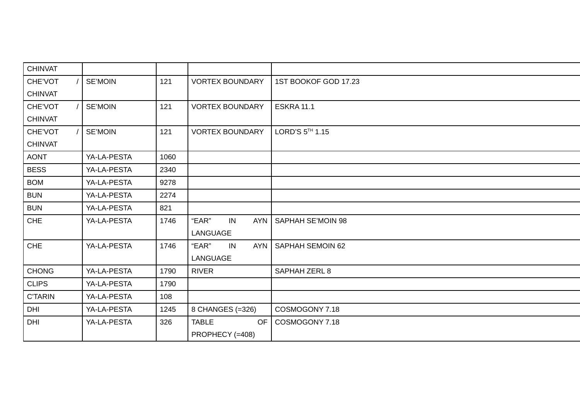| <b>CHINVAT</b> |                |      |                           |                      |
|----------------|----------------|------|---------------------------|----------------------|
| CHE'VOT        | <b>SE'MOIN</b> | 121  | <b>VORTEX BOUNDARY</b>    | 1ST BOOKOF GOD 17.23 |
| <b>CHINVAT</b> |                |      |                           |                      |
| CHE'VOT        | <b>SE'MOIN</b> | 121  | <b>VORTEX BOUNDARY</b>    | <b>ESKRA 11.1</b>    |
| <b>CHINVAT</b> |                |      |                           |                      |
| CHE'VOT        | SE'MOIN        | 121  | <b>VORTEX BOUNDARY</b>    | LORD'S 5™ 1.15       |
| <b>CHINVAT</b> |                |      |                           |                      |
| <b>AONT</b>    | YA-LA-PESTA    | 1060 |                           |                      |
| <b>BESS</b>    | YA-LA-PESTA    | 2340 |                           |                      |
| <b>BOM</b>     | YA-LA-PESTA    | 9278 |                           |                      |
| <b>BUN</b>     | YA-LA-PESTA    | 2274 |                           |                      |
| <b>BUN</b>     | YA-LA-PESTA    | 821  |                           |                      |
| <b>CHE</b>     | YA-LA-PESTA    | 1746 | "EAR"<br>IN<br><b>AYN</b> | SAPHAH SE'MOIN 98    |
|                |                |      | LANGUAGE                  |                      |
| CHE            | YA-LA-PESTA    | 1746 | "EAR"<br>IN<br><b>AYN</b> | SAPHAH SEMOIN 62     |
|                |                |      | LANGUAGE                  |                      |
| <b>CHONG</b>   | YA-LA-PESTA    | 1790 | <b>RIVER</b>              | SAPHAH ZERL 8        |
| <b>CLIPS</b>   | YA-LA-PESTA    | 1790 |                           |                      |
| <b>C'TARIN</b> | YA-LA-PESTA    | 108  |                           |                      |
| DHI            | YA-LA-PESTA    | 1245 | 8 CHANGES (=326)          | COSMOGONY 7.18       |
| DHI            | YA-LA-PESTA    | 326  | <b>TABLE</b><br>OF.       | COSMOGONY 7.18       |
|                |                |      | PROPHECY (=408)           |                      |
|                |                |      |                           |                      |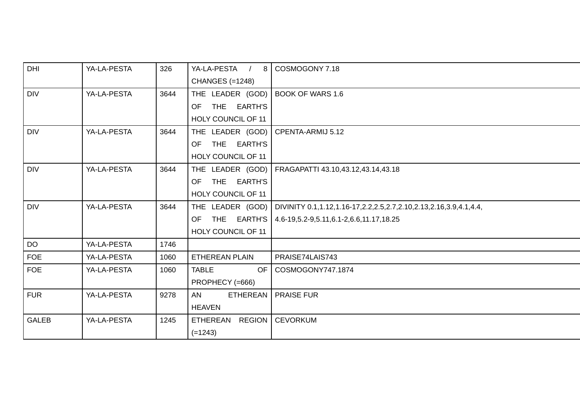| DHI          | YA-LA-PESTA | 326  | YA-LA-PESTA<br>8                 | COSMOGONY 7.18                                                                       |
|--------------|-------------|------|----------------------------------|--------------------------------------------------------------------------------------|
|              |             |      | <b>CHANGES (=1248)</b>           |                                                                                      |
| <b>DIV</b>   | YA-LA-PESTA | 3644 | THE LEADER (GOD)                 | BOOK OF WARS 1.6                                                                     |
|              |             |      | THE EARTH'S<br>OF.               |                                                                                      |
|              |             |      | HOLY COUNCIL OF 11               |                                                                                      |
| <b>DIV</b>   | YA-LA-PESTA | 3644 | THE LEADER (GOD)                 | CPENTA-ARMIJ 5.12                                                                    |
|              |             |      | THE EARTH'S<br>OF                |                                                                                      |
|              |             |      | HOLY COUNCIL OF 11               |                                                                                      |
| <b>DIV</b>   | YA-LA-PESTA | 3644 |                                  | THE LEADER (GOD)   FRAGAPATTI 43.10,43.12,43.14,43.18                                |
|              |             |      | THE EARTH'S<br><b>OF</b>         |                                                                                      |
|              |             |      | HOLY COUNCIL OF 11               |                                                                                      |
| <b>DIV</b>   | YA-LA-PESTA | 3644 |                                  | THE LEADER (GOD)   DIVINITY 0.1,1.12,1.16-17,2.2,2.5,2.7,2.10,2.13,2.16,3.9,4.1,4.4, |
|              |             |      | OF.                              | THE EARTH'S   4.6-19,5.2-9,5.11,6.1-2,6.6,11.17,18.25                                |
|              |             |      | HOLY COUNCIL OF 11               |                                                                                      |
| <b>DO</b>    | YA-LA-PESTA | 1746 |                                  |                                                                                      |
| <b>FOE</b>   | YA-LA-PESTA | 1060 | ETHEREAN PLAIN                   | PRAISE74LAIS743                                                                      |
| <b>FOE</b>   | YA-LA-PESTA | 1060 | <b>TABLE</b><br><b>OF</b>        | COSMOGONY747.1874                                                                    |
|              |             |      | PROPHECY (=666)                  |                                                                                      |
| <b>FUR</b>   | YA-LA-PESTA | 9278 | AN<br><b>ETHEREAN</b>            | <b>PRAISE FUR</b>                                                                    |
|              |             |      | <b>HEAVEN</b>                    |                                                                                      |
| <b>GALEB</b> | YA-LA-PESTA | 1245 | <b>ETHEREAN</b><br><b>REGION</b> | <b>CEVORKUM</b>                                                                      |
|              |             |      | $(=1243)$                        |                                                                                      |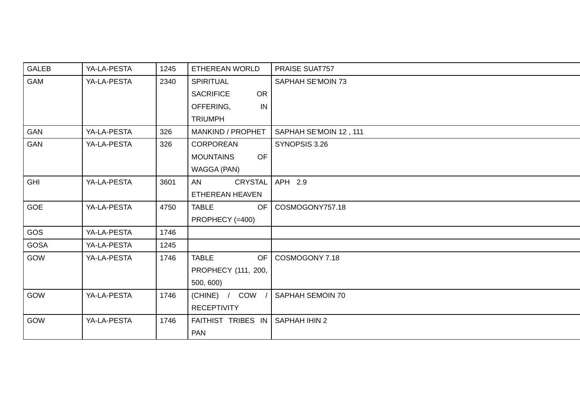| <b>GALEB</b> | YA-LA-PESTA | 1245 | ETHEREAN WORLD                | PRAISE SUAT757         |
|--------------|-------------|------|-------------------------------|------------------------|
| GAM          | YA-LA-PESTA | 2340 | <b>SPIRITUAL</b>              | SAPHAH SE'MOIN 73      |
|              |             |      | <b>OR</b><br><b>SACRIFICE</b> |                        |
|              |             |      | OFFERING,<br>IN               |                        |
|              |             |      | <b>TRIUMPH</b>                |                        |
| <b>GAN</b>   | YA-LA-PESTA | 326  | MANKIND / PROPHET             | SAPHAH SE'MOIN 12, 111 |
| GAN          | YA-LA-PESTA | 326  | CORPOREAN                     | SYNOPSIS 3.26          |
|              |             |      | OF<br><b>MOUNTAINS</b>        |                        |
|              |             |      | WAGGA (PAN)                   |                        |
| <b>GHI</b>   | YA-LA-PESTA | 3601 | <b>CRYSTAL</b><br>AN          | APH 2.9                |
|              |             |      | ETHEREAN HEAVEN               |                        |
| <b>GOE</b>   | YA-LA-PESTA | 4750 | <b>TABLE</b><br>OF            | COSMOGONY757.18        |
|              |             |      | PROPHECY (=400)               |                        |
| <b>GOS</b>   | YA-LA-PESTA | 1746 |                               |                        |
| GOSA         | YA-LA-PESTA | 1245 |                               |                        |
| GOW          | YA-LA-PESTA | 1746 | <b>TABLE</b><br><b>OF</b>     | COSMOGONY 7.18         |
|              |             |      | PROPHECY (111, 200,           |                        |
|              |             |      | 500, 600)                     |                        |
| GOW          | YA-LA-PESTA | 1746 | (CHINE) / COW /               | SAPHAH SEMOIN 70       |
|              |             |      | <b>RECEPTIVITY</b>            |                        |
| GOW          | YA-LA-PESTA | 1746 | FAITHIST TRIBES IN            | SAPHAH IHIN 2          |
|              |             |      | <b>PAN</b>                    |                        |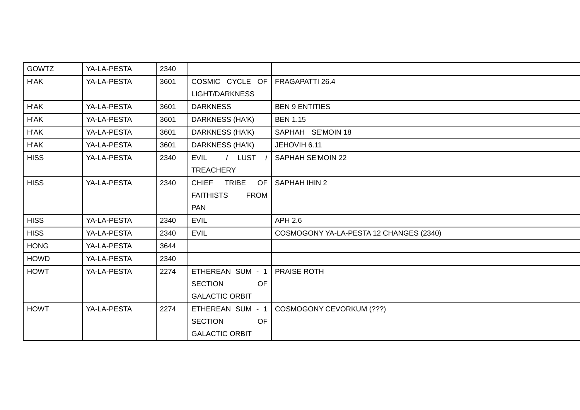| GOWTZ       | YA-LA-PESTA | 2340 |                                    |                                         |
|-------------|-------------|------|------------------------------------|-----------------------------------------|
| H'AK        | YA-LA-PESTA | 3601 | COSMIC CYCLE OF                    | FRAGAPATTI 26.4                         |
|             |             |      | <b>LIGHT/DARKNESS</b>              |                                         |
| H'AK        | YA-LA-PESTA | 3601 | <b>DARKNESS</b>                    | <b>BEN 9 ENTITIES</b>                   |
| H'AK        | YA-LA-PESTA | 3601 | DARKNESS (HA'K)                    | <b>BEN 1.15</b>                         |
| H'AK        | YA-LA-PESTA | 3601 | DARKNESS (HA'K)                    | SAPHAH SE'MOIN 18                       |
| H'AK        | YA-LA-PESTA | 3601 | DARKNESS (HA'K)                    | JEHOVIH 6.11                            |
| <b>HISS</b> | YA-LA-PESTA | 2340 | / LUST<br><b>EVIL</b>              | <b>SAPHAH SE'MOIN 22</b>                |
|             |             |      | <b>TREACHERY</b>                   |                                         |
| <b>HISS</b> | YA-LA-PESTA | 2340 | <b>CHIEF</b><br><b>TRIBE</b><br>OF | SAPHAH IHIN 2                           |
|             |             |      | <b>FAITHISTS</b><br><b>FROM</b>    |                                         |
|             |             |      | <b>PAN</b>                         |                                         |
| <b>HISS</b> | YA-LA-PESTA | 2340 | <b>EVIL</b>                        | APH 2.6                                 |
| <b>HISS</b> | YA-LA-PESTA | 2340 | <b>EVIL</b>                        | COSMOGONY YA-LA-PESTA 12 CHANGES (2340) |
| <b>HONG</b> | YA-LA-PESTA | 3644 |                                    |                                         |
| <b>HOWD</b> | YA-LA-PESTA | 2340 |                                    |                                         |
| <b>HOWT</b> | YA-LA-PESTA | 2274 | ETHEREAN SUM - 1                   | <b>PRAISE ROTH</b>                      |
|             |             |      | <b>SECTION</b><br>OF               |                                         |
|             |             |      | <b>GALACTIC ORBIT</b>              |                                         |
| <b>HOWT</b> | YA-LA-PESTA | 2274 | ETHEREAN SUM - 1                   | COSMOGONY CEVORKUM (???)                |
|             |             |      | <b>SECTION</b><br>OF               |                                         |
|             |             |      | <b>GALACTIC ORBIT</b>              |                                         |
|             |             |      |                                    |                                         |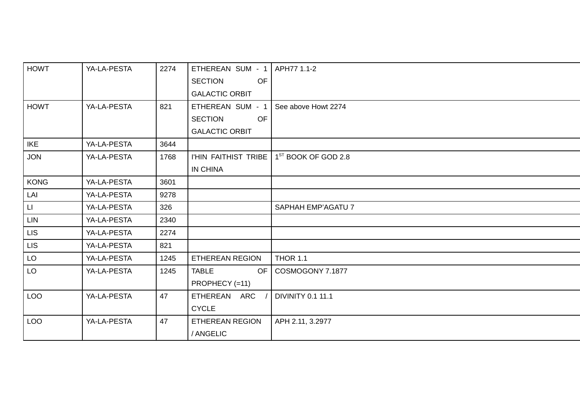| <b>HOWT</b>  | YA-LA-PESTA | 2274 | ETHEREAN SUM - $1$   APH77 1.1-2 |                                                        |
|--------------|-------------|------|----------------------------------|--------------------------------------------------------|
|              |             |      | <b>SECTION</b><br>OF             |                                                        |
|              |             |      | <b>GALACTIC ORBIT</b>            |                                                        |
| <b>HOWT</b>  | YA-LA-PESTA | 821  | ETHEREAN SUM - 1                 | See above Howt 2274                                    |
|              |             |      | <b>SECTION</b><br><b>OF</b>      |                                                        |
|              |             |      | <b>GALACTIC ORBIT</b>            |                                                        |
| <b>IKE</b>   | YA-LA-PESTA | 3644 |                                  |                                                        |
| <b>JON</b>   | YA-LA-PESTA | 1768 |                                  | I'HIN FAITHIST TRIBE   1 <sup>ST</sup> BOOK OF GOD 2.8 |
|              |             |      | IN CHINA                         |                                                        |
| <b>KONG</b>  | YA-LA-PESTA | 3601 |                                  |                                                        |
| LAI          | YA-LA-PESTA | 9278 |                                  |                                                        |
| $\mathsf{L}$ | YA-LA-PESTA | 326  |                                  | SAPHAH EMP'AGATU 7                                     |
| <b>LIN</b>   | YA-LA-PESTA | 2340 |                                  |                                                        |
| <b>LIS</b>   | YA-LA-PESTA | 2274 |                                  |                                                        |
| <b>LIS</b>   | YA-LA-PESTA | 821  |                                  |                                                        |
| LO           | YA-LA-PESTA | 1245 | ETHEREAN REGION                  | <b>THOR 1.1</b>                                        |
| LO           | YA-LA-PESTA | 1245 | <b>TABLE</b><br><b>OF</b>        | COSMOGONY 7.1877                                       |
|              |             |      | PROPHECY (=11)                   |                                                        |
| <b>LOO</b>   | YA-LA-PESTA | 47   | ETHEREAN ARC                     | <b>DIVINITY 0.1 11.1</b>                               |
|              |             |      | <b>CYCLE</b>                     |                                                        |
| <b>LOO</b>   | YA-LA-PESTA | 47   | ETHEREAN REGION                  | APH 2.11, 3.2977                                       |
|              |             |      | / ANGELIC                        |                                                        |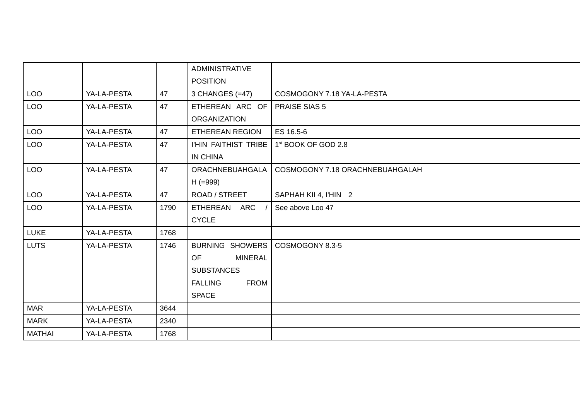|               |             |      | <b>ADMINISTRATIVE</b>         |                                 |
|---------------|-------------|------|-------------------------------|---------------------------------|
|               |             |      | <b>POSITION</b>               |                                 |
| <b>LOO</b>    | YA-LA-PESTA | 47   | 3 CHANGES (=47)               | COSMOGONY 7.18 YA-LA-PESTA      |
| <b>LOO</b>    | YA-LA-PESTA | 47   | ETHEREAN ARC OF               | <b>PRAISE SIAS 5</b>            |
|               |             |      | <b>ORGANIZATION</b>           |                                 |
| LOO           | YA-LA-PESTA | 47   | ETHEREAN REGION               | ES 16.5-6                       |
| <b>LOO</b>    | YA-LA-PESTA | 47   | I'HIN FAITHIST TRIBE          | 1 <sup>st</sup> BOOK OF GOD 2.8 |
|               |             |      | <b>IN CHINA</b>               |                                 |
| <b>LOO</b>    | YA-LA-PESTA | 47   | <b>ORACHNEBUAHGALA</b>        | COSMOGONY 7.18 ORACHNEBUAHGALAH |
|               |             |      | H (=999)                      |                                 |
| <b>LOO</b>    | YA-LA-PESTA | 47   | ROAD / STREET                 | SAPHAH KII 4, I'HIN 2           |
| <b>LOO</b>    | YA-LA-PESTA | 1790 | ETHEREAN ARC                  | See above Loo 47                |
|               |             |      | <b>CYCLE</b>                  |                                 |
| <b>LUKE</b>   | YA-LA-PESTA | 1768 |                               |                                 |
| <b>LUTS</b>   | YA-LA-PESTA | 1746 | <b>BURNING SHOWERS</b>        | COSMOGONY 8.3-5                 |
|               |             |      | <b>OF</b><br><b>MINERAL</b>   |                                 |
|               |             |      | <b>SUBSTANCES</b>             |                                 |
|               |             |      | <b>FALLING</b><br><b>FROM</b> |                                 |
|               |             |      | <b>SPACE</b>                  |                                 |
| <b>MAR</b>    | YA-LA-PESTA | 3644 |                               |                                 |
| <b>MARK</b>   | YA-LA-PESTA | 2340 |                               |                                 |
| <b>MATHAI</b> | YA-LA-PESTA | 1768 |                               |                                 |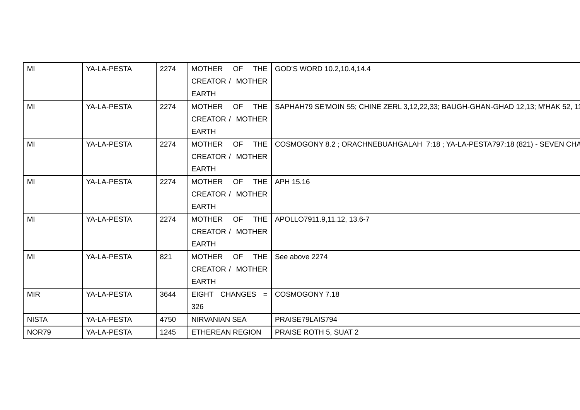| MI           | YA-LA-PESTA | 2274 | <b>MOTHER</b><br>OF<br><b>THE</b>        | GOD'S WORD 10.2,10.4,14.4                                                       |
|--------------|-------------|------|------------------------------------------|---------------------------------------------------------------------------------|
|              |             |      | CREATOR / MOTHER                         |                                                                                 |
|              |             |      | <b>EARTH</b>                             |                                                                                 |
| MI           | YA-LA-PESTA | 2274 | <b>MOTHER</b><br><b>OF</b><br><b>THE</b> | SAPHAH79 SE'MOIN 55; CHINE ZERL 3,12,22,33; BAUGH-GHAN-GHAD 12,13; M'HAK 52, 11 |
|              |             |      | <b>CREATOR / MOTHER</b>                  |                                                                                 |
|              |             |      | <b>EARTH</b>                             |                                                                                 |
| MI           | YA-LA-PESTA | 2274 | <b>MOTHER</b><br><b>OF</b><br><b>THE</b> | COSMOGONY 8.2 ; ORACHNEBUAHGALAH 7:18 ; YA-LA-PESTA797:18 (821) - SEVEN CHA     |
|              |             |      | <b>CREATOR / MOTHER</b>                  |                                                                                 |
|              |             |      | <b>EARTH</b>                             |                                                                                 |
| MI           | YA-LA-PESTA | 2274 | OF<br><b>THE</b><br><b>MOTHER</b>        | APH 15.16                                                                       |
|              |             |      | CREATOR / MOTHER                         |                                                                                 |
|              |             |      | <b>EARTH</b>                             |                                                                                 |
| MI           | YA-LA-PESTA | 2274 | OF<br>THE<br><b>MOTHER</b>               | APOLLO7911.9,11.12, 13.6-7                                                      |
|              |             |      | CREATOR / MOTHER                         |                                                                                 |
|              |             |      | <b>EARTH</b>                             |                                                                                 |
| MI           | YA-LA-PESTA | 821  | OF<br><b>THE</b><br><b>MOTHER</b>        | See above 2274                                                                  |
|              |             |      | CREATOR / MOTHER                         |                                                                                 |
|              |             |      | <b>EARTH</b>                             |                                                                                 |
| <b>MIR</b>   | YA-LA-PESTA | 3644 | EIGHT CHANGES =                          | COSMOGONY 7.18                                                                  |
|              |             |      | 326                                      |                                                                                 |
| <b>NISTA</b> | YA-LA-PESTA | 4750 | <b>NIRVANIAN SEA</b>                     | PRAISE79LAIS794                                                                 |
| NOR79        | YA-LA-PESTA | 1245 | <b>ETHEREAN REGION</b>                   | PRAISE ROTH 5, SUAT 2                                                           |
|              |             |      |                                          |                                                                                 |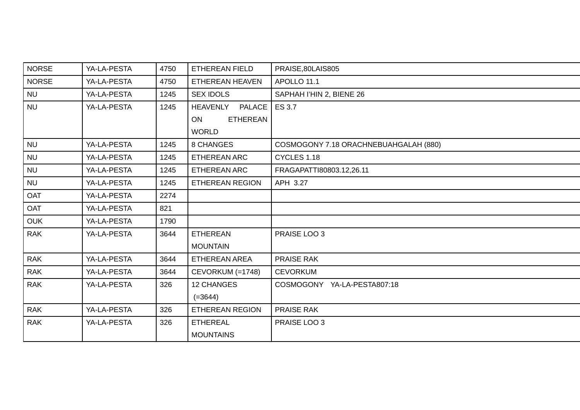| <b>NORSE</b> | YA-LA-PESTA | 4750 | ETHEREAN FIELD            | PRAISE,80LAIS805                      |
|--------------|-------------|------|---------------------------|---------------------------------------|
| <b>NORSE</b> | YA-LA-PESTA | 4750 | ETHEREAN HEAVEN           | APOLLO 11.1                           |
| <b>NU</b>    | YA-LA-PESTA | 1245 | <b>SEX IDOLS</b>          | SAPHAH I'HIN 2, BIENE 26              |
| <b>NU</b>    | YA-LA-PESTA | 1245 | PALACE<br><b>HEAVENLY</b> | <b>ES 3.7</b>                         |
|              |             |      | <b>ETHEREAN</b><br>ON     |                                       |
|              |             |      | <b>WORLD</b>              |                                       |
| <b>NU</b>    | YA-LA-PESTA | 1245 | 8 CHANGES                 | COSMOGONY 7.18 ORACHNEBUAHGALAH (880) |
| <b>NU</b>    | YA-LA-PESTA | 1245 | <b>ETHEREAN ARC</b>       | CYCLES 1.18                           |
| <b>NU</b>    | YA-LA-PESTA | 1245 | ETHEREAN ARC              | FRAGAPATTI80803.12,26.11              |
| <b>NU</b>    | YA-LA-PESTA | 1245 | ETHEREAN REGION           | APH 3.27                              |
| <b>OAT</b>   | YA-LA-PESTA | 2274 |                           |                                       |
| <b>OAT</b>   | YA-LA-PESTA | 821  |                           |                                       |
| <b>OUK</b>   | YA-LA-PESTA | 1790 |                           |                                       |
| <b>RAK</b>   | YA-LA-PESTA | 3644 | <b>ETHEREAN</b>           | PRAISE LOO 3                          |
|              |             |      | <b>MOUNTAIN</b>           |                                       |
| <b>RAK</b>   | YA-LA-PESTA | 3644 | ETHEREAN AREA             | PRAISE RAK                            |
| <b>RAK</b>   | YA-LA-PESTA | 3644 | CEVORKUM (=1748)          | <b>CEVORKUM</b>                       |
| <b>RAK</b>   | YA-LA-PESTA | 326  | <b>12 CHANGES</b>         | COSMOGONY YA-LA-PESTA807:18           |
|              |             |      | $(=3644)$                 |                                       |
| <b>RAK</b>   | YA-LA-PESTA | 326  | <b>ETHEREAN REGION</b>    | PRAISE RAK                            |
| <b>RAK</b>   | YA-LA-PESTA | 326  | <b>ETHEREAL</b>           | PRAISE LOO 3                          |
|              |             |      | <b>MOUNTAINS</b>          |                                       |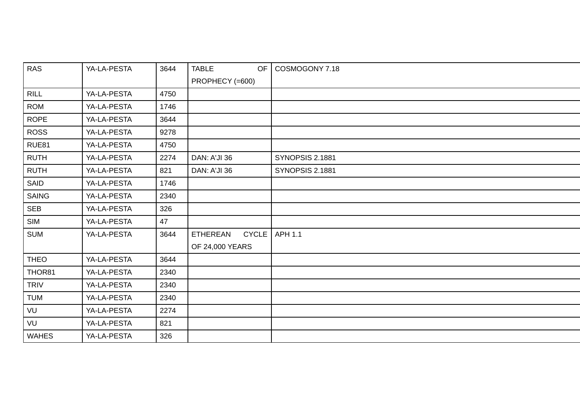| <b>RAS</b>   | YA-LA-PESTA | 3644 | <b>TABLE</b>    | OF           | COSMOGONY 7.18         |
|--------------|-------------|------|-----------------|--------------|------------------------|
|              |             |      | PROPHECY (=600) |              |                        |
| <b>RILL</b>  | YA-LA-PESTA | 4750 |                 |              |                        |
| <b>ROM</b>   | YA-LA-PESTA | 1746 |                 |              |                        |
| <b>ROPE</b>  | YA-LA-PESTA | 3644 |                 |              |                        |
| <b>ROSS</b>  | YA-LA-PESTA | 9278 |                 |              |                        |
| <b>RUE81</b> | YA-LA-PESTA | 4750 |                 |              |                        |
| <b>RUTH</b>  | YA-LA-PESTA | 2274 | DAN: A'JI 36    |              | <b>SYNOPSIS 2.1881</b> |
| <b>RUTH</b>  | YA-LA-PESTA | 821  | DAN: A'JI 36    |              | <b>SYNOPSIS 2.1881</b> |
| <b>SAID</b>  | YA-LA-PESTA | 1746 |                 |              |                        |
| SAING        | YA-LA-PESTA | 2340 |                 |              |                        |
| <b>SEB</b>   | YA-LA-PESTA | 326  |                 |              |                        |
| <b>SIM</b>   | YA-LA-PESTA | 47   |                 |              |                        |
| <b>SUM</b>   | YA-LA-PESTA | 3644 | <b>ETHEREAN</b> | <b>CYCLE</b> | APH 1.1                |
|              |             |      | OF 24,000 YEARS |              |                        |
| <b>THEO</b>  | YA-LA-PESTA | 3644 |                 |              |                        |
| THOR81       | YA-LA-PESTA | 2340 |                 |              |                        |
| <b>TRIV</b>  | YA-LA-PESTA | 2340 |                 |              |                        |
| <b>TUM</b>   | YA-LA-PESTA | 2340 |                 |              |                        |
| VU           | YA-LA-PESTA | 2274 |                 |              |                        |
| VU           | YA-LA-PESTA | 821  |                 |              |                        |
| <b>WAHES</b> | YA-LA-PESTA | 326  |                 |              |                        |
|              |             |      |                 |              |                        |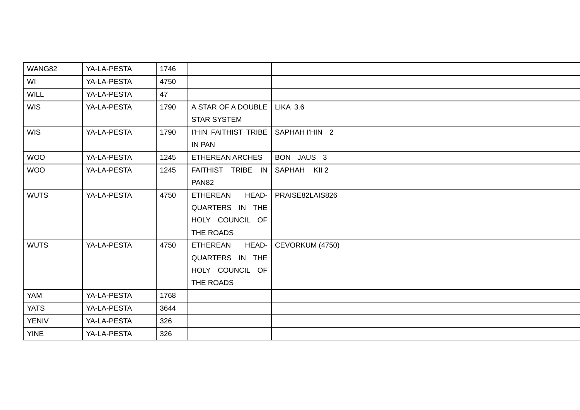| WANG82       | YA-LA-PESTA | 1746 |                                       |                 |
|--------------|-------------|------|---------------------------------------|-----------------|
| WI           | YA-LA-PESTA | 4750 |                                       |                 |
| <b>WILL</b>  | YA-LA-PESTA | 47   |                                       |                 |
| <b>WIS</b>   | YA-LA-PESTA | 1790 | A STAR OF A DOUBLE                    | <b>LIKA 3.6</b> |
|              |             |      | <b>STAR SYSTEM</b>                    |                 |
| <b>WIS</b>   | YA-LA-PESTA | 1790 | I'HIN FAITHIST TRIBE   SAPHAH I'HIN 2 |                 |
|              |             |      | IN PAN                                |                 |
| <b>WOO</b>   | YA-LA-PESTA | 1245 | <b>ETHEREAN ARCHES</b>                | BON JAUS 3      |
| <b>WOO</b>   | YA-LA-PESTA | 1245 | FAITHIST TRIBE IN                     | SAPHAH KII 2    |
|              |             |      | <b>PAN82</b>                          |                 |
| <b>WUTS</b>  | YA-LA-PESTA | 4750 | HEAD-<br><b>ETHEREAN</b>              | PRAISE82LAIS826 |
|              |             |      | QUARTERS IN THE                       |                 |
|              |             |      | HOLY COUNCIL OF                       |                 |
|              |             |      | THE ROADS                             |                 |
| <b>WUTS</b>  | YA-LA-PESTA | 4750 | HEAD-<br><b>ETHEREAN</b>              | CEVORKUM (4750) |
|              |             |      | QUARTERS IN THE                       |                 |
|              |             |      | HOLY COUNCIL OF                       |                 |
|              |             |      | THE ROADS                             |                 |
| YAM          | YA-LA-PESTA | 1768 |                                       |                 |
| <b>YATS</b>  | YA-LA-PESTA | 3644 |                                       |                 |
| <b>YENIV</b> | YA-LA-PESTA | 326  |                                       |                 |
| <b>YINE</b>  | YA-LA-PESTA | 326  |                                       |                 |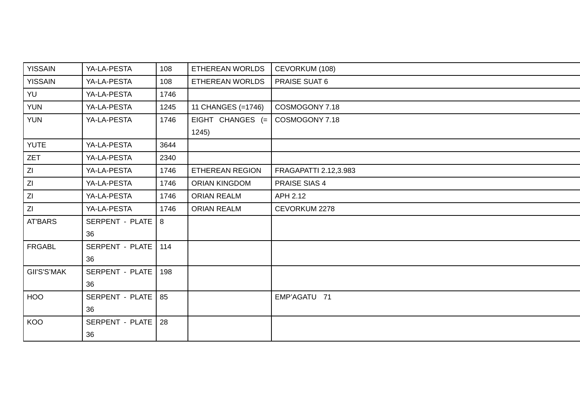| <b>YISSAIN</b> | YA-LA-PESTA     | 108  | ETHEREAN WORLDS      | CEVORKUM (108)        |
|----------------|-----------------|------|----------------------|-----------------------|
| <b>YISSAIN</b> | YA-LA-PESTA     | 108  | ETHEREAN WORLDS      | PRAISE SUAT 6         |
| YU             | YA-LA-PESTA     | 1746 |                      |                       |
| <b>YUN</b>     | YA-LA-PESTA     | 1245 | 11 CHANGES (=1746)   | COSMOGONY 7.18        |
| <b>YUN</b>     | YA-LA-PESTA     | 1746 | EIGHT CHANGES (=     | COSMOGONY 7.18        |
|                |                 |      | 1245)                |                       |
| <b>YUTE</b>    | YA-LA-PESTA     | 3644 |                      |                       |
| ZET            | YA-LA-PESTA     | 2340 |                      |                       |
| ZI             | YA-LA-PESTA     | 1746 | ETHEREAN REGION      | FRAGAPATTI 2.12,3.983 |
| ZI             | YA-LA-PESTA     | 1746 | <b>ORIAN KINGDOM</b> | PRAISE SIAS 4         |
| ZI             | YA-LA-PESTA     | 1746 | <b>ORIAN REALM</b>   | APH 2.12              |
| ZI             | YA-LA-PESTA     | 1746 | ORIAN REALM          | CEVORKUM 2278         |
| AT'BARS        | SERPENT - PLATE | 8    |                      |                       |
|                | 36              |      |                      |                       |
| <b>FRGABL</b>  | SERPENT - PLATE | 114  |                      |                       |
|                | 36              |      |                      |                       |
| GII'S'S'MAK    | SERPENT - PLATE | 198  |                      |                       |
|                | 36              |      |                      |                       |
| <b>HOO</b>     | SERPENT - PLATE | 85   |                      | EMP'AGATU 71          |
|                | 36              |      |                      |                       |
| KOO            | SERPENT - PLATE | 28   |                      |                       |
|                | 36              |      |                      |                       |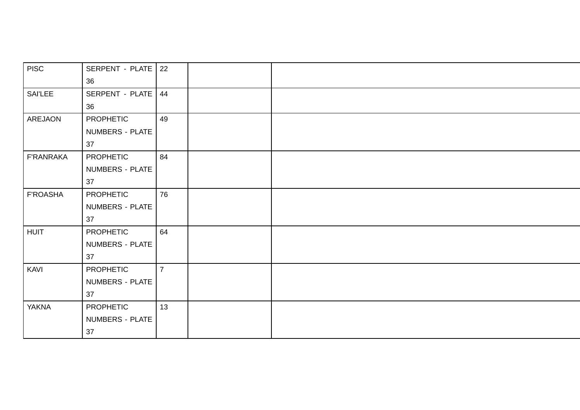| <b>PISC</b>      | $SERPENT - PLATE$ 22   |                |  |
|------------------|------------------------|----------------|--|
|                  | 36                     |                |  |
| <b>SAI'LEE</b>   | SERPENT - PLATE $ 44 $ |                |  |
|                  | 36                     |                |  |
| AREJAON          | <b>PROPHETIC</b>       | 49             |  |
|                  | NUMBERS - PLATE        |                |  |
|                  | 37                     |                |  |
| <b>F'RANRAKA</b> | <b>PROPHETIC</b>       | 84             |  |
|                  | NUMBERS - PLATE        |                |  |
|                  | 37                     |                |  |
| <b>F'ROASHA</b>  | PROPHETIC              | 76             |  |
|                  | NUMBERS - PLATE        |                |  |
|                  | 37                     |                |  |
| <b>HUIT</b>      | <b>PROPHETIC</b>       | 64             |  |
|                  | NUMBERS - PLATE        |                |  |
|                  | 37                     |                |  |
| KAVI             | PROPHETIC              | $\overline{7}$ |  |
|                  | NUMBERS - PLATE        |                |  |
|                  | 37                     |                |  |
| YAKNA            | PROPHETIC              | 13             |  |
|                  | NUMBERS - PLATE        |                |  |
|                  | 37                     |                |  |